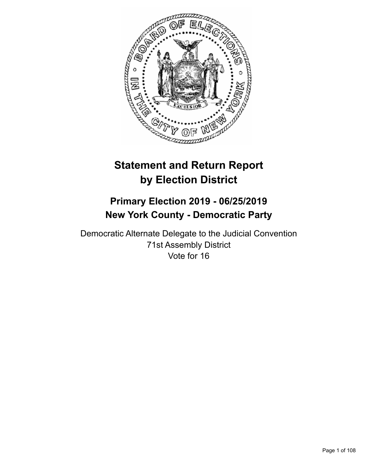

# **Statement and Return Report by Election District**

## **Primary Election 2019 - 06/25/2019 New York County - Democratic Party**

Democratic Alternate Delegate to the Judicial Convention 71st Assembly District Vote for 16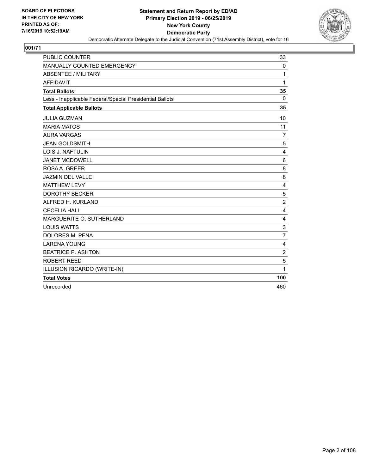

| <b>PUBLIC COUNTER</b>                                    | 33             |
|----------------------------------------------------------|----------------|
| MANUALLY COUNTED EMERGENCY                               | 0              |
| <b>ABSENTEE / MILITARY</b>                               | 1              |
| <b>AFFIDAVIT</b>                                         | 1              |
| <b>Total Ballots</b>                                     | 35             |
| Less - Inapplicable Federal/Special Presidential Ballots | $\mathbf 0$    |
| <b>Total Applicable Ballots</b>                          | 35             |
| <b>JULIA GUZMAN</b>                                      | 10             |
| <b>MARIA MATOS</b>                                       | 11             |
| <b>AURA VARGAS</b>                                       | $\overline{7}$ |
| <b>JEAN GOLDSMITH</b>                                    | 5              |
| <b>LOIS J. NAFTULIN</b>                                  | 4              |
| <b>JANET MCDOWELL</b>                                    | 6              |
| ROSA A. GREER                                            | 8              |
| <b>JAZMIN DEL VALLE</b>                                  | 8              |
| <b>MATTHEW LEVY</b>                                      | 4              |
| <b>DOROTHY BECKER</b>                                    | 5              |
| ALFRED H. KURLAND                                        | $\overline{c}$ |
| <b>CECELIA HALL</b>                                      | 4              |
| MARGUERITE O. SUTHERLAND                                 | 4              |
| <b>LOUIS WATTS</b>                                       | 3              |
| <b>DOLORES M. PENA</b>                                   | $\overline{7}$ |
| <b>LARENA YOUNG</b>                                      | 4              |
| <b>BEATRICE P. ASHTON</b>                                | $\overline{c}$ |
| <b>ROBERT REED</b>                                       | 5              |
| ILLUSION RICARDO (WRITE-IN)                              | 1              |
| <b>Total Votes</b>                                       | 100            |
| Unrecorded                                               | 460            |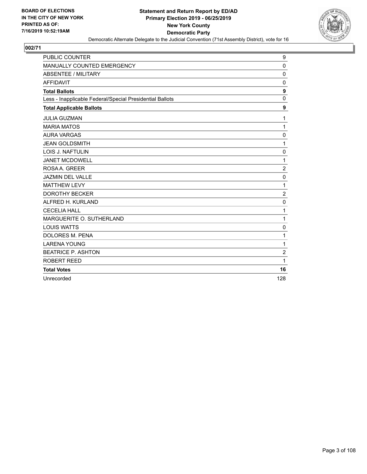

| <b>PUBLIC COUNTER</b>                                    | 9                |
|----------------------------------------------------------|------------------|
| MANUALLY COUNTED EMERGENCY                               | 0                |
| <b>ABSENTEE / MILITARY</b>                               | $\mathbf 0$      |
| <b>AFFIDAVIT</b>                                         | $\Omega$         |
| <b>Total Ballots</b>                                     | 9                |
| Less - Inapplicable Federal/Special Presidential Ballots | $\mathbf 0$      |
| <b>Total Applicable Ballots</b>                          | $\boldsymbol{9}$ |
| <b>JULIA GUZMAN</b>                                      | 1                |
| <b>MARIA MATOS</b>                                       | 1                |
| <b>AURA VARGAS</b>                                       | 0                |
| <b>JEAN GOLDSMITH</b>                                    | 1                |
| LOIS J. NAFTULIN                                         | $\mathbf 0$      |
| <b>JANET MCDOWELL</b>                                    | 1                |
| ROSA A. GREER                                            | $\overline{c}$   |
| <b>JAZMIN DEL VALLE</b>                                  | $\mathbf 0$      |
| <b>MATTHEW LEVY</b>                                      | 1                |
| <b>DOROTHY BECKER</b>                                    | $\overline{c}$   |
| ALFRED H. KURLAND                                        | 0                |
| <b>CECELIA HALL</b>                                      | 1                |
| MARGUERITE O. SUTHERLAND                                 | 1                |
| <b>LOUIS WATTS</b>                                       | 0                |
| <b>DOLORES M. PENA</b>                                   | 1                |
| <b>LARENA YOUNG</b>                                      | 1                |
| <b>BEATRICE P. ASHTON</b>                                | $\overline{c}$   |
| ROBERT REED                                              | 1                |
| <b>Total Votes</b>                                       | 16               |
| Unrecorded                                               | 128              |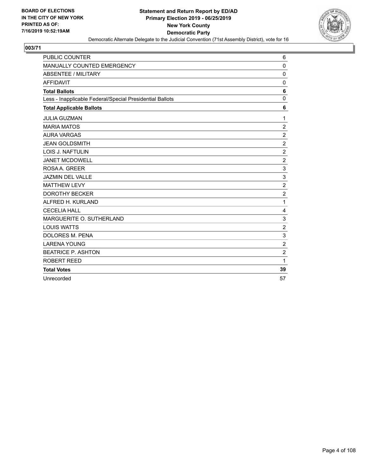

| <b>PUBLIC COUNTER</b>                                    | 6              |
|----------------------------------------------------------|----------------|
| MANUALLY COUNTED EMERGENCY                               | $\mathbf 0$    |
| <b>ABSENTEE / MILITARY</b>                               | $\mathbf 0$    |
| <b>AFFIDAVIT</b>                                         | $\Omega$       |
| <b>Total Ballots</b>                                     | 6              |
| Less - Inapplicable Federal/Special Presidential Ballots | $\mathbf 0$    |
| <b>Total Applicable Ballots</b>                          | 6              |
| <b>JULIA GUZMAN</b>                                      | 1              |
| <b>MARIA MATOS</b>                                       | $\overline{c}$ |
| <b>AURA VARGAS</b>                                       | $\overline{c}$ |
| <b>JEAN GOLDSMITH</b>                                    | $\overline{2}$ |
| <b>LOIS J. NAFTULIN</b>                                  | $\overline{c}$ |
| <b>JANET MCDOWELL</b>                                    | $\overline{c}$ |
| ROSA A. GREER                                            | 3              |
| <b>JAZMIN DEL VALLE</b>                                  | 3              |
| <b>MATTHEW LEVY</b>                                      | $\overline{c}$ |
| <b>DOROTHY BECKER</b>                                    | $\overline{c}$ |
| ALFRED H. KURLAND                                        | $\mathbf{1}$   |
| <b>CECELIA HALL</b>                                      | 4              |
| MARGUERITE O. SUTHERLAND                                 | 3              |
| <b>LOUIS WATTS</b>                                       | $\overline{2}$ |
| DOLORES M. PENA                                          | 3              |
| <b>LARENA YOUNG</b>                                      | $\overline{c}$ |
| <b>BEATRICE P. ASHTON</b>                                | $\overline{2}$ |
| <b>ROBERT REED</b>                                       | 1              |
| <b>Total Votes</b>                                       | 39             |
| Unrecorded                                               | 57             |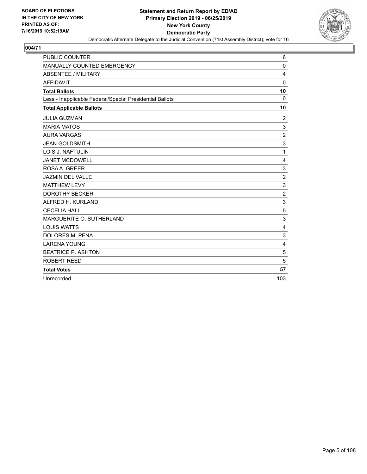

| <b>PUBLIC COUNTER</b>                                    | 6              |
|----------------------------------------------------------|----------------|
| MANUALLY COUNTED EMERGENCY                               | 0              |
| <b>ABSENTEE / MILITARY</b>                               | 4              |
| <b>AFFIDAVIT</b>                                         | $\Omega$       |
| <b>Total Ballots</b>                                     | 10             |
| Less - Inapplicable Federal/Special Presidential Ballots | $\Omega$       |
| <b>Total Applicable Ballots</b>                          | 10             |
| <b>JULIA GUZMAN</b>                                      | 2              |
| <b>MARIA MATOS</b>                                       | 3              |
| <b>AURA VARGAS</b>                                       | $\overline{c}$ |
| <b>JEAN GOLDSMITH</b>                                    | 3              |
| LOIS J. NAFTULIN                                         | 1              |
| <b>JANET MCDOWELL</b>                                    | 4              |
| ROSA A. GREER                                            | 3              |
| JAZMIN DEL VALLE                                         | $\overline{2}$ |
| <b>MATTHEW LEVY</b>                                      | 3              |
| <b>DOROTHY BECKER</b>                                    | $\overline{c}$ |
| ALFRED H. KURLAND                                        | 3              |
| <b>CECELIA HALL</b>                                      | 5              |
| MARGUERITE O. SUTHERLAND                                 | 3              |
| <b>LOUIS WATTS</b>                                       | 4              |
| <b>DOLORES M. PENA</b>                                   | 3              |
| <b>LARENA YOUNG</b>                                      | $\overline{4}$ |
| <b>BEATRICE P. ASHTON</b>                                | 5              |
| <b>ROBERT REED</b>                                       | 5              |
| <b>Total Votes</b>                                       | 57             |
| Unrecorded                                               | 103            |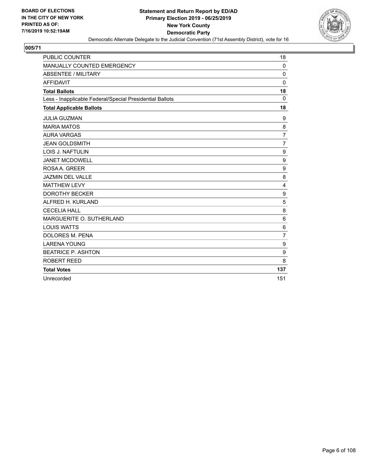

| <b>PUBLIC COUNTER</b>                                    | 18             |
|----------------------------------------------------------|----------------|
| MANUALLY COUNTED EMERGENCY                               | 0              |
| <b>ABSENTEE / MILITARY</b>                               | 0              |
| <b>AFFIDAVIT</b>                                         | $\Omega$       |
| <b>Total Ballots</b>                                     | 18             |
| Less - Inapplicable Federal/Special Presidential Ballots | $\Omega$       |
| <b>Total Applicable Ballots</b>                          | 18             |
| <b>JULIA GUZMAN</b>                                      | 9              |
| <b>MARIA MATOS</b>                                       | 8              |
| <b>AURA VARGAS</b>                                       | 7              |
| <b>JEAN GOLDSMITH</b>                                    | $\overline{7}$ |
| <b>LOIS J. NAFTULIN</b>                                  | 9              |
| <b>JANET MCDOWELL</b>                                    | 9              |
| ROSA A. GREER                                            | 9              |
| <b>JAZMIN DEL VALLE</b>                                  | 8              |
| <b>MATTHEW LEVY</b>                                      | 4              |
| <b>DOROTHY BECKER</b>                                    | 9              |
| ALFRED H. KURLAND                                        | 5              |
| <b>CECELIA HALL</b>                                      | 8              |
| MARGUERITE O. SUTHERLAND                                 | 6              |
| <b>LOUIS WATTS</b>                                       | 6              |
| DOLORES M. PENA                                          | $\overline{7}$ |
| <b>LARENA YOUNG</b>                                      | 9              |
| <b>BEATRICE P. ASHTON</b>                                | 9              |
| ROBERT REED                                              | 8              |
| <b>Total Votes</b>                                       | 137            |
| Unrecorded                                               | 151            |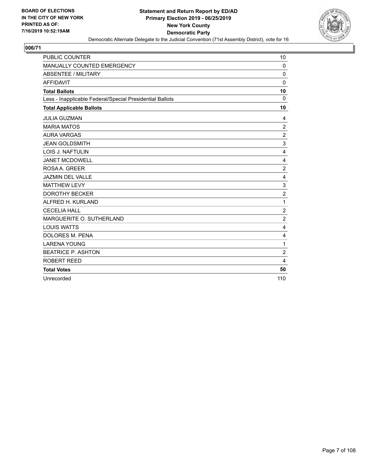

| <b>PUBLIC COUNTER</b>                                    | 10               |
|----------------------------------------------------------|------------------|
| MANUALLY COUNTED EMERGENCY                               | 0                |
| <b>ABSENTEE / MILITARY</b>                               | $\mathbf 0$      |
| <b>AFFIDAVIT</b>                                         | $\Omega$         |
| <b>Total Ballots</b>                                     | 10               |
| Less - Inapplicable Federal/Special Presidential Ballots | $\Omega$         |
| <b>Total Applicable Ballots</b>                          | 10               |
| <b>JULIA GUZMAN</b>                                      | 4                |
| <b>MARIA MATOS</b>                                       | $\overline{2}$   |
| <b>AURA VARGAS</b>                                       | $\overline{c}$   |
| <b>JEAN GOLDSMITH</b>                                    | 3                |
| <b>LOIS J. NAFTULIN</b>                                  | $\overline{4}$   |
| <b>JANET MCDOWELL</b>                                    | 4                |
| ROSA A. GREER                                            | $\overline{c}$   |
| <b>JAZMIN DEL VALLE</b>                                  | $\overline{4}$   |
| <b>MATTHEW LEVY</b>                                      | $\mathsf 3$      |
| <b>DOROTHY BECKER</b>                                    | $\boldsymbol{2}$ |
| ALFRED H. KURLAND                                        | 1                |
| <b>CECELIA HALL</b>                                      | $\overline{c}$   |
| MARGUERITE O. SUTHERLAND                                 | $\overline{2}$   |
| <b>LOUIS WATTS</b>                                       | 4                |
| DOLORES M. PENA                                          | 4                |
| <b>LARENA YOUNG</b>                                      | 1                |
| <b>BEATRICE P. ASHTON</b>                                | $\overline{c}$   |
| ROBERT REED                                              | 4                |
| <b>Total Votes</b>                                       | 50               |
| Unrecorded                                               | 110              |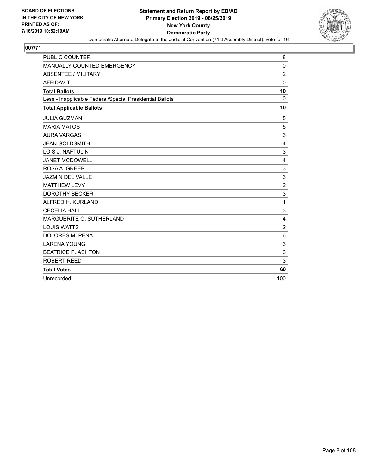

| <b>PUBLIC COUNTER</b>                                    | 8              |
|----------------------------------------------------------|----------------|
| MANUALLY COUNTED EMERGENCY                               | 0              |
| <b>ABSENTEE / MILITARY</b>                               | $\overline{c}$ |
| <b>AFFIDAVIT</b>                                         | $\mathbf{0}$   |
| <b>Total Ballots</b>                                     | 10             |
| Less - Inapplicable Federal/Special Presidential Ballots | $\mathbf 0$    |
| <b>Total Applicable Ballots</b>                          | 10             |
| <b>JULIA GUZMAN</b>                                      | 5              |
| <b>MARIA MATOS</b>                                       | 5              |
| <b>AURA VARGAS</b>                                       | 3              |
| <b>JEAN GOLDSMITH</b>                                    | $\overline{4}$ |
| LOIS J. NAFTULIN                                         | 3              |
| <b>JANET MCDOWELL</b>                                    | 4              |
| ROSA A. GREER                                            | 3              |
| <b>JAZMIN DEL VALLE</b>                                  | 3              |
| <b>MATTHEW LEVY</b>                                      | $\overline{c}$ |
| <b>DOROTHY BECKER</b>                                    | 3              |
| ALFRED H. KURLAND                                        | 1              |
| <b>CECELIA HALL</b>                                      | 3              |
| MARGUERITE O. SUTHERLAND                                 | 4              |
| <b>LOUIS WATTS</b>                                       | $\overline{c}$ |
| <b>DOLORES M. PENA</b>                                   | 6              |
| <b>LARENA YOUNG</b>                                      | 3              |
| <b>BEATRICE P. ASHTON</b>                                | 3              |
| ROBERT REED                                              | 3              |
| <b>Total Votes</b>                                       | 60             |
| Unrecorded                                               | 100            |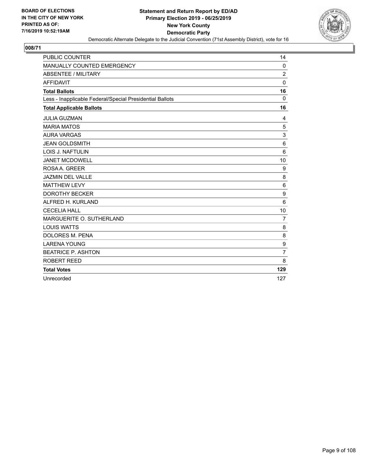

| <b>PUBLIC COUNTER</b>                                    | 14             |
|----------------------------------------------------------|----------------|
| MANUALLY COUNTED EMERGENCY                               | 0              |
| <b>ABSENTEE / MILITARY</b>                               | $\overline{c}$ |
| <b>AFFIDAVIT</b>                                         | $\Omega$       |
| <b>Total Ballots</b>                                     | 16             |
| Less - Inapplicable Federal/Special Presidential Ballots | $\Omega$       |
| <b>Total Applicable Ballots</b>                          | 16             |
| <b>JULIA GUZMAN</b>                                      | 4              |
| <b>MARIA MATOS</b>                                       | 5              |
| <b>AURA VARGAS</b>                                       | 3              |
| <b>JEAN GOLDSMITH</b>                                    | 6              |
| <b>LOIS J. NAFTULIN</b>                                  | 6              |
| <b>JANET MCDOWELL</b>                                    | 10             |
| ROSA A. GREER                                            | 9              |
| <b>JAZMIN DEL VALLE</b>                                  | 8              |
| <b>MATTHEW LEVY</b>                                      | 6              |
| <b>DOROTHY BECKER</b>                                    | 9              |
| ALFRED H. KURLAND                                        | 6              |
| <b>CECELIA HALL</b>                                      | 10             |
| MARGUERITE O. SUTHERLAND                                 | $\overline{7}$ |
| <b>LOUIS WATTS</b>                                       | 8              |
| DOLORES M. PENA                                          | 8              |
| <b>LARENA YOUNG</b>                                      | 9              |
| <b>BEATRICE P. ASHTON</b>                                | $\overline{7}$ |
| ROBERT REED                                              | 8              |
| <b>Total Votes</b>                                       | 129            |
| Unrecorded                                               | 127            |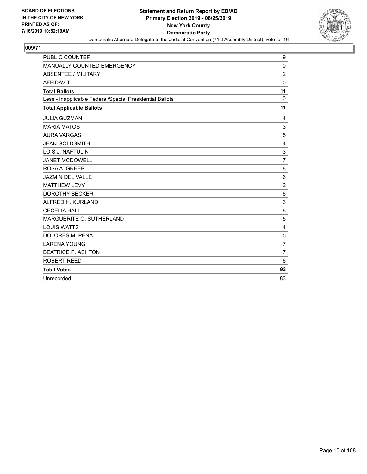

| <b>PUBLIC COUNTER</b>                                    | 9              |
|----------------------------------------------------------|----------------|
| MANUALLY COUNTED EMERGENCY                               | 0              |
| <b>ABSENTEE / MILITARY</b>                               | $\overline{c}$ |
| <b>AFFIDAVIT</b>                                         | $\mathbf{0}$   |
| <b>Total Ballots</b>                                     | 11             |
| Less - Inapplicable Federal/Special Presidential Ballots | $\mathbf 0$    |
| <b>Total Applicable Ballots</b>                          | 11             |
| <b>JULIA GUZMAN</b>                                      | 4              |
| <b>MARIA MATOS</b>                                       | $\mathsf 3$    |
| <b>AURA VARGAS</b>                                       | 5              |
| <b>JEAN GOLDSMITH</b>                                    | $\overline{4}$ |
| LOIS J. NAFTULIN                                         | 3              |
| <b>JANET MCDOWELL</b>                                    | $\overline{7}$ |
| ROSA A. GREER                                            | 8              |
| <b>JAZMIN DEL VALLE</b>                                  | 6              |
| <b>MATTHEW LEVY</b>                                      | $\overline{c}$ |
| <b>DOROTHY BECKER</b>                                    | 6              |
| ALFRED H. KURLAND                                        | 3              |
| <b>CECELIA HALL</b>                                      | 8              |
| MARGUERITE O. SUTHERLAND                                 | 5              |
| <b>LOUIS WATTS</b>                                       | 4              |
| <b>DOLORES M. PENA</b>                                   | 5              |
| <b>LARENA YOUNG</b>                                      | $\overline{7}$ |
| <b>BEATRICE P. ASHTON</b>                                | $\overline{7}$ |
| ROBERT REED                                              | 6              |
| <b>Total Votes</b>                                       | 93             |
| Unrecorded                                               | 83             |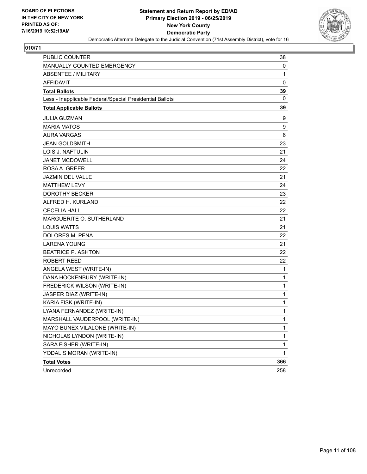

| <b>PUBLIC COUNTER</b>                                    | 38           |
|----------------------------------------------------------|--------------|
| MANUALLY COUNTED EMERGENCY                               | 0            |
| <b>ABSENTEE / MILITARY</b>                               | $\mathbf{1}$ |
| <b>AFFIDAVIT</b>                                         | 0            |
| <b>Total Ballots</b>                                     | 39           |
| Less - Inapplicable Federal/Special Presidential Ballots | 0            |
| <b>Total Applicable Ballots</b>                          | 39           |
| <b>JULIA GUZMAN</b>                                      | 9            |
| <b>MARIA MATOS</b>                                       | 9            |
| <b>AURA VARGAS</b>                                       | 6            |
| <b>JEAN GOLDSMITH</b>                                    | 23           |
| <b>LOIS J. NAFTULIN</b>                                  | 21           |
| <b>JANET MCDOWELL</b>                                    | 24           |
| ROSAA, GREER                                             | 22           |
| JAZMIN DEL VALLE                                         | 21           |
| <b>MATTHEW LEVY</b>                                      | 24           |
| <b>DOROTHY BECKER</b>                                    | 23           |
| ALFRED H. KURLAND                                        | 22           |
| <b>CECELIA HALL</b>                                      | 22           |
| MARGUERITE O. SUTHERLAND                                 | 21           |
| <b>LOUIS WATTS</b>                                       | 21           |
| <b>DOLORES M. PENA</b>                                   | 22           |
| <b>LARENA YOUNG</b>                                      | 21           |
| <b>BEATRICE P. ASHTON</b>                                | 22           |
| ROBERT REED                                              | 22           |
| ANGELA WEST (WRITE-IN)                                   | 1            |
| DANA HOCKENBURY (WRITE-IN)                               | 1            |
| FREDERICK WILSON (WRITE-IN)                              | $\mathbf{1}$ |
| JASPER DIAZ (WRITE-IN)                                   | 1            |
| KARIA FISK (WRITE-IN)                                    | 1            |
| LYANA FERNANDEZ (WRITE-IN)                               | $\mathbf{1}$ |
| MARSHALL VAUDERPOOL (WRITE-IN)                           | 1            |
| MAYO BUNEX VILALONE (WRITE-IN)                           | 1            |
| NICHOLAS LYNDON (WRITE-IN)                               | $\mathbf{1}$ |
| SARA FISHER (WRITE-IN)                                   | 1            |
| YODALIS MORAN (WRITE-IN)                                 | $\mathbf{1}$ |
| <b>Total Votes</b>                                       | 366          |
| Unrecorded                                               | 258          |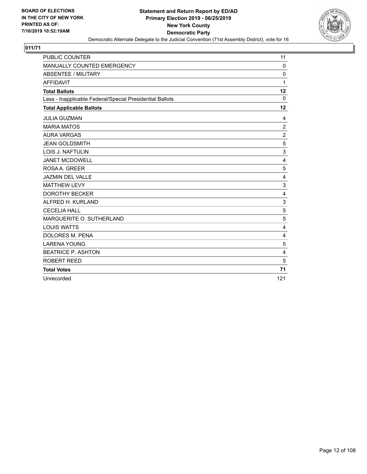

| <b>PUBLIC COUNTER</b>                                    | 11             |
|----------------------------------------------------------|----------------|
| MANUALLY COUNTED EMERGENCY                               | $\mathbf 0$    |
| <b>ABSENTEE / MILITARY</b>                               | $\Omega$       |
| <b>AFFIDAVIT</b>                                         | 1              |
| <b>Total Ballots</b>                                     | 12             |
| Less - Inapplicable Federal/Special Presidential Ballots | $\Omega$       |
| <b>Total Applicable Ballots</b>                          | 12             |
| <b>JULIA GUZMAN</b>                                      | 4              |
| <b>MARIA MATOS</b>                                       | $\overline{2}$ |
| <b>AURA VARGAS</b>                                       | $\overline{2}$ |
| <b>JEAN GOLDSMITH</b>                                    | 5              |
| LOIS J. NAFTULIN                                         | 3              |
| <b>JANET MCDOWELL</b>                                    | $\overline{4}$ |
| ROSA A. GREER                                            | 5              |
| <b>JAZMIN DEL VALLE</b>                                  | 4              |
| <b>MATTHEW LEVY</b>                                      | 3              |
| <b>DOROTHY BECKER</b>                                    | 4              |
| ALFRED H. KURLAND                                        | 3              |
| <b>CECELIA HALL</b>                                      | 5              |
| MARGUERITE O. SUTHERLAND                                 | 5              |
| <b>LOUIS WATTS</b>                                       | 4              |
| <b>DOLORES M. PENA</b>                                   | 4              |
| <b>LARENA YOUNG</b>                                      | 5              |
| <b>BEATRICE P. ASHTON</b>                                | $\overline{4}$ |
| ROBERT REED                                              | 5              |
| <b>Total Votes</b>                                       | 71             |
| Unrecorded                                               | 121            |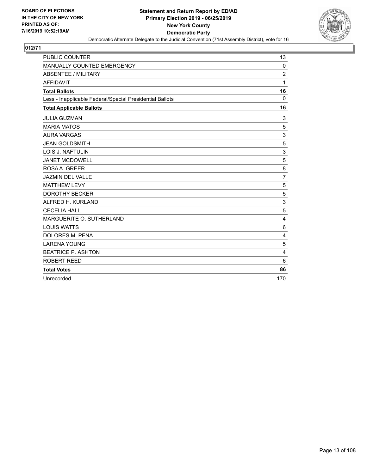

| <b>PUBLIC COUNTER</b>                                    | 13             |
|----------------------------------------------------------|----------------|
| MANUALLY COUNTED EMERGENCY                               | 0              |
| <b>ABSENTEE / MILITARY</b>                               | $\overline{c}$ |
| <b>AFFIDAVIT</b>                                         | 1              |
| <b>Total Ballots</b>                                     | 16             |
| Less - Inapplicable Federal/Special Presidential Ballots | $\mathbf 0$    |
| <b>Total Applicable Ballots</b>                          | 16             |
| <b>JULIA GUZMAN</b>                                      | 3              |
| <b>MARIA MATOS</b>                                       | 5              |
| <b>AURA VARGAS</b>                                       | 3              |
| <b>JEAN GOLDSMITH</b>                                    | 5              |
| LOIS J. NAFTULIN                                         | 3              |
| <b>JANET MCDOWELL</b>                                    | 5              |
| ROSA A. GREER                                            | 8              |
| JAZMIN DEL VALLE                                         | $\overline{7}$ |
| <b>MATTHEW LEVY</b>                                      | 5              |
| <b>DOROTHY BECKER</b>                                    | 5              |
| ALFRED H. KURLAND                                        | 3              |
| <b>CECELIA HALL</b>                                      | 5              |
| MARGUERITE O. SUTHERLAND                                 | 4              |
| <b>LOUIS WATTS</b>                                       | 6              |
| <b>DOLORES M. PENA</b>                                   | 4              |
| <b>LARENA YOUNG</b>                                      | 5              |
| <b>BEATRICE P. ASHTON</b>                                | $\overline{4}$ |
| ROBERT REED                                              | 6              |
| <b>Total Votes</b>                                       | 86             |
| Unrecorded                                               | 170            |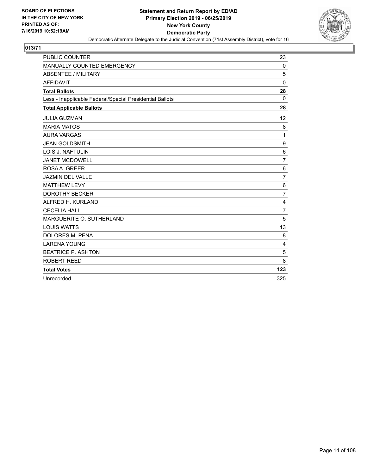

| <b>PUBLIC COUNTER</b>                                    | 23             |
|----------------------------------------------------------|----------------|
| MANUALLY COUNTED EMERGENCY                               | 0              |
| <b>ABSENTEE / MILITARY</b>                               | 5              |
| <b>AFFIDAVIT</b>                                         | $\mathbf{0}$   |
| <b>Total Ballots</b>                                     | 28             |
| Less - Inapplicable Federal/Special Presidential Ballots | $\Omega$       |
| <b>Total Applicable Ballots</b>                          | 28             |
| <b>JULIA GUZMAN</b>                                      | 12             |
| <b>MARIA MATOS</b>                                       | 8              |
| <b>AURA VARGAS</b>                                       | 1              |
| <b>JEAN GOLDSMITH</b>                                    | 9              |
| LOIS J. NAFTULIN                                         | 6              |
| <b>JANET MCDOWELL</b>                                    | $\overline{7}$ |
| ROSA A. GREER                                            | 6              |
| <b>JAZMIN DEL VALLE</b>                                  | $\overline{7}$ |
| <b>MATTHEW LEVY</b>                                      | $6\phantom{1}$ |
| <b>DOROTHY BECKER</b>                                    | $\overline{7}$ |
| ALFRED H. KURLAND                                        | 4              |
| <b>CECELIA HALL</b>                                      | $\overline{7}$ |
| MARGUERITE O. SUTHERLAND                                 | 5              |
| <b>LOUIS WATTS</b>                                       | 13             |
| <b>DOLORES M. PENA</b>                                   | 8              |
| <b>LARENA YOUNG</b>                                      | 4              |
| <b>BEATRICE P. ASHTON</b>                                | 5              |
| ROBERT REED                                              | 8              |
| <b>Total Votes</b>                                       | 123            |
| Unrecorded                                               | 325            |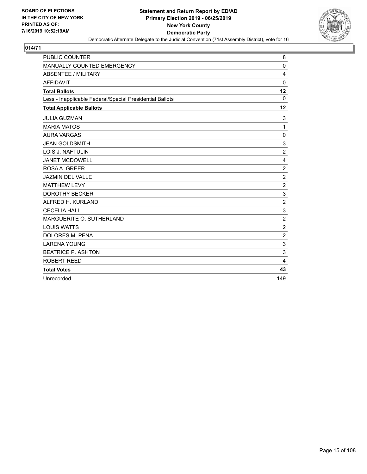

| <b>PUBLIC COUNTER</b>                                    | 8              |
|----------------------------------------------------------|----------------|
| MANUALLY COUNTED EMERGENCY                               | $\mathbf 0$    |
| <b>ABSENTEE / MILITARY</b>                               | 4              |
| <b>AFFIDAVIT</b>                                         | $\Omega$       |
| <b>Total Ballots</b>                                     | 12             |
| Less - Inapplicable Federal/Special Presidential Ballots | $\mathbf 0$    |
| <b>Total Applicable Ballots</b>                          | 12             |
| <b>JULIA GUZMAN</b>                                      | 3              |
| <b>MARIA MATOS</b>                                       | $\mathbf{1}$   |
| <b>AURA VARGAS</b>                                       | $\mathbf 0$    |
| <b>JEAN GOLDSMITH</b>                                    | 3              |
| <b>LOIS J. NAFTULIN</b>                                  | $\overline{2}$ |
| <b>JANET MCDOWELL</b>                                    | 4              |
| ROSA A. GREER                                            | $\overline{2}$ |
| <b>JAZMIN DEL VALLE</b>                                  | $\overline{c}$ |
| <b>MATTHEW LEVY</b>                                      | $\overline{2}$ |
| <b>DOROTHY BECKER</b>                                    | 3              |
| ALFRED H. KURLAND                                        | $\overline{c}$ |
| <b>CECELIA HALL</b>                                      | 3              |
| MARGUERITE O. SUTHERLAND                                 | $\overline{2}$ |
| <b>LOUIS WATTS</b>                                       | $\overline{c}$ |
| <b>DOLORES M. PENA</b>                                   | $\overline{2}$ |
| <b>LARENA YOUNG</b>                                      | 3              |
| <b>BEATRICE P. ASHTON</b>                                | 3              |
| ROBERT REED                                              | 4              |
| <b>Total Votes</b>                                       | 43             |
| Unrecorded                                               | 149            |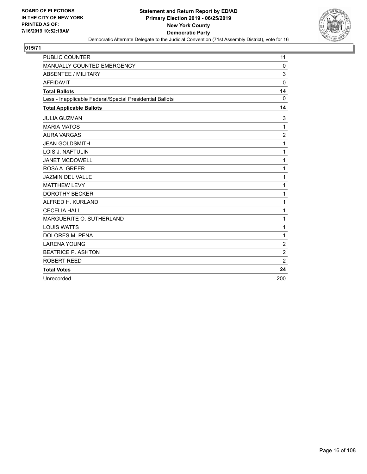

| <b>PUBLIC COUNTER</b>                                    | 11             |
|----------------------------------------------------------|----------------|
| MANUALLY COUNTED EMERGENCY                               | 0              |
| <b>ABSENTEE / MILITARY</b>                               | 3              |
| <b>AFFIDAVIT</b>                                         | $\mathbf{0}$   |
| <b>Total Ballots</b>                                     | 14             |
| Less - Inapplicable Federal/Special Presidential Ballots | $\Omega$       |
| <b>Total Applicable Ballots</b>                          | 14             |
| <b>JULIA GUZMAN</b>                                      | 3              |
| <b>MARIA MATOS</b>                                       | 1              |
| <b>AURA VARGAS</b>                                       | $\overline{c}$ |
| <b>JEAN GOLDSMITH</b>                                    | 1              |
| LOIS J. NAFTULIN                                         | 1              |
| <b>JANET MCDOWELL</b>                                    | $\mathbf{1}$   |
| ROSA A. GREER                                            | 1              |
| <b>JAZMIN DEL VALLE</b>                                  | 1              |
| <b>MATTHEW LEVY</b>                                      | 1              |
| <b>DOROTHY BECKER</b>                                    | 1              |
| ALFRED H. KURLAND                                        | 1              |
| <b>CECELIA HALL</b>                                      | 1              |
| MARGUERITE O. SUTHERLAND                                 | 1              |
| <b>LOUIS WATTS</b>                                       | $\mathbf{1}$   |
| <b>DOLORES M. PENA</b>                                   | 1              |
| <b>LARENA YOUNG</b>                                      | $\overline{2}$ |
| <b>BEATRICE P. ASHTON</b>                                | $\overline{c}$ |
| <b>ROBERT REED</b>                                       | $\overline{2}$ |
| <b>Total Votes</b>                                       | 24             |
| Unrecorded                                               | 200            |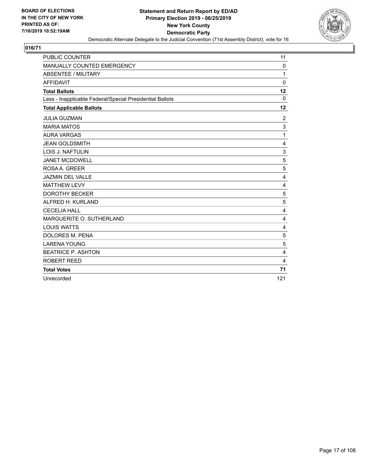

| <b>PUBLIC COUNTER</b>                                    | 11             |
|----------------------------------------------------------|----------------|
| MANUALLY COUNTED EMERGENCY                               | 0              |
| <b>ABSENTEE / MILITARY</b>                               | 1              |
| <b>AFFIDAVIT</b>                                         | $\Omega$       |
| <b>Total Ballots</b>                                     | 12             |
| Less - Inapplicable Federal/Special Presidential Ballots | $\Omega$       |
| <b>Total Applicable Ballots</b>                          | 12             |
| <b>JULIA GUZMAN</b>                                      | $\overline{c}$ |
| <b>MARIA MATOS</b>                                       | 3              |
| <b>AURA VARGAS</b>                                       | 1              |
| <b>JEAN GOLDSMITH</b>                                    | 4              |
| LOIS J. NAFTULIN                                         | 3              |
| <b>JANET MCDOWELL</b>                                    | 5              |
| ROSA A. GREER                                            | 5              |
| <b>JAZMIN DEL VALLE</b>                                  | 4              |
| <b>MATTHEW LEVY</b>                                      | 4              |
| <b>DOROTHY BECKER</b>                                    | 5              |
| ALFRED H. KURLAND                                        | 5              |
| <b>CECELIA HALL</b>                                      | $\overline{4}$ |
| MARGUERITE O. SUTHERLAND                                 | 4              |
| <b>LOUIS WATTS</b>                                       | 4              |
| <b>DOLORES M. PENA</b>                                   | 5              |
| <b>LARENA YOUNG</b>                                      | 5              |
| <b>BEATRICE P. ASHTON</b>                                | 4              |
| <b>ROBERT REED</b>                                       | 4              |
| <b>Total Votes</b>                                       | 71             |
| Unrecorded                                               | 121            |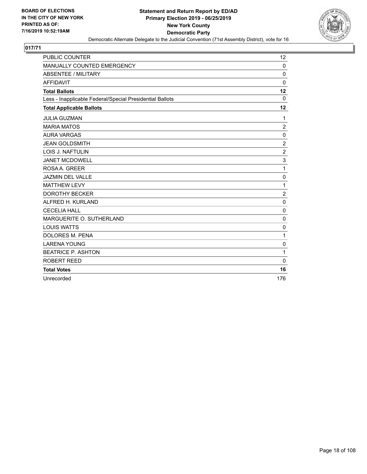

| <b>PUBLIC COUNTER</b>                                    | 12               |
|----------------------------------------------------------|------------------|
| MANUALLY COUNTED EMERGENCY                               | 0                |
| <b>ABSENTEE / MILITARY</b>                               | $\Omega$         |
| <b>AFFIDAVIT</b>                                         | $\Omega$         |
| <b>Total Ballots</b>                                     | 12               |
| Less - Inapplicable Federal/Special Presidential Ballots | $\Omega$         |
| <b>Total Applicable Ballots</b>                          | 12               |
| <b>JULIA GUZMAN</b>                                      | 1                |
| <b>MARIA MATOS</b>                                       | $\overline{c}$   |
| <b>AURA VARGAS</b>                                       | 0                |
| <b>JEAN GOLDSMITH</b>                                    | $\boldsymbol{2}$ |
| LOIS J. NAFTULIN                                         | $\overline{2}$   |
| <b>JANET MCDOWELL</b>                                    | 3                |
| ROSA A. GREER                                            | 1                |
| <b>JAZMIN DEL VALLE</b>                                  | 0                |
| <b>MATTHEW LEVY</b>                                      | 1                |
| <b>DOROTHY BECKER</b>                                    | $\overline{c}$   |
| ALFRED H. KURLAND                                        | $\mathbf 0$      |
| <b>CECELIA HALL</b>                                      | $\mathbf{0}$     |
| MARGUERITE O. SUTHERLAND                                 | $\Omega$         |
| <b>LOUIS WATTS</b>                                       | $\mathbf 0$      |
| <b>DOLORES M. PENA</b>                                   | 1                |
| <b>LARENA YOUNG</b>                                      | 0                |
| <b>BEATRICE P. ASHTON</b>                                | 1                |
| <b>ROBERT REED</b>                                       | $\mathbf{0}$     |
| <b>Total Votes</b>                                       | 16               |
| Unrecorded                                               | 176              |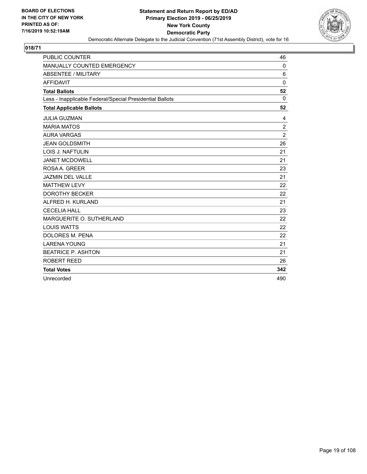

| <b>PUBLIC COUNTER</b>                                    | 46             |
|----------------------------------------------------------|----------------|
| MANUALLY COUNTED EMERGENCY                               | 0              |
| <b>ABSENTEE / MILITARY</b>                               | 6              |
| <b>AFFIDAVIT</b>                                         | $\Omega$       |
| <b>Total Ballots</b>                                     | 52             |
| Less - Inapplicable Federal/Special Presidential Ballots | $\Omega$       |
| <b>Total Applicable Ballots</b>                          | 52             |
| <b>JULIA GUZMAN</b>                                      | 4              |
| <b>MARIA MATOS</b>                                       | $\overline{c}$ |
| <b>AURA VARGAS</b>                                       | $\overline{2}$ |
| <b>JEAN GOLDSMITH</b>                                    | 26             |
| LOIS J. NAFTULIN                                         | 21             |
| <b>JANET MCDOWELL</b>                                    | 21             |
| ROSA A. GREER                                            | 23             |
| <b>JAZMIN DEL VALLE</b>                                  | 21             |
| <b>MATTHEW LEVY</b>                                      | 22             |
| <b>DOROTHY BECKER</b>                                    | 22             |
| ALFRED H. KURLAND                                        | 21             |
| <b>CECELIA HALL</b>                                      | 23             |
| MARGUERITE O. SUTHERLAND                                 | 22             |
| <b>LOUIS WATTS</b>                                       | 22             |
| DOLORES M. PENA                                          | 22             |
| <b>LARENA YOUNG</b>                                      | 21             |
| <b>BEATRICE P. ASHTON</b>                                | 21             |
| <b>ROBERT REED</b>                                       | 26             |
| <b>Total Votes</b>                                       | 342            |
| Unrecorded                                               | 490            |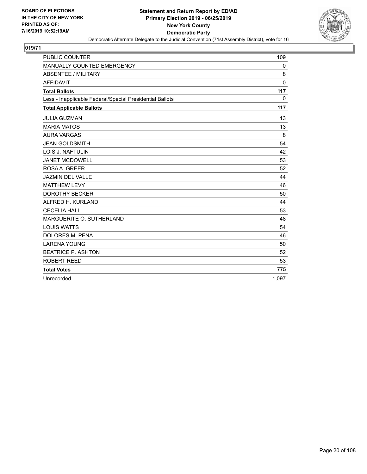

| <b>PUBLIC COUNTER</b>                                    | 109          |
|----------------------------------------------------------|--------------|
| MANUALLY COUNTED EMERGENCY                               | 0            |
| <b>ABSENTEE / MILITARY</b>                               | 8            |
| <b>AFFIDAVIT</b>                                         | $\mathbf{0}$ |
| <b>Total Ballots</b>                                     | 117          |
| Less - Inapplicable Federal/Special Presidential Ballots | 0            |
| <b>Total Applicable Ballots</b>                          | 117          |
| <b>JULIA GUZMAN</b>                                      | 13           |
| <b>MARIA MATOS</b>                                       | 13           |
| <b>AURA VARGAS</b>                                       | 8            |
| <b>JEAN GOLDSMITH</b>                                    | 54           |
| <b>LOIS J. NAFTULIN</b>                                  | 42           |
| <b>JANET MCDOWELL</b>                                    | 53           |
| ROSA A. GREER                                            | 52           |
| <b>JAZMIN DEL VALLE</b>                                  | 44           |
| <b>MATTHEW LEVY</b>                                      | 46           |
| <b>DOROTHY BECKER</b>                                    | 50           |
| ALFRED H. KURLAND                                        | 44           |
| <b>CECELIA HALL</b>                                      | 53           |
| MARGUERITE O. SUTHERLAND                                 | 48           |
| <b>LOUIS WATTS</b>                                       | 54           |
| DOLORES M. PENA                                          | 46           |
| <b>LARENA YOUNG</b>                                      | 50           |
| <b>BEATRICE P. ASHTON</b>                                | 52           |
| <b>ROBERT REED</b>                                       | 53           |
| <b>Total Votes</b>                                       | 775          |
| Unrecorded                                               | 1.097        |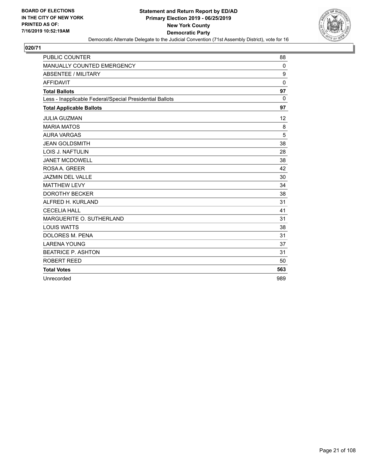

| <b>PUBLIC COUNTER</b>                                    | 88       |
|----------------------------------------------------------|----------|
| MANUALLY COUNTED EMERGENCY                               | 0        |
| <b>ABSENTEE / MILITARY</b>                               | 9        |
| <b>AFFIDAVIT</b>                                         | $\Omega$ |
| <b>Total Ballots</b>                                     | 97       |
| Less - Inapplicable Federal/Special Presidential Ballots | $\Omega$ |
| <b>Total Applicable Ballots</b>                          | 97       |
| <b>JULIA GUZMAN</b>                                      | 12       |
| <b>MARIA MATOS</b>                                       | 8        |
| <b>AURA VARGAS</b>                                       | 5        |
| <b>JEAN GOLDSMITH</b>                                    | 38       |
| LOIS J. NAFTULIN                                         | 28       |
| <b>JANET MCDOWELL</b>                                    | 38       |
| ROSA A. GREER                                            | 42       |
| <b>JAZMIN DEL VALLE</b>                                  | 30       |
| <b>MATTHEW LEVY</b>                                      | 34       |
| <b>DOROTHY BECKER</b>                                    | 38       |
| ALFRED H. KURLAND                                        | 31       |
| <b>CECELIA HALL</b>                                      | 41       |
| MARGUERITE O. SUTHERLAND                                 | 31       |
| <b>LOUIS WATTS</b>                                       | 38       |
| DOLORES M. PENA                                          | 31       |
| <b>LARENA YOUNG</b>                                      | 37       |
| <b>BEATRICE P. ASHTON</b>                                | 31       |
| <b>ROBERT REED</b>                                       | 50       |
| <b>Total Votes</b>                                       | 563      |
| Unrecorded                                               | 989      |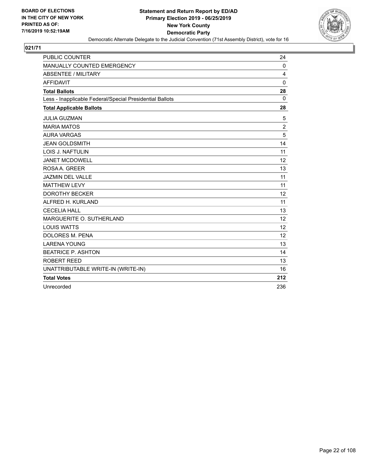

| <b>PUBLIC COUNTER</b>                                    | 24             |
|----------------------------------------------------------|----------------|
| MANUALLY COUNTED EMERGENCY                               | $\mathbf 0$    |
| <b>ABSENTEE / MILITARY</b>                               | 4              |
| <b>AFFIDAVIT</b>                                         | 0              |
| <b>Total Ballots</b>                                     | 28             |
| Less - Inapplicable Federal/Special Presidential Ballots | $\Omega$       |
| <b>Total Applicable Ballots</b>                          | 28             |
| <b>JULIA GUZMAN</b>                                      | 5              |
| <b>MARIA MATOS</b>                                       | $\overline{2}$ |
| <b>AURA VARGAS</b>                                       | 5              |
| <b>JEAN GOLDSMITH</b>                                    | 14             |
| <b>LOIS J. NAFTULIN</b>                                  | 11             |
| <b>JANET MCDOWELL</b>                                    | 12             |
| ROSA A. GREER                                            | 13             |
| <b>JAZMIN DEL VALLE</b>                                  | 11             |
| <b>MATTHEW LEVY</b>                                      | 11             |
| <b>DOROTHY BECKER</b>                                    | 12             |
| ALFRED H. KURLAND                                        | 11             |
| <b>CECELIA HALL</b>                                      | 13             |
| MARGUERITE O. SUTHERLAND                                 | 12             |
| <b>LOUIS WATTS</b>                                       | 12             |
| <b>DOLORES M. PENA</b>                                   | 12             |
| <b>LARENA YOUNG</b>                                      | 13             |
| <b>BEATRICE P. ASHTON</b>                                | 14             |
| <b>ROBERT REED</b>                                       | 13             |
| UNATTRIBUTABLE WRITE-IN (WRITE-IN)                       | 16             |
| <b>Total Votes</b>                                       | 212            |
| Unrecorded                                               | 236            |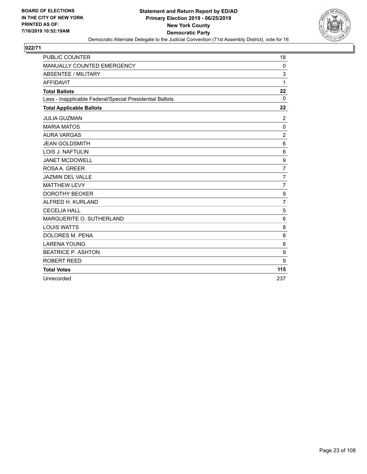

| <b>PUBLIC COUNTER</b>                                    | 18               |
|----------------------------------------------------------|------------------|
| MANUALLY COUNTED EMERGENCY                               | 0                |
| <b>ABSENTEE / MILITARY</b>                               | 3                |
| <b>AFFIDAVIT</b>                                         | 1                |
| <b>Total Ballots</b>                                     | 22               |
| Less - Inapplicable Federal/Special Presidential Ballots | $\Omega$         |
| <b>Total Applicable Ballots</b>                          | 22               |
| <b>JULIA GUZMAN</b>                                      | $\overline{c}$   |
| <b>MARIA MATOS</b>                                       | 0                |
| <b>AURA VARGAS</b>                                       | $\overline{c}$   |
| <b>JEAN GOLDSMITH</b>                                    | 6                |
| LOIS J. NAFTULIN                                         | 6                |
| <b>JANET MCDOWELL</b>                                    | $\boldsymbol{9}$ |
| ROSA A. GREER                                            | $\overline{7}$   |
| JAZMIN DEL VALLE                                         | $\overline{7}$   |
| <b>MATTHEW LEVY</b>                                      | $\overline{7}$   |
| <b>DOROTHY BECKER</b>                                    | 9                |
| ALFRED H. KURLAND                                        | $\overline{7}$   |
| <b>CECELIA HALL</b>                                      | 5                |
| MARGUERITE O. SUTHERLAND                                 | 6                |
| <b>LOUIS WATTS</b>                                       | 8                |
| <b>DOLORES M. PENA</b>                                   | 8                |
| <b>LARENA YOUNG</b>                                      | 8                |
| <b>BEATRICE P. ASHTON</b>                                | 9                |
| ROBERT REED                                              | 9                |
| <b>Total Votes</b>                                       | 115              |
| Unrecorded                                               | 237              |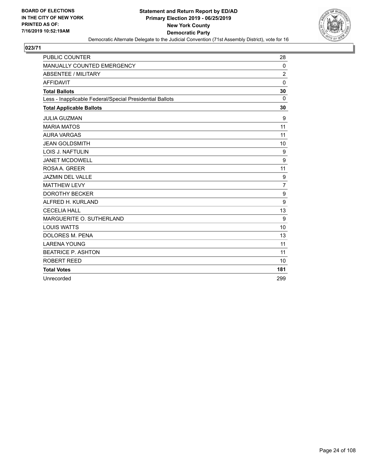

| <b>PUBLIC COUNTER</b>                                    | 28             |
|----------------------------------------------------------|----------------|
| MANUALLY COUNTED EMERGENCY                               | 0              |
| <b>ABSENTEE / MILITARY</b>                               | $\overline{c}$ |
| <b>AFFIDAVIT</b>                                         | $\mathbf{0}$   |
| <b>Total Ballots</b>                                     | 30             |
| Less - Inapplicable Federal/Special Presidential Ballots | $\Omega$       |
| <b>Total Applicable Ballots</b>                          | 30             |
| <b>JULIA GUZMAN</b>                                      | 9              |
| <b>MARIA MATOS</b>                                       | 11             |
| <b>AURA VARGAS</b>                                       | 11             |
| <b>JEAN GOLDSMITH</b>                                    | 10             |
| <b>LOIS J. NAFTULIN</b>                                  | 9              |
| <b>JANET MCDOWELL</b>                                    | 9              |
| ROSA A. GREER                                            | 11             |
| <b>JAZMIN DEL VALLE</b>                                  | 9              |
| <b>MATTHEW LEVY</b>                                      | $\overline{7}$ |
| <b>DOROTHY BECKER</b>                                    | 9              |
| ALFRED H. KURLAND                                        | 9              |
| <b>CECELIA HALL</b>                                      | 13             |
| MARGUERITE O. SUTHERLAND                                 | 9              |
| <b>LOUIS WATTS</b>                                       | 10             |
| <b>DOLORES M. PENA</b>                                   | 13             |
| <b>LARENA YOUNG</b>                                      | 11             |
| <b>BEATRICE P. ASHTON</b>                                | 11             |
| <b>ROBERT REED</b>                                       | 10             |
| <b>Total Votes</b>                                       | 181            |
| Unrecorded                                               | 299            |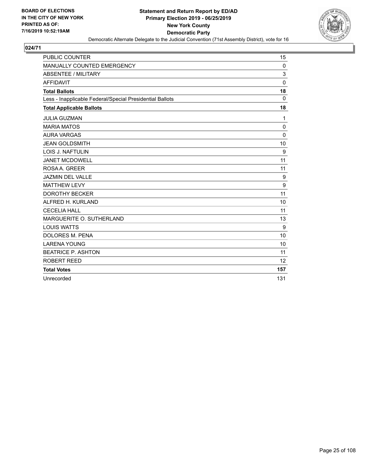

| <b>PUBLIC COUNTER</b>                                    | 15       |
|----------------------------------------------------------|----------|
| MANUALLY COUNTED EMERGENCY                               | 0        |
| <b>ABSENTEE / MILITARY</b>                               | 3        |
| <b>AFFIDAVIT</b>                                         | $\Omega$ |
| <b>Total Ballots</b>                                     | 18       |
| Less - Inapplicable Federal/Special Presidential Ballots | $\Omega$ |
| <b>Total Applicable Ballots</b>                          | 18       |
| <b>JULIA GUZMAN</b>                                      | 1        |
| <b>MARIA MATOS</b>                                       | 0        |
| <b>AURA VARGAS</b>                                       | $\Omega$ |
| <b>JEAN GOLDSMITH</b>                                    | 10       |
| <b>LOIS J. NAFTULIN</b>                                  | 9        |
| <b>JANET MCDOWELL</b>                                    | 11       |
| ROSA A. GREER                                            | 11       |
| <b>JAZMIN DEL VALLE</b>                                  | 9        |
| <b>MATTHEW LEVY</b>                                      | 9        |
| <b>DOROTHY BECKER</b>                                    | 11       |
| ALFRED H. KURLAND                                        | 10       |
| <b>CECELIA HALL</b>                                      | 11       |
| MARGUERITE O. SUTHERLAND                                 | 13       |
| <b>LOUIS WATTS</b>                                       | 9        |
| <b>DOLORES M. PENA</b>                                   | 10       |
| <b>LARENA YOUNG</b>                                      | 10       |
| <b>BEATRICE P. ASHTON</b>                                | 11       |
| <b>ROBERT REED</b>                                       | 12       |
| <b>Total Votes</b>                                       | 157      |
| Unrecorded                                               | 131      |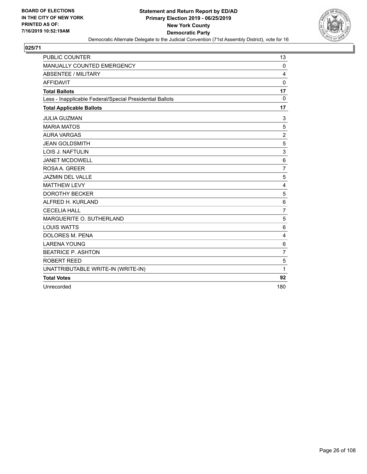

| PUBLIC COUNTER                                           | 13             |
|----------------------------------------------------------|----------------|
| MANUALLY COUNTED EMERGENCY                               | $\mathbf 0$    |
| <b>ABSENTEE / MILITARY</b>                               | 4              |
| <b>AFFIDAVIT</b>                                         | $\mathbf 0$    |
| <b>Total Ballots</b>                                     | 17             |
| Less - Inapplicable Federal/Special Presidential Ballots | $\Omega$       |
| <b>Total Applicable Ballots</b>                          | 17             |
| <b>JULIA GUZMAN</b>                                      | 3              |
| <b>MARIA MATOS</b>                                       | 5              |
| <b>AURA VARGAS</b>                                       | $\overline{2}$ |
| <b>JEAN GOLDSMITH</b>                                    | 5              |
| LOIS J. NAFTULIN                                         | 3              |
| <b>JANET MCDOWELL</b>                                    | $\,6$          |
| ROSA A. GREER                                            | $\overline{7}$ |
| <b>JAZMIN DEL VALLE</b>                                  | 5              |
| <b>MATTHEW LEVY</b>                                      | 4              |
| <b>DOROTHY BECKER</b>                                    | 5              |
| ALFRED H. KURLAND                                        | 6              |
| <b>CECELIA HALL</b>                                      | $\overline{7}$ |
| MARGUERITE O. SUTHERLAND                                 | 5              |
| <b>LOUIS WATTS</b>                                       | 6              |
| DOLORES M. PENA                                          | 4              |
| <b>LARENA YOUNG</b>                                      | 6              |
| <b>BEATRICE P. ASHTON</b>                                | $\overline{7}$ |
| <b>ROBERT REED</b>                                       | 5              |
| UNATTRIBUTABLE WRITE-IN (WRITE-IN)                       | 1              |
| <b>Total Votes</b>                                       | 92             |
| Unrecorded                                               | 180            |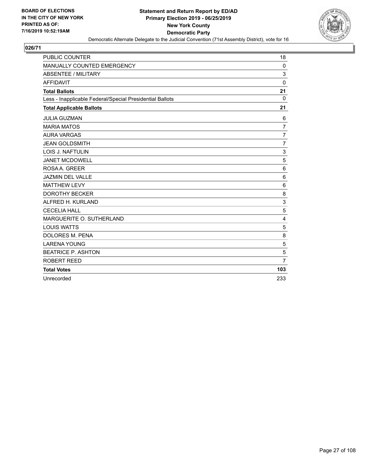

| <b>PUBLIC COUNTER</b>                                    | 18             |
|----------------------------------------------------------|----------------|
| MANUALLY COUNTED EMERGENCY                               | 0              |
| <b>ABSENTEE / MILITARY</b>                               | 3              |
| <b>AFFIDAVIT</b>                                         | $\Omega$       |
| <b>Total Ballots</b>                                     | 21             |
| Less - Inapplicable Federal/Special Presidential Ballots | $\mathbf 0$    |
| <b>Total Applicable Ballots</b>                          | 21             |
| <b>JULIA GUZMAN</b>                                      | 6              |
| <b>MARIA MATOS</b>                                       | $\overline{7}$ |
| <b>AURA VARGAS</b>                                       | $\overline{7}$ |
| <b>JEAN GOLDSMITH</b>                                    | $\overline{7}$ |
| LOIS J. NAFTULIN                                         | 3              |
| <b>JANET MCDOWELL</b>                                    | 5              |
| ROSA A. GREER                                            | 6              |
| JAZMIN DEL VALLE                                         | 6              |
| <b>MATTHEW LEVY</b>                                      | 6              |
| <b>DOROTHY BECKER</b>                                    | 8              |
| ALFRED H. KURLAND                                        | 3              |
| <b>CECELIA HALL</b>                                      | 5              |
| MARGUERITE O. SUTHERLAND                                 | 4              |
| <b>LOUIS WATTS</b>                                       | 5              |
| <b>DOLORES M. PENA</b>                                   | 8              |
| <b>LARENA YOUNG</b>                                      | 5              |
| <b>BEATRICE P. ASHTON</b>                                | 5              |
| ROBERT REED                                              | $\overline{7}$ |
| <b>Total Votes</b>                                       | 103            |
| Unrecorded                                               | 233            |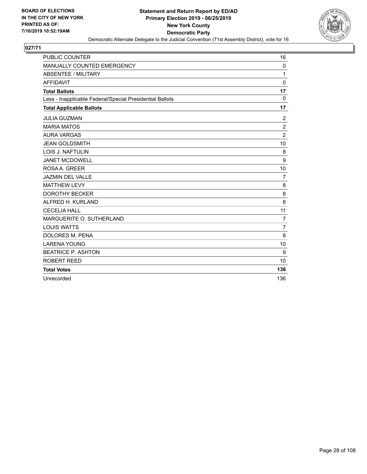

| <b>PUBLIC COUNTER</b>                                    | 16             |
|----------------------------------------------------------|----------------|
| MANUALLY COUNTED EMERGENCY                               | 0              |
| <b>ABSENTEE / MILITARY</b>                               | 1              |
| <b>AFFIDAVIT</b>                                         | $\mathbf{0}$   |
| <b>Total Ballots</b>                                     | 17             |
| Less - Inapplicable Federal/Special Presidential Ballots | $\Omega$       |
| <b>Total Applicable Ballots</b>                          | 17             |
| <b>JULIA GUZMAN</b>                                      | $\overline{c}$ |
| <b>MARIA MATOS</b>                                       | $\overline{c}$ |
| <b>AURA VARGAS</b>                                       | $\overline{2}$ |
| <b>JEAN GOLDSMITH</b>                                    | 10             |
| LOIS J. NAFTULIN                                         | 8              |
| <b>JANET MCDOWELL</b>                                    | 9              |
| ROSA A. GREER                                            | 10             |
| <b>JAZMIN DEL VALLE</b>                                  | $\overline{7}$ |
| <b>MATTHEW LEVY</b>                                      | 8              |
| <b>DOROTHY BECKER</b>                                    | 8              |
| ALFRED H. KURLAND                                        | 8              |
| <b>CECELIA HALL</b>                                      | 11             |
| MARGUERITE O. SUTHERLAND                                 | $\overline{7}$ |
| <b>LOUIS WATTS</b>                                       | $\overline{7}$ |
| <b>DOLORES M. PENA</b>                                   | 8              |
| <b>LARENA YOUNG</b>                                      | 10             |
| <b>BEATRICE P. ASHTON</b>                                | 9              |
| <b>ROBERT REED</b>                                       | 10             |
| <b>Total Votes</b>                                       | 136            |
| Unrecorded                                               | 136            |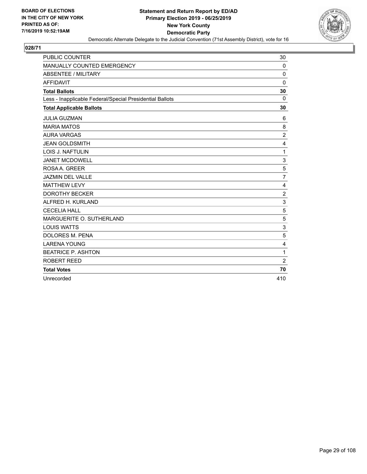

| <b>PUBLIC COUNTER</b>                                    | 30               |
|----------------------------------------------------------|------------------|
| MANUALLY COUNTED EMERGENCY                               | 0                |
| <b>ABSENTEE / MILITARY</b>                               | $\mathbf 0$      |
| <b>AFFIDAVIT</b>                                         | $\Omega$         |
| <b>Total Ballots</b>                                     | 30               |
| Less - Inapplicable Federal/Special Presidential Ballots | $\Omega$         |
| <b>Total Applicable Ballots</b>                          | 30               |
| <b>JULIA GUZMAN</b>                                      | 6                |
| <b>MARIA MATOS</b>                                       | 8                |
| <b>AURA VARGAS</b>                                       | $\overline{c}$   |
| <b>JEAN GOLDSMITH</b>                                    | $\overline{4}$   |
| LOIS J. NAFTULIN                                         | 1                |
| <b>JANET MCDOWELL</b>                                    | 3                |
| ROSA A. GREER                                            | 5                |
| <b>JAZMIN DEL VALLE</b>                                  | $\overline{7}$   |
| <b>MATTHEW LEVY</b>                                      | $\overline{4}$   |
| <b>DOROTHY BECKER</b>                                    | $\boldsymbol{2}$ |
| ALFRED H. KURLAND                                        | 3                |
| <b>CECELIA HALL</b>                                      | 5                |
| MARGUERITE O. SUTHERLAND                                 | 5                |
| <b>LOUIS WATTS</b>                                       | 3                |
| <b>DOLORES M. PENA</b>                                   | 5                |
| <b>LARENA YOUNG</b>                                      | 4                |
| <b>BEATRICE P. ASHTON</b>                                | 1                |
| ROBERT REED                                              | 2                |
| <b>Total Votes</b>                                       | 70               |
| Unrecorded                                               | 410              |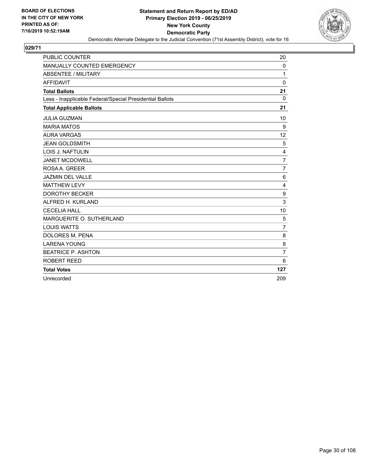

| <b>PUBLIC COUNTER</b>                                    | 20             |
|----------------------------------------------------------|----------------|
| MANUALLY COUNTED EMERGENCY                               | 0              |
| <b>ABSENTEE / MILITARY</b>                               | 1              |
| <b>AFFIDAVIT</b>                                         | $\Omega$       |
| <b>Total Ballots</b>                                     | 21             |
| Less - Inapplicable Federal/Special Presidential Ballots | $\Omega$       |
| <b>Total Applicable Ballots</b>                          | 21             |
| <b>JULIA GUZMAN</b>                                      | 10             |
| <b>MARIA MATOS</b>                                       | 9              |
| <b>AURA VARGAS</b>                                       | 12             |
| <b>JEAN GOLDSMITH</b>                                    | 5              |
| <b>LOIS J. NAFTULIN</b>                                  | 4              |
| <b>JANET MCDOWELL</b>                                    | $\overline{7}$ |
| ROSA A. GREER                                            | $\overline{7}$ |
| <b>JAZMIN DEL VALLE</b>                                  | 6              |
| <b>MATTHEW LEVY</b>                                      | 4              |
| <b>DOROTHY BECKER</b>                                    | 9              |
| ALFRED H. KURLAND                                        | 3              |
| <b>CECELIA HALL</b>                                      | 10             |
| MARGUERITE O. SUTHERLAND                                 | 5              |
| <b>LOUIS WATTS</b>                                       | $\overline{7}$ |
| <b>DOLORES M. PENA</b>                                   | 8              |
| <b>LARENA YOUNG</b>                                      | 8              |
| <b>BEATRICE P. ASHTON</b>                                | $\overline{7}$ |
| <b>ROBERT REED</b>                                       | 6              |
| <b>Total Votes</b>                                       | 127            |
| Unrecorded                                               | 209            |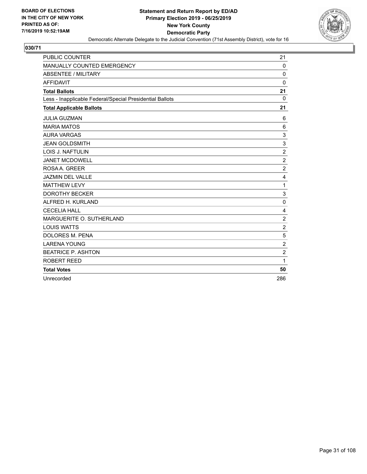

| <b>PUBLIC COUNTER</b>                                    | 21                      |
|----------------------------------------------------------|-------------------------|
| MANUALLY COUNTED EMERGENCY                               | 0                       |
| <b>ABSENTEE / MILITARY</b>                               | $\mathbf 0$             |
| <b>AFFIDAVIT</b>                                         | $\Omega$                |
| <b>Total Ballots</b>                                     | 21                      |
| Less - Inapplicable Federal/Special Presidential Ballots | $\mathbf 0$             |
| <b>Total Applicable Ballots</b>                          | 21                      |
| <b>JULIA GUZMAN</b>                                      | 6                       |
| <b>MARIA MATOS</b>                                       | 6                       |
| <b>AURA VARGAS</b>                                       | 3                       |
| <b>JEAN GOLDSMITH</b>                                    | 3                       |
| LOIS J. NAFTULIN                                         | $\overline{2}$          |
| <b>JANET MCDOWELL</b>                                    | $\overline{c}$          |
| ROSA A. GREER                                            | $\overline{c}$          |
| JAZMIN DEL VALLE                                         | 4                       |
| <b>MATTHEW LEVY</b>                                      | 1                       |
| <b>DOROTHY BECKER</b>                                    | 3                       |
| ALFRED H. KURLAND                                        | $\mathbf 0$             |
| <b>CECELIA HALL</b>                                      | $\overline{\mathbf{4}}$ |
| MARGUERITE O. SUTHERLAND                                 | $\overline{2}$          |
| <b>LOUIS WATTS</b>                                       | $\boldsymbol{2}$        |
| <b>DOLORES M. PENA</b>                                   | 5                       |
| <b>LARENA YOUNG</b>                                      | $\overline{2}$          |
| <b>BEATRICE P. ASHTON</b>                                | $\overline{c}$          |
| ROBERT REED                                              | 1                       |
| <b>Total Votes</b>                                       | 50                      |
| Unrecorded                                               | 286                     |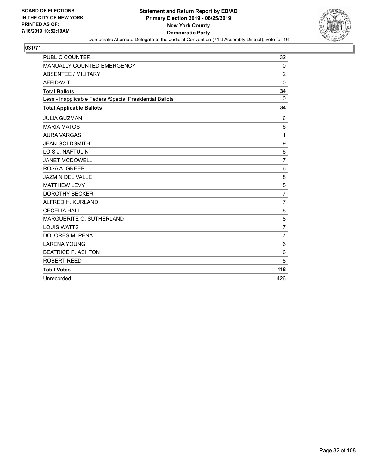

| <b>PUBLIC COUNTER</b>                                    | 32              |
|----------------------------------------------------------|-----------------|
| MANUALLY COUNTED EMERGENCY                               | 0               |
| <b>ABSENTEE / MILITARY</b>                               | $\overline{2}$  |
| <b>AFFIDAVIT</b>                                         | $\Omega$        |
| <b>Total Ballots</b>                                     | 34              |
| Less - Inapplicable Federal/Special Presidential Ballots | $\mathbf{0}$    |
| <b>Total Applicable Ballots</b>                          | 34              |
| <b>JULIA GUZMAN</b>                                      | 6               |
| <b>MARIA MATOS</b>                                       | 6               |
| <b>AURA VARGAS</b>                                       | 1               |
| <b>JEAN GOLDSMITH</b>                                    | 9               |
| <b>LOIS J. NAFTULIN</b>                                  | $6\phantom{1}6$ |
| <b>JANET MCDOWELL</b>                                    | $\overline{7}$  |
| ROSA A. GREER                                            | 6               |
| <b>JAZMIN DEL VALLE</b>                                  | 8               |
| <b>MATTHEW LEVY</b>                                      | 5               |
| <b>DOROTHY BECKER</b>                                    | $\overline{7}$  |
| ALFRED H. KURLAND                                        | $\overline{7}$  |
| <b>CECELIA HALL</b>                                      | 8               |
| MARGUERITE O. SUTHERLAND                                 | 8               |
| <b>LOUIS WATTS</b>                                       | $\overline{7}$  |
| <b>DOLORES M. PENA</b>                                   | $\overline{7}$  |
| <b>LARENA YOUNG</b>                                      | 6               |
| <b>BEATRICE P. ASHTON</b>                                | 6               |
| ROBERT REED                                              | 8               |
| <b>Total Votes</b>                                       | 118             |
| Unrecorded                                               | 426             |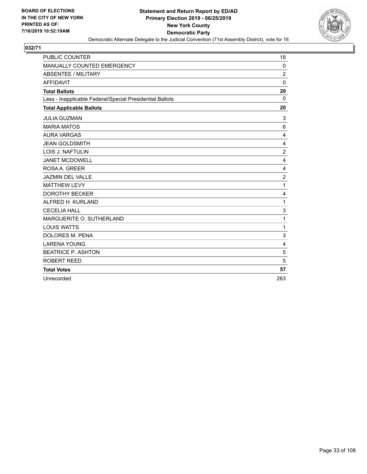

| <b>PUBLIC COUNTER</b>                                    | 18             |
|----------------------------------------------------------|----------------|
| MANUALLY COUNTED EMERGENCY                               | 0              |
| <b>ABSENTEE / MILITARY</b>                               | $\overline{2}$ |
| <b>AFFIDAVIT</b>                                         | $\mathbf{0}$   |
| <b>Total Ballots</b>                                     | 20             |
| Less - Inapplicable Federal/Special Presidential Ballots | $\Omega$       |
| <b>Total Applicable Ballots</b>                          | 20             |
| <b>JULIA GUZMAN</b>                                      | 3              |
| <b>MARIA MATOS</b>                                       | 6              |
| <b>AURA VARGAS</b>                                       | 4              |
| <b>JEAN GOLDSMITH</b>                                    | 4              |
| LOIS J. NAFTULIN                                         | $\overline{2}$ |
| <b>JANET MCDOWELL</b>                                    | 4              |
| ROSA A. GREER                                            | 4              |
| <b>JAZMIN DEL VALLE</b>                                  | $\overline{2}$ |
| <b>MATTHEW LEVY</b>                                      | 1              |
| <b>DOROTHY BECKER</b>                                    | 4              |
| ALFRED H. KURLAND                                        | 1              |
| <b>CECELIA HALL</b>                                      | 3              |
| MARGUERITE O. SUTHERLAND                                 | 1              |
| <b>LOUIS WATTS</b>                                       | $\mathbf{1}$   |
| <b>DOLORES M. PENA</b>                                   | 3              |
| <b>LARENA YOUNG</b>                                      | 4              |
| <b>BEATRICE P. ASHTON</b>                                | 5              |
| <b>ROBERT REED</b>                                       | 5              |
| <b>Total Votes</b>                                       | 57             |
| Unrecorded                                               | 263            |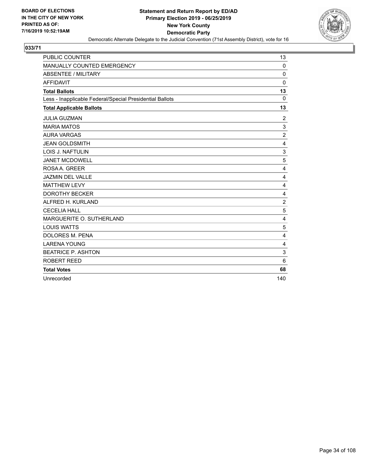

| <b>PUBLIC COUNTER</b>                                    | 13             |
|----------------------------------------------------------|----------------|
| MANUALLY COUNTED EMERGENCY                               | 0              |
| <b>ABSENTEE / MILITARY</b>                               | $\mathbf 0$    |
| <b>AFFIDAVIT</b>                                         | $\Omega$       |
| <b>Total Ballots</b>                                     | 13             |
| Less - Inapplicable Federal/Special Presidential Ballots | $\mathbf 0$    |
| <b>Total Applicable Ballots</b>                          | 13             |
| <b>JULIA GUZMAN</b>                                      | 2              |
| <b>MARIA MATOS</b>                                       | 3              |
| <b>AURA VARGAS</b>                                       | $\overline{c}$ |
| <b>JEAN GOLDSMITH</b>                                    | 4              |
| LOIS J. NAFTULIN                                         | 3              |
| <b>JANET MCDOWELL</b>                                    | 5              |
| ROSA A. GREER                                            | 4              |
| JAZMIN DEL VALLE                                         | 4              |
| <b>MATTHEW LEVY</b>                                      | 4              |
| <b>DOROTHY BECKER</b>                                    | 4              |
| ALFRED H. KURLAND                                        | $\overline{2}$ |
| <b>CECELIA HALL</b>                                      | 5              |
| MARGUERITE O. SUTHERLAND                                 | 4              |
| <b>LOUIS WATTS</b>                                       | 5              |
| <b>DOLORES M. PENA</b>                                   | 4              |
| <b>LARENA YOUNG</b>                                      | 4              |
| <b>BEATRICE P. ASHTON</b>                                | 3              |
| ROBERT REED                                              | 6              |
| <b>Total Votes</b>                                       | 68             |
| Unrecorded                                               | 140            |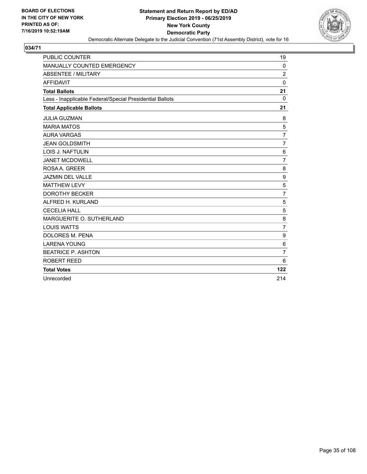

| <b>PUBLIC COUNTER</b>                                    | 19             |
|----------------------------------------------------------|----------------|
| MANUALLY COUNTED EMERGENCY                               | 0              |
| <b>ABSENTEE / MILITARY</b>                               | $\overline{2}$ |
| <b>AFFIDAVIT</b>                                         | $\mathbf{0}$   |
| <b>Total Ballots</b>                                     | 21             |
| Less - Inapplicable Federal/Special Presidential Ballots | $\Omega$       |
| <b>Total Applicable Ballots</b>                          | 21             |
| <b>JULIA GUZMAN</b>                                      | 8              |
| <b>MARIA MATOS</b>                                       | 5              |
| <b>AURA VARGAS</b>                                       | $\overline{7}$ |
| <b>JEAN GOLDSMITH</b>                                    | $\overline{7}$ |
| LOIS J. NAFTULIN                                         | 6              |
| <b>JANET MCDOWELL</b>                                    | $\overline{7}$ |
| ROSA A. GREER                                            | 8              |
| <b>JAZMIN DEL VALLE</b>                                  | 9              |
| <b>MATTHEW LEVY</b>                                      | 5              |
| <b>DOROTHY BECKER</b>                                    | $\overline{7}$ |
| ALFRED H. KURLAND                                        | 5              |
| <b>CECELIA HALL</b>                                      | 5              |
| MARGUERITE O. SUTHERLAND                                 | 8              |
| <b>LOUIS WATTS</b>                                       | $\overline{7}$ |
| <b>DOLORES M. PENA</b>                                   | 9              |
| <b>LARENA YOUNG</b>                                      | 6              |
| <b>BEATRICE P. ASHTON</b>                                | $\overline{7}$ |
| <b>ROBERT REED</b>                                       | 6              |
| <b>Total Votes</b>                                       | 122            |
| Unrecorded                                               | 214            |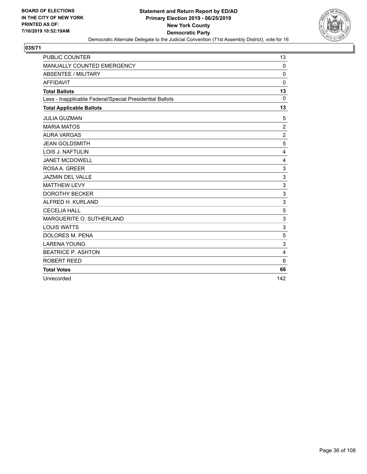

| <b>PUBLIC COUNTER</b>                                    | 13             |
|----------------------------------------------------------|----------------|
| MANUALLY COUNTED EMERGENCY                               | 0              |
| <b>ABSENTEE / MILITARY</b>                               | $\mathbf 0$    |
| <b>AFFIDAVIT</b>                                         | $\Omega$       |
| <b>Total Ballots</b>                                     | 13             |
| Less - Inapplicable Federal/Special Presidential Ballots | $\Omega$       |
| <b>Total Applicable Ballots</b>                          | 13             |
| <b>JULIA GUZMAN</b>                                      | 5              |
| <b>MARIA MATOS</b>                                       | $\overline{2}$ |
| <b>AURA VARGAS</b>                                       | $\overline{c}$ |
| <b>JEAN GOLDSMITH</b>                                    | 5              |
| <b>LOIS J. NAFTULIN</b>                                  | 4              |
| <b>JANET MCDOWELL</b>                                    | 4              |
| ROSA A. GREER                                            | 3              |
| <b>JAZMIN DEL VALLE</b>                                  | 3              |
| <b>MATTHEW LEVY</b>                                      | $\mathbf{3}$   |
| <b>DOROTHY BECKER</b>                                    | $\mathsf 3$    |
| ALFRED H. KURLAND                                        | 3              |
| <b>CECELIA HALL</b>                                      | 5              |
| MARGUERITE O. SUTHERLAND                                 | 3              |
| <b>LOUIS WATTS</b>                                       | 3              |
| DOLORES M. PENA                                          | 5              |
| <b>LARENA YOUNG</b>                                      | 3              |
| <b>BEATRICE P. ASHTON</b>                                | $\overline{4}$ |
| ROBERT REED                                              | 6              |
| <b>Total Votes</b>                                       | 66             |
| Unrecorded                                               | 142            |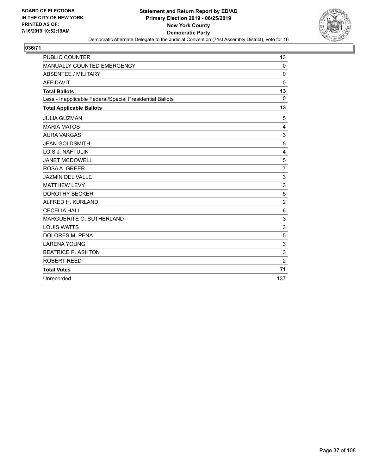

| <b>PUBLIC COUNTER</b>                                    | 13             |
|----------------------------------------------------------|----------------|
| MANUALLY COUNTED EMERGENCY                               | 0              |
| <b>ABSENTEE / MILITARY</b>                               | $\mathbf 0$    |
| <b>AFFIDAVIT</b>                                         | $\Omega$       |
| <b>Total Ballots</b>                                     | 13             |
| Less - Inapplicable Federal/Special Presidential Ballots | $\Omega$       |
| <b>Total Applicable Ballots</b>                          | 13             |
| <b>JULIA GUZMAN</b>                                      | 5              |
| <b>MARIA MATOS</b>                                       | 4              |
| <b>AURA VARGAS</b>                                       | 3              |
| <b>JEAN GOLDSMITH</b>                                    | 5              |
| <b>LOIS J. NAFTULIN</b>                                  | 4              |
| <b>JANET MCDOWELL</b>                                    | $\mathbf 5$    |
| ROSA A. GREER                                            | $\overline{7}$ |
| <b>JAZMIN DEL VALLE</b>                                  | 3              |
| <b>MATTHEW LEVY</b>                                      | $\mathbf{3}$   |
| <b>DOROTHY BECKER</b>                                    | 5              |
| ALFRED H. KURLAND                                        | $\overline{2}$ |
| <b>CECELIA HALL</b>                                      | $\,6$          |
| MARGUERITE O. SUTHERLAND                                 | $\sqrt{3}$     |
| <b>LOUIS WATTS</b>                                       | 3              |
| DOLORES M. PENA                                          | 5              |
| <b>LARENA YOUNG</b>                                      | 3              |
| <b>BEATRICE P. ASHTON</b>                                | 3              |
| ROBERT REED                                              | $\overline{2}$ |
| <b>Total Votes</b>                                       | 71             |
| Unrecorded                                               | 137            |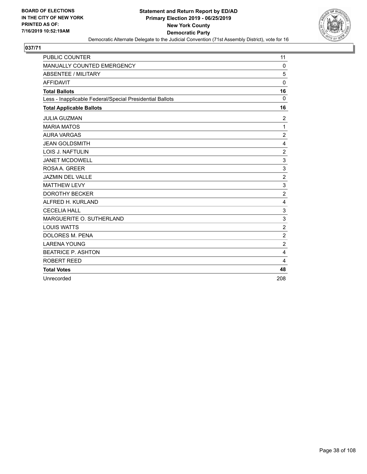

| <b>PUBLIC COUNTER</b>                                    | 11               |
|----------------------------------------------------------|------------------|
| MANUALLY COUNTED EMERGENCY                               | 0                |
| <b>ABSENTEE / MILITARY</b>                               | 5                |
| <b>AFFIDAVIT</b>                                         | $\Omega$         |
| <b>Total Ballots</b>                                     | 16               |
| Less - Inapplicable Federal/Special Presidential Ballots | $\Omega$         |
| <b>Total Applicable Ballots</b>                          | 16               |
| <b>JULIA GUZMAN</b>                                      | $\overline{c}$   |
| <b>MARIA MATOS</b>                                       | 1                |
| <b>AURA VARGAS</b>                                       | $\overline{c}$   |
| <b>JEAN GOLDSMITH</b>                                    | $\overline{4}$   |
| <b>LOIS J. NAFTULIN</b>                                  | $\overline{c}$   |
| <b>JANET MCDOWELL</b>                                    | 3                |
| ROSA A. GREER                                            | 3                |
| <b>JAZMIN DEL VALLE</b>                                  | $\overline{c}$   |
| <b>MATTHEW LEVY</b>                                      | $\mathbf{3}$     |
| <b>DOROTHY BECKER</b>                                    | $\boldsymbol{2}$ |
| ALFRED H. KURLAND                                        | 4                |
| <b>CECELIA HALL</b>                                      | 3                |
| MARGUERITE O. SUTHERLAND                                 | 3                |
| <b>LOUIS WATTS</b>                                       | $\overline{2}$   |
| DOLORES M. PENA                                          | $\overline{c}$   |
| <b>LARENA YOUNG</b>                                      | $\overline{2}$   |
| <b>BEATRICE P. ASHTON</b>                                | $\overline{4}$   |
| ROBERT REED                                              | 4                |
| <b>Total Votes</b>                                       | 48               |
| Unrecorded                                               | 208              |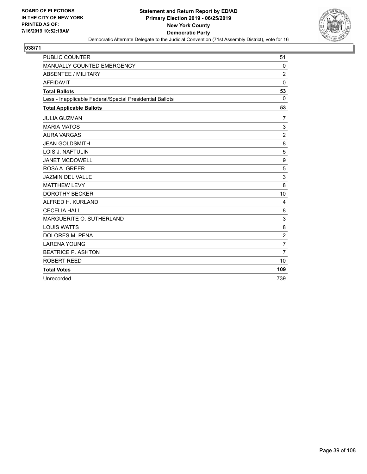

| <b>PUBLIC COUNTER</b>                                    | 51             |
|----------------------------------------------------------|----------------|
| MANUALLY COUNTED EMERGENCY                               | 0              |
| <b>ABSENTEE / MILITARY</b>                               | $\overline{c}$ |
| <b>AFFIDAVIT</b>                                         | $\Omega$       |
| <b>Total Ballots</b>                                     | 53             |
| Less - Inapplicable Federal/Special Presidential Ballots | $\Omega$       |
| <b>Total Applicable Ballots</b>                          | 53             |
| <b>JULIA GUZMAN</b>                                      | 7              |
| <b>MARIA MATOS</b>                                       | 3              |
| <b>AURA VARGAS</b>                                       | $\overline{c}$ |
| <b>JEAN GOLDSMITH</b>                                    | 8              |
| <b>LOIS J. NAFTULIN</b>                                  | 5              |
| <b>JANET MCDOWELL</b>                                    | 9              |
| ROSA A. GREER                                            | 5              |
| <b>JAZMIN DEL VALLE</b>                                  | 3              |
| <b>MATTHEW LEVY</b>                                      | 8              |
| <b>DOROTHY BECKER</b>                                    | 10             |
| ALFRED H. KURLAND                                        | 4              |
| <b>CECELIA HALL</b>                                      | 8              |
| MARGUERITE O. SUTHERLAND                                 | 3              |
| <b>LOUIS WATTS</b>                                       | 8              |
| DOLORES M. PENA                                          | $\overline{c}$ |
| <b>LARENA YOUNG</b>                                      | $\overline{7}$ |
| <b>BEATRICE P. ASHTON</b>                                | $\overline{7}$ |
| ROBERT REED                                              | 10             |
| <b>Total Votes</b>                                       | 109            |
| Unrecorded                                               | 739            |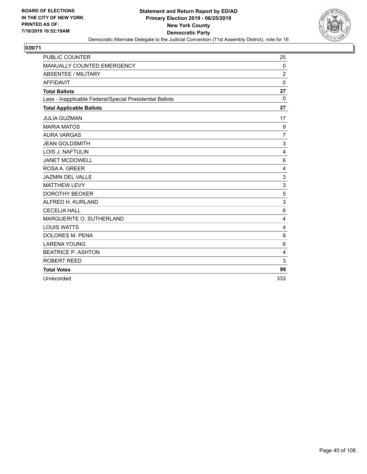

| PUBLIC COUNTER                                           | 25             |
|----------------------------------------------------------|----------------|
| MANUALLY COUNTED EMERGENCY                               | 0              |
| <b>ABSENTEE / MILITARY</b>                               | $\overline{c}$ |
| <b>AFFIDAVIT</b>                                         | $\Omega$       |
| <b>Total Ballots</b>                                     | 27             |
| Less - Inapplicable Federal/Special Presidential Ballots | $\mathbf 0$    |
| <b>Total Applicable Ballots</b>                          | 27             |
| <b>JULIA GUZMAN</b>                                      | 17             |
| <b>MARIA MATOS</b>                                       | 9              |
| <b>AURA VARGAS</b>                                       | $\overline{7}$ |
| <b>JEAN GOLDSMITH</b>                                    | 3              |
| <b>LOIS J. NAFTULIN</b>                                  | 4              |
| <b>JANET MCDOWELL</b>                                    | 6              |
| ROSA A. GREER                                            | 4              |
| <b>JAZMIN DEL VALLE</b>                                  | 3              |
| <b>MATTHEW LEVY</b>                                      | 3              |
| <b>DOROTHY BECKER</b>                                    | 5              |
| ALFRED H. KURLAND                                        | 3              |
| <b>CECELIA HALL</b>                                      | 6              |
| MARGUERITE O. SUTHERLAND                                 | 4              |
| <b>LOUIS WATTS</b>                                       | 4              |
| DOLORES M. PENA                                          | 8              |
| <b>LARENA YOUNG</b>                                      | 6              |
| <b>BEATRICE P. ASHTON</b>                                | $\overline{4}$ |
| ROBERT REED                                              | 3              |
| <b>Total Votes</b>                                       | 99             |
| Unrecorded                                               | 333            |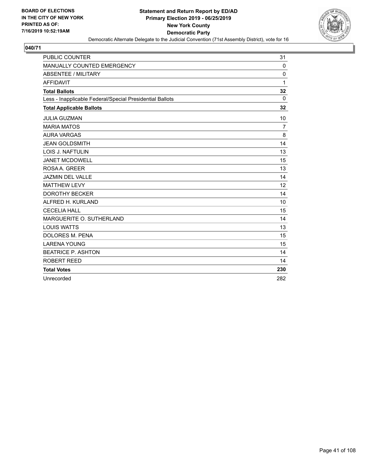

| <b>PUBLIC COUNTER</b>                                    | 31           |
|----------------------------------------------------------|--------------|
| MANUALLY COUNTED EMERGENCY                               | 0            |
| <b>ABSENTEE / MILITARY</b>                               | 0            |
| <b>AFFIDAVIT</b>                                         | $\mathbf{1}$ |
| <b>Total Ballots</b>                                     | 32           |
| Less - Inapplicable Federal/Special Presidential Ballots | $\mathbf{0}$ |
| <b>Total Applicable Ballots</b>                          | 32           |
| <b>JULIA GUZMAN</b>                                      | 10           |
| <b>MARIA MATOS</b>                                       | 7            |
| <b>AURA VARGAS</b>                                       | 8            |
| <b>JEAN GOLDSMITH</b>                                    | 14           |
| <b>LOIS J. NAFTULIN</b>                                  | 13           |
| <b>JANET MCDOWELL</b>                                    | 15           |
| ROSAA, GREER                                             | 13           |
| <b>JAZMIN DEL VALLE</b>                                  | 14           |
| <b>MATTHEW LEVY</b>                                      | 12           |
| <b>DOROTHY BECKER</b>                                    | 14           |
| ALFRED H. KURLAND                                        | 10           |
| <b>CECELIA HALL</b>                                      | 15           |
| MARGUERITE O. SUTHERLAND                                 | 14           |
| <b>LOUIS WATTS</b>                                       | 13           |
| <b>DOLORES M. PENA</b>                                   | 15           |
| <b>LARENA YOUNG</b>                                      | 15           |
| <b>BEATRICE P. ASHTON</b>                                | 14           |
| ROBERT REED                                              | 14           |
| <b>Total Votes</b>                                       | 230          |
| Unrecorded                                               | 282          |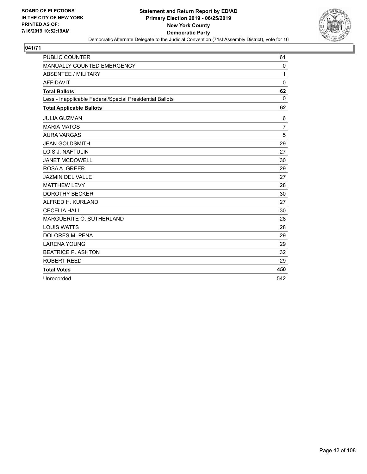

| <b>PUBLIC COUNTER</b>                                    | 61             |
|----------------------------------------------------------|----------------|
| MANUALLY COUNTED EMERGENCY                               | 0              |
| <b>ABSENTEE / MILITARY</b>                               | 1              |
| <b>AFFIDAVIT</b>                                         | $\Omega$       |
| <b>Total Ballots</b>                                     | 62             |
| Less - Inapplicable Federal/Special Presidential Ballots | $\mathbf{0}$   |
| <b>Total Applicable Ballots</b>                          | 62             |
| <b>JULIA GUZMAN</b>                                      | 6              |
| <b>MARIA MATOS</b>                                       | $\overline{7}$ |
| <b>AURA VARGAS</b>                                       | 5              |
| <b>JEAN GOLDSMITH</b>                                    | 29             |
| <b>LOIS J. NAFTULIN</b>                                  | 27             |
| <b>JANET MCDOWELL</b>                                    | 30             |
| ROSAA, GREER                                             | 29             |
| <b>JAZMIN DEL VALLE</b>                                  | 27             |
| <b>MATTHEW LEVY</b>                                      | 28             |
| <b>DOROTHY BECKER</b>                                    | 30             |
| ALFRED H. KURLAND                                        | 27             |
| <b>CECELIA HALL</b>                                      | 30             |
| MARGUERITE O. SUTHERLAND                                 | 28             |
| <b>LOUIS WATTS</b>                                       | 28             |
| <b>DOLORES M. PENA</b>                                   | 29             |
| <b>LARENA YOUNG</b>                                      | 29             |
| <b>BEATRICE P. ASHTON</b>                                | 32             |
| <b>ROBERT REED</b>                                       | 29             |
| <b>Total Votes</b>                                       | 450            |
| Unrecorded                                               | 542            |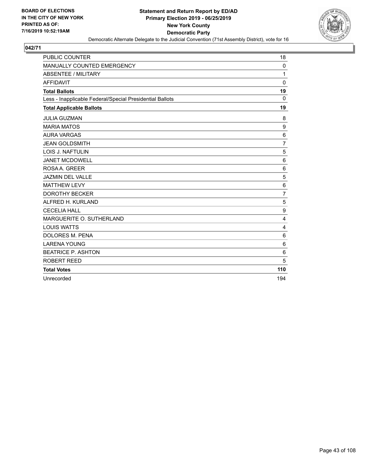

| <b>PUBLIC COUNTER</b>                                    | 18              |
|----------------------------------------------------------|-----------------|
| MANUALLY COUNTED EMERGENCY                               | 0               |
| <b>ABSENTEE / MILITARY</b>                               | 1               |
| <b>AFFIDAVIT</b>                                         | $\Omega$        |
| <b>Total Ballots</b>                                     | 19              |
| Less - Inapplicable Federal/Special Presidential Ballots | $\Omega$        |
| <b>Total Applicable Ballots</b>                          | 19              |
| <b>JULIA GUZMAN</b>                                      | 8               |
| <b>MARIA MATOS</b>                                       | 9               |
| <b>AURA VARGAS</b>                                       | $\,6$           |
| <b>JEAN GOLDSMITH</b>                                    | $\overline{7}$  |
| LOIS J. NAFTULIN                                         | 5               |
| <b>JANET MCDOWELL</b>                                    | 6               |
| ROSA A. GREER                                            | 6               |
| <b>JAZMIN DEL VALLE</b>                                  | 5               |
| <b>MATTHEW LEVY</b>                                      | $6\phantom{1}6$ |
| <b>DOROTHY BECKER</b>                                    | $\overline{7}$  |
| ALFRED H. KURLAND                                        | 5               |
| <b>CECELIA HALL</b>                                      | 9               |
| MARGUERITE O. SUTHERLAND                                 | 4               |
| <b>LOUIS WATTS</b>                                       | 4               |
| <b>DOLORES M. PENA</b>                                   | 6               |
| <b>LARENA YOUNG</b>                                      | 6               |
| <b>BEATRICE P. ASHTON</b>                                | $6\phantom{1}6$ |
| ROBERT REED                                              | 5               |
| <b>Total Votes</b>                                       | 110             |
| Unrecorded                                               | 194             |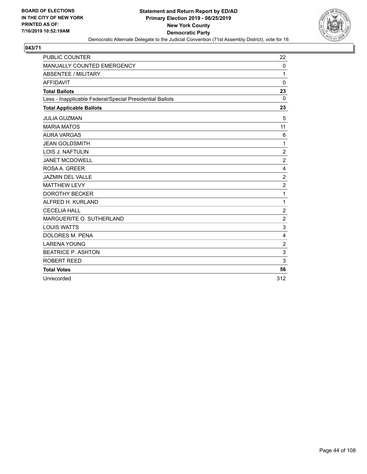

| <b>PUBLIC COUNTER</b>                                    | 22               |
|----------------------------------------------------------|------------------|
| MANUALLY COUNTED EMERGENCY                               | 0                |
| <b>ABSENTEE / MILITARY</b>                               | 1                |
| <b>AFFIDAVIT</b>                                         | $\Omega$         |
| <b>Total Ballots</b>                                     | 23               |
| Less - Inapplicable Federal/Special Presidential Ballots | $\Omega$         |
| <b>Total Applicable Ballots</b>                          | 23               |
| <b>JULIA GUZMAN</b>                                      | 5                |
| <b>MARIA MATOS</b>                                       | 11               |
| <b>AURA VARGAS</b>                                       | 6                |
| <b>JEAN GOLDSMITH</b>                                    | 1                |
| <b>LOIS J. NAFTULIN</b>                                  | $\overline{c}$   |
| <b>JANET MCDOWELL</b>                                    | $\boldsymbol{2}$ |
| ROSA A. GREER                                            | 4                |
| <b>JAZMIN DEL VALLE</b>                                  | $\boldsymbol{2}$ |
| <b>MATTHEW LEVY</b>                                      | $\overline{2}$   |
| <b>DOROTHY BECKER</b>                                    | 1                |
| ALFRED H. KURLAND                                        | 1                |
| <b>CECELIA HALL</b>                                      | $\overline{c}$   |
| MARGUERITE O. SUTHERLAND                                 | $\overline{2}$   |
| <b>LOUIS WATTS</b>                                       | 3                |
| DOLORES M. PENA                                          | $\overline{4}$   |
| <b>LARENA YOUNG</b>                                      | $\overline{c}$   |
| <b>BEATRICE P. ASHTON</b>                                | 3                |
| ROBERT REED                                              | 3                |
| <b>Total Votes</b>                                       | 56               |
| Unrecorded                                               | 312              |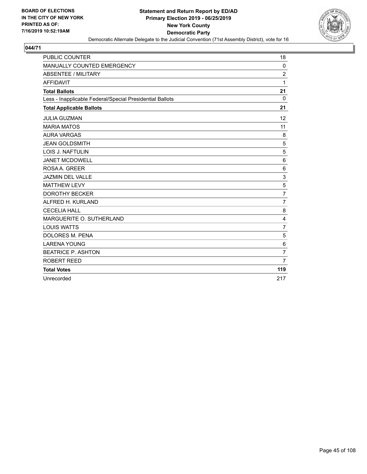

| <b>PUBLIC COUNTER</b>                                    | 18             |
|----------------------------------------------------------|----------------|
| MANUALLY COUNTED EMERGENCY                               | 0              |
| <b>ABSENTEE / MILITARY</b>                               | $\overline{2}$ |
| <b>AFFIDAVIT</b>                                         | 1              |
| <b>Total Ballots</b>                                     | 21             |
| Less - Inapplicable Federal/Special Presidential Ballots | $\Omega$       |
| <b>Total Applicable Ballots</b>                          | 21             |
| <b>JULIA GUZMAN</b>                                      | 12             |
| <b>MARIA MATOS</b>                                       | 11             |
| <b>AURA VARGAS</b>                                       | 8              |
| <b>JEAN GOLDSMITH</b>                                    | 5              |
| LOIS J. NAFTULIN                                         | 5              |
| <b>JANET MCDOWELL</b>                                    | 6              |
| ROSA A. GREER                                            | 6              |
| <b>JAZMIN DEL VALLE</b>                                  | 3              |
| <b>MATTHEW LEVY</b>                                      | 5              |
| <b>DOROTHY BECKER</b>                                    | $\overline{7}$ |
| ALFRED H. KURLAND                                        | $\overline{7}$ |
| <b>CECELIA HALL</b>                                      | 8              |
| MARGUERITE O. SUTHERLAND                                 | 4              |
| <b>LOUIS WATTS</b>                                       | $\overline{7}$ |
| <b>DOLORES M. PENA</b>                                   | 5              |
| <b>LARENA YOUNG</b>                                      | 6              |
| <b>BEATRICE P. ASHTON</b>                                | $\overline{7}$ |
| ROBERT REED                                              | $\overline{7}$ |
| <b>Total Votes</b>                                       | 119            |
| Unrecorded                                               | 217            |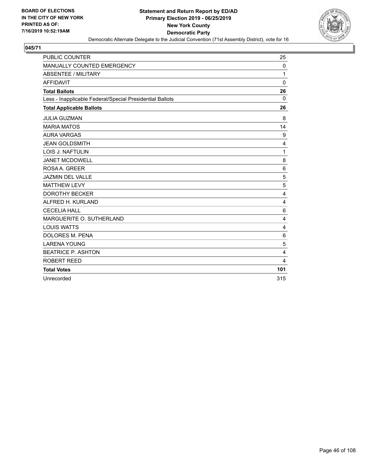

| <b>PUBLIC COUNTER</b>                                    | 25           |
|----------------------------------------------------------|--------------|
| MANUALLY COUNTED EMERGENCY                               | 0            |
| <b>ABSENTEE / MILITARY</b>                               | 1            |
| <b>AFFIDAVIT</b>                                         | $\mathbf{0}$ |
| <b>Total Ballots</b>                                     | 26           |
| Less - Inapplicable Federal/Special Presidential Ballots | $\Omega$     |
| <b>Total Applicable Ballots</b>                          | 26           |
| <b>JULIA GUZMAN</b>                                      | 8            |
| <b>MARIA MATOS</b>                                       | 14           |
| <b>AURA VARGAS</b>                                       | 9            |
| <b>JEAN GOLDSMITH</b>                                    | 4            |
| LOIS J. NAFTULIN                                         | 1            |
| <b>JANET MCDOWELL</b>                                    | 8            |
| ROSA A. GREER                                            | 6            |
| <b>JAZMIN DEL VALLE</b>                                  | 5            |
| <b>MATTHEW LEVY</b>                                      | 5            |
| <b>DOROTHY BECKER</b>                                    | 4            |
| ALFRED H. KURLAND                                        | 4            |
| <b>CECELIA HALL</b>                                      | 6            |
| MARGUERITE O. SUTHERLAND                                 | 4            |
| <b>LOUIS WATTS</b>                                       | 4            |
| <b>DOLORES M. PENA</b>                                   | 6            |
| <b>LARENA YOUNG</b>                                      | 5            |
| <b>BEATRICE P. ASHTON</b>                                | 4            |
| ROBERT REED                                              | 4            |
| <b>Total Votes</b>                                       | 101          |
| Unrecorded                                               | 315          |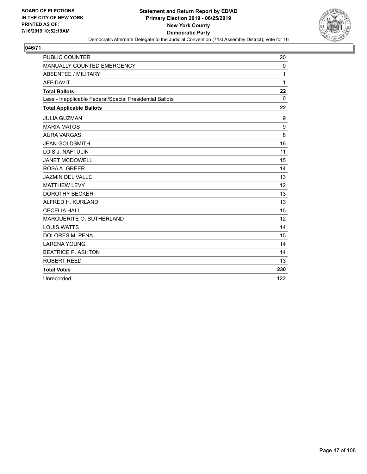

| <b>PUBLIC COUNTER</b>                                    | 20       |
|----------------------------------------------------------|----------|
| MANUALLY COUNTED EMERGENCY                               | 0        |
| <b>ABSENTEE / MILITARY</b>                               | 1        |
| <b>AFFIDAVIT</b>                                         | 1        |
| <b>Total Ballots</b>                                     | 22       |
| Less - Inapplicable Federal/Special Presidential Ballots | $\Omega$ |
| <b>Total Applicable Ballots</b>                          | 22       |
| <b>JULIA GUZMAN</b>                                      | 9        |
| <b>MARIA MATOS</b>                                       | 9        |
| <b>AURA VARGAS</b>                                       | 8        |
| <b>JEAN GOLDSMITH</b>                                    | 16       |
| LOIS J. NAFTULIN                                         | 11       |
| <b>JANET MCDOWELL</b>                                    | 15       |
| ROSA A. GREER                                            | 14       |
| <b>JAZMIN DEL VALLE</b>                                  | 13       |
| <b>MATTHEW LEVY</b>                                      | 12       |
| <b>DOROTHY BECKER</b>                                    | 13       |
| ALFRED H. KURLAND                                        | 13       |
| <b>CECELIA HALL</b>                                      | 15       |
| MARGUERITE O. SUTHERLAND                                 | 12       |
| <b>LOUIS WATTS</b>                                       | 14       |
| <b>DOLORES M. PENA</b>                                   | 15       |
| <b>LARENA YOUNG</b>                                      | 14       |
| <b>BEATRICE P. ASHTON</b>                                | 14       |
| ROBERT REED                                              | 13       |
| <b>Total Votes</b>                                       | 230      |
| Unrecorded                                               | 122      |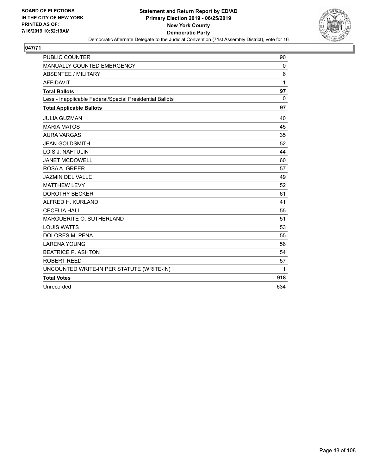

| <b>PUBLIC COUNTER</b>                                    | 90       |
|----------------------------------------------------------|----------|
| MANUALLY COUNTED EMERGENCY                               | 0        |
| <b>ABSENTEE / MILITARY</b>                               | 6        |
| <b>AFFIDAVIT</b>                                         | 1        |
| <b>Total Ballots</b>                                     | 97       |
| Less - Inapplicable Federal/Special Presidential Ballots | $\Omega$ |
| <b>Total Applicable Ballots</b>                          | 97       |
| <b>JULIA GUZMAN</b>                                      | 40       |
| <b>MARIA MATOS</b>                                       | 45       |
| <b>AURA VARGAS</b>                                       | 35       |
| <b>JEAN GOLDSMITH</b>                                    | 52       |
| <b>LOIS J. NAFTULIN</b>                                  | 44       |
| <b>JANET MCDOWELL</b>                                    | 60       |
| ROSA A. GREER                                            | 57       |
| <b>JAZMIN DEL VALLE</b>                                  | 49       |
| <b>MATTHEW LEVY</b>                                      | 52       |
| <b>DOROTHY BECKER</b>                                    | 61       |
| ALFRED H. KURLAND                                        | 41       |
| <b>CECELIA HALL</b>                                      | 55       |
| MARGUERITE O. SUTHERLAND                                 | 51       |
| <b>LOUIS WATTS</b>                                       | 53       |
| DOLORES M. PENA                                          | 55       |
| <b>LARENA YOUNG</b>                                      | 56       |
| <b>BEATRICE P. ASHTON</b>                                | 54       |
| <b>ROBERT REED</b>                                       | 57       |
| UNCOUNTED WRITE-IN PER STATUTE (WRITE-IN)                | 1        |
| <b>Total Votes</b>                                       | 918      |
| Unrecorded                                               | 634      |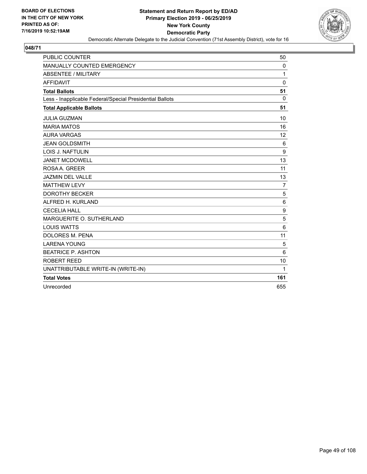

| <b>PUBLIC COUNTER</b>                                    | 50             |
|----------------------------------------------------------|----------------|
| MANUALLY COUNTED EMERGENCY                               | 0              |
| <b>ABSENTEE / MILITARY</b>                               | 1              |
| <b>AFFIDAVIT</b>                                         | $\mathbf 0$    |
| <b>Total Ballots</b>                                     | 51             |
| Less - Inapplicable Federal/Special Presidential Ballots | $\mathbf 0$    |
| <b>Total Applicable Ballots</b>                          | 51             |
| <b>JULIA GUZMAN</b>                                      | 10             |
| <b>MARIA MATOS</b>                                       | 16             |
| <b>AURA VARGAS</b>                                       | 12             |
| <b>JEAN GOLDSMITH</b>                                    | 6              |
| <b>LOIS J. NAFTULIN</b>                                  | 9              |
| <b>JANET MCDOWELL</b>                                    | 13             |
| ROSA A. GREER                                            | 11             |
| <b>JAZMIN DEL VALLE</b>                                  | 13             |
| <b>MATTHEW LEVY</b>                                      | $\overline{7}$ |
| <b>DOROTHY BECKER</b>                                    | 5              |
| ALFRED H. KURLAND                                        | 6              |
| <b>CECELIA HALL</b>                                      | 9              |
| MARGUERITE O. SUTHERLAND                                 | $\mathbf 5$    |
| <b>LOUIS WATTS</b>                                       | 6              |
| <b>DOLORES M. PENA</b>                                   | 11             |
| <b>LARENA YOUNG</b>                                      | 5              |
| <b>BEATRICE P. ASHTON</b>                                | 6              |
| ROBERT REED                                              | 10             |
| UNATTRIBUTABLE WRITE-IN (WRITE-IN)                       | 1              |
| <b>Total Votes</b>                                       | 161            |
| Unrecorded                                               | 655            |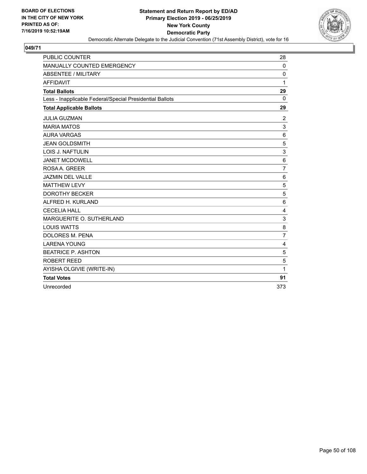

| <b>PUBLIC COUNTER</b>                                    | 28               |
|----------------------------------------------------------|------------------|
| MANUALLY COUNTED EMERGENCY                               | $\mathbf 0$      |
| <b>ABSENTEE / MILITARY</b>                               | $\mathbf 0$      |
| <b>AFFIDAVIT</b>                                         | 1                |
| <b>Total Ballots</b>                                     | 29               |
| Less - Inapplicable Federal/Special Presidential Ballots | $\mathbf 0$      |
| <b>Total Applicable Ballots</b>                          | 29               |
| <b>JULIA GUZMAN</b>                                      | $\boldsymbol{2}$ |
| <b>MARIA MATOS</b>                                       | 3                |
| <b>AURA VARGAS</b>                                       | 6                |
| <b>JEAN GOLDSMITH</b>                                    | 5                |
| <b>LOIS J. NAFTULIN</b>                                  | 3                |
| <b>JANET MCDOWELL</b>                                    | 6                |
| ROSA A. GREER                                            | $\overline{7}$   |
| <b>JAZMIN DEL VALLE</b>                                  | 6                |
| <b>MATTHEW LEVY</b>                                      | 5                |
| <b>DOROTHY BECKER</b>                                    | 5                |
| ALFRED H. KURLAND                                        | 6                |
| <b>CECELIA HALL</b>                                      | $\overline{4}$   |
| MARGUERITE O. SUTHERLAND                                 | 3                |
| <b>LOUIS WATTS</b>                                       | 8                |
| <b>DOLORES M. PENA</b>                                   | $\overline{7}$   |
| <b>LARENA YOUNG</b>                                      | 4                |
| <b>BEATRICE P. ASHTON</b>                                | 5                |
| <b>ROBERT REED</b>                                       | 5                |
| AYISHA OLGIVIE (WRITE-IN)                                | 1                |
| <b>Total Votes</b>                                       | 91               |
| Unrecorded                                               | 373              |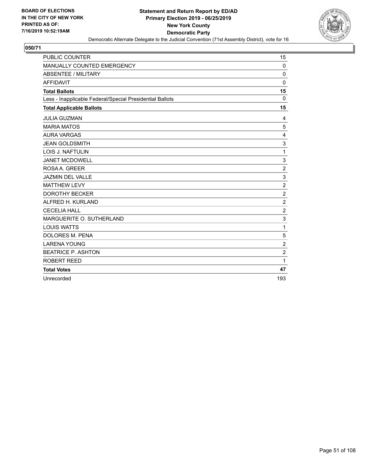

| PUBLIC COUNTER                                           | 15             |
|----------------------------------------------------------|----------------|
| MANUALLY COUNTED EMERGENCY                               | 0              |
| <b>ABSENTEE / MILITARY</b>                               | $\mathbf 0$    |
| <b>AFFIDAVIT</b>                                         | $\Omega$       |
| <b>Total Ballots</b>                                     | 15             |
| Less - Inapplicable Federal/Special Presidential Ballots | $\mathbf{0}$   |
| <b>Total Applicable Ballots</b>                          | 15             |
| <b>JULIA GUZMAN</b>                                      | 4              |
| <b>MARIA MATOS</b>                                       | 5              |
| <b>AURA VARGAS</b>                                       | 4              |
| <b>JEAN GOLDSMITH</b>                                    | 3              |
| <b>LOIS J. NAFTULIN</b>                                  | 1              |
| <b>JANET MCDOWELL</b>                                    | 3              |
| ROSA A. GREER                                            | $\overline{c}$ |
| <b>JAZMIN DEL VALLE</b>                                  | 3              |
| <b>MATTHEW LEVY</b>                                      | $\overline{c}$ |
| <b>DOROTHY BECKER</b>                                    | $\overline{2}$ |
| ALFRED H. KURLAND                                        | $\overline{c}$ |
| <b>CECELIA HALL</b>                                      | $\overline{c}$ |
| MARGUERITE O. SUTHERLAND                                 | 3              |
| <b>LOUIS WATTS</b>                                       | $\mathbf{1}$   |
| DOLORES M. PENA                                          | 5              |
| <b>LARENA YOUNG</b>                                      | $\overline{c}$ |
| <b>BEATRICE P. ASHTON</b>                                | $\overline{2}$ |
| <b>ROBERT REED</b>                                       | 1              |
| <b>Total Votes</b>                                       | 47             |
| Unrecorded                                               | 193            |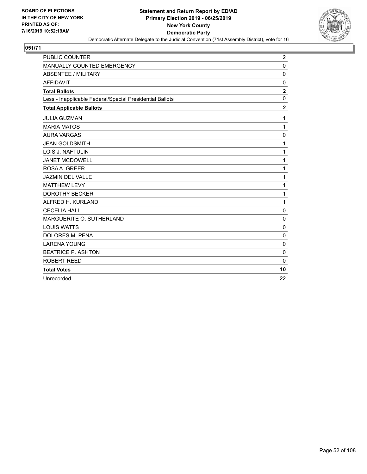

| <b>PUBLIC COUNTER</b>                                    | $\overline{2}$ |
|----------------------------------------------------------|----------------|
| MANUALLY COUNTED EMERGENCY                               | $\pmb{0}$      |
| <b>ABSENTEE / MILITARY</b>                               | $\mathbf 0$    |
| <b>AFFIDAVIT</b>                                         | $\mathbf 0$    |
| <b>Total Ballots</b>                                     | $\mathbf{2}$   |
| Less - Inapplicable Federal/Special Presidential Ballots | 0              |
| <b>Total Applicable Ballots</b>                          | $\overline{2}$ |
| <b>JULIA GUZMAN</b>                                      | 1              |
| <b>MARIA MATOS</b>                                       | $\mathbf{1}$   |
| <b>AURA VARGAS</b>                                       | $\mathbf 0$    |
| <b>JEAN GOLDSMITH</b>                                    | 1              |
| <b>LOIS J. NAFTULIN</b>                                  | 1              |
| <b>JANET MCDOWELL</b>                                    | $\mathbf{1}$   |
| ROSA A. GREER                                            | 1              |
| <b>JAZMIN DEL VALLE</b>                                  | 1              |
| <b>MATTHEW LEVY</b>                                      | 1              |
| <b>DOROTHY BECKER</b>                                    | 1              |
| ALFRED H. KURLAND                                        | $\mathbf{1}$   |
| <b>CECELIA HALL</b>                                      | $\mathbf 0$    |
| MARGUERITE O. SUTHERLAND                                 | $\mathbf 0$    |
| <b>LOUIS WATTS</b>                                       | 0              |
| DOLORES M. PENA                                          | $\mathbf 0$    |
| <b>LARENA YOUNG</b>                                      | 0              |
| <b>BEATRICE P. ASHTON</b>                                | 0              |
| ROBERT REED                                              | $\mathbf{0}$   |
| <b>Total Votes</b>                                       | 10             |
| Unrecorded                                               | 22             |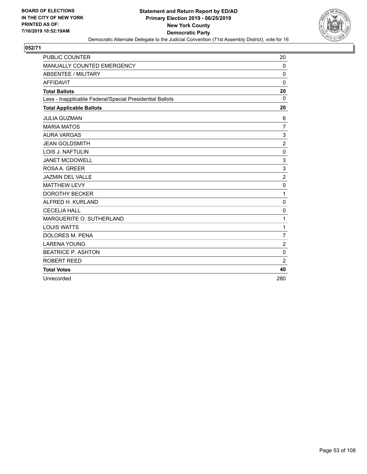

| <b>PUBLIC COUNTER</b>                                    | 20             |
|----------------------------------------------------------|----------------|
| MANUALLY COUNTED EMERGENCY                               | 0              |
| <b>ABSENTEE / MILITARY</b>                               | $\mathbf 0$    |
| <b>AFFIDAVIT</b>                                         | $\Omega$       |
| <b>Total Ballots</b>                                     | 20             |
| Less - Inapplicable Federal/Special Presidential Ballots | $\Omega$       |
| <b>Total Applicable Ballots</b>                          | 20             |
| <b>JULIA GUZMAN</b>                                      | 6              |
| <b>MARIA MATOS</b>                                       | $\overline{7}$ |
| <b>AURA VARGAS</b>                                       | 3              |
| <b>JEAN GOLDSMITH</b>                                    | $\overline{2}$ |
| <b>LOIS J. NAFTULIN</b>                                  | $\mathbf 0$    |
| <b>JANET MCDOWELL</b>                                    | 3              |
| ROSA A. GREER                                            | 3              |
| <b>JAZMIN DEL VALLE</b>                                  | $\overline{c}$ |
| <b>MATTHEW LEVY</b>                                      | $\mathbf 0$    |
| <b>DOROTHY BECKER</b>                                    | 1              |
| ALFRED H. KURLAND                                        | 0              |
| <b>CECELIA HALL</b>                                      | 0              |
| MARGUERITE O. SUTHERLAND                                 | 1              |
| <b>LOUIS WATTS</b>                                       | 1              |
| DOLORES M. PENA                                          | $\overline{7}$ |
| <b>LARENA YOUNG</b>                                      | $\overline{2}$ |
| <b>BEATRICE P. ASHTON</b>                                | $\mathbf 0$    |
| ROBERT REED                                              | $\overline{2}$ |
| <b>Total Votes</b>                                       | 40             |
| Unrecorded                                               | 280            |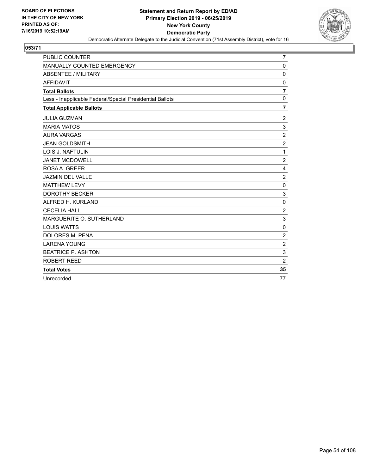

| <b>PUBLIC COUNTER</b>                                    | 7                       |
|----------------------------------------------------------|-------------------------|
| MANUALLY COUNTED EMERGENCY                               | $\pmb{0}$               |
| <b>ABSENTEE / MILITARY</b>                               | $\mathbf 0$             |
| <b>AFFIDAVIT</b>                                         | $\mathbf 0$             |
| <b>Total Ballots</b>                                     | $\overline{\mathbf{r}}$ |
| Less - Inapplicable Federal/Special Presidential Ballots | $\mathbf 0$             |
| <b>Total Applicable Ballots</b>                          | 7                       |
| <b>JULIA GUZMAN</b>                                      | $\boldsymbol{2}$        |
| <b>MARIA MATOS</b>                                       | 3                       |
| <b>AURA VARGAS</b>                                       | $\overline{c}$          |
| <b>JEAN GOLDSMITH</b>                                    | $\sqrt{2}$              |
| LOIS J. NAFTULIN                                         | 1                       |
| <b>JANET MCDOWELL</b>                                    | $\overline{2}$          |
| ROSA A. GREER                                            | 4                       |
| JAZMIN DEL VALLE                                         | $\overline{2}$          |
| <b>MATTHEW LEVY</b>                                      | $\mathbf 0$             |
| <b>DOROTHY BECKER</b>                                    | 3                       |
| ALFRED H. KURLAND                                        | $\mathbf 0$             |
| <b>CECELIA HALL</b>                                      | $\boldsymbol{2}$        |
| MARGUERITE O. SUTHERLAND                                 | 3                       |
| <b>LOUIS WATTS</b>                                       | $\mathbf 0$             |
| <b>DOLORES M. PENA</b>                                   | $\overline{c}$          |
| <b>LARENA YOUNG</b>                                      | $\overline{2}$          |
| <b>BEATRICE P. ASHTON</b>                                | 3                       |
| ROBERT REED                                              | $\overline{2}$          |
| <b>Total Votes</b>                                       | 35                      |
| Unrecorded                                               | 77                      |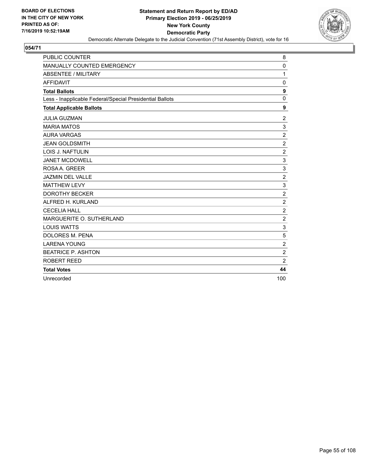

| <b>PUBLIC COUNTER</b>                                    | 8              |
|----------------------------------------------------------|----------------|
| MANUALLY COUNTED EMERGENCY                               | $\mathbf 0$    |
| <b>ABSENTEE / MILITARY</b>                               | 1              |
| <b>AFFIDAVIT</b>                                         | $\mathbf 0$    |
| <b>Total Ballots</b>                                     | 9              |
| Less - Inapplicable Federal/Special Presidential Ballots | $\mathbf 0$    |
| <b>Total Applicable Ballots</b>                          | 9              |
| <b>JULIA GUZMAN</b>                                      | $\overline{2}$ |
| <b>MARIA MATOS</b>                                       | 3              |
| <b>AURA VARGAS</b>                                       | $\overline{2}$ |
| <b>JEAN GOLDSMITH</b>                                    | $\overline{c}$ |
| <b>LOIS J. NAFTULIN</b>                                  | $\overline{2}$ |
| <b>JANET MCDOWELL</b>                                    | 3              |
| ROSAA. GREER                                             | 3              |
| <b>JAZMIN DEL VALLE</b>                                  | $\overline{c}$ |
| <b>MATTHEW LEVY</b>                                      | 3              |
| <b>DOROTHY BECKER</b>                                    | $\overline{c}$ |
| ALFRED H. KURLAND                                        | $\overline{c}$ |
| <b>CECELIA HALL</b>                                      | $\overline{c}$ |
| MARGUERITE O. SUTHERLAND                                 | $\overline{2}$ |
| <b>LOUIS WATTS</b>                                       | 3              |
| <b>DOLORES M. PENA</b>                                   | 5              |
| <b>LARENA YOUNG</b>                                      | $\overline{c}$ |
| <b>BEATRICE P. ASHTON</b>                                | $\overline{c}$ |
| ROBERT REED                                              | $\overline{2}$ |
| <b>Total Votes</b>                                       | 44             |
| Unrecorded                                               | 100            |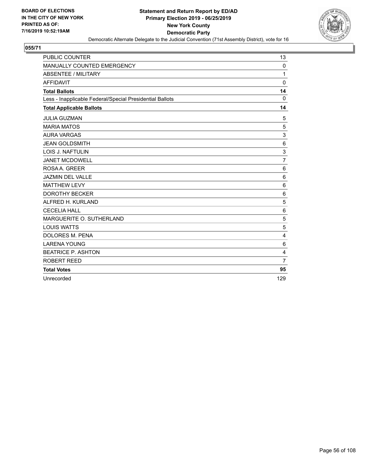

| <b>PUBLIC COUNTER</b>                                    | 13             |
|----------------------------------------------------------|----------------|
| MANUALLY COUNTED EMERGENCY                               | 0              |
| <b>ABSENTEE / MILITARY</b>                               | 1              |
| <b>AFFIDAVIT</b>                                         | $\Omega$       |
| <b>Total Ballots</b>                                     | 14             |
| Less - Inapplicable Federal/Special Presidential Ballots | $\mathbf 0$    |
| <b>Total Applicable Ballots</b>                          | 14             |
| <b>JULIA GUZMAN</b>                                      | 5              |
| <b>MARIA MATOS</b>                                       | 5              |
| <b>AURA VARGAS</b>                                       | 3              |
| <b>JEAN GOLDSMITH</b>                                    | 6              |
| LOIS J. NAFTULIN                                         | 3              |
| <b>JANET MCDOWELL</b>                                    | $\overline{7}$ |
| ROSA A. GREER                                            | 6              |
| <b>JAZMIN DEL VALLE</b>                                  | 6              |
| <b>MATTHEW LEVY</b>                                      | $6\phantom{1}$ |
| <b>DOROTHY BECKER</b>                                    | 6              |
| ALFRED H. KURLAND                                        | 5              |
| <b>CECELIA HALL</b>                                      | 6              |
| MARGUERITE O. SUTHERLAND                                 | 5              |
| <b>LOUIS WATTS</b>                                       | 5              |
| <b>DOLORES M. PENA</b>                                   | 4              |
| <b>LARENA YOUNG</b>                                      | 6              |
| <b>BEATRICE P. ASHTON</b>                                | 4              |
| ROBERT REED                                              | $\overline{7}$ |
| <b>Total Votes</b>                                       | 95             |
| Unrecorded                                               | 129            |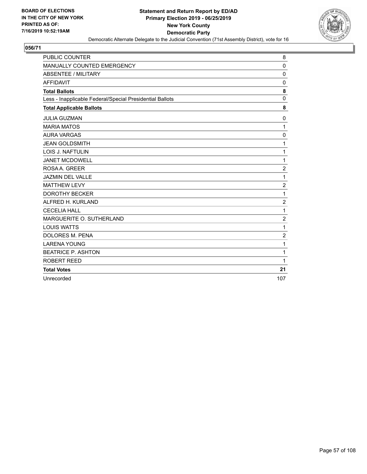

| <b>PUBLIC COUNTER</b>                                    | 8              |
|----------------------------------------------------------|----------------|
| MANUALLY COUNTED EMERGENCY                               | $\mathbf 0$    |
| <b>ABSENTEE / MILITARY</b>                               | $\Omega$       |
| <b>AFFIDAVIT</b>                                         | $\mathbf{0}$   |
| <b>Total Ballots</b>                                     | 8              |
| Less - Inapplicable Federal/Special Presidential Ballots | 0              |
| <b>Total Applicable Ballots</b>                          | 8              |
| <b>JULIA GUZMAN</b>                                      | 0              |
| <b>MARIA MATOS</b>                                       | $\mathbf{1}$   |
| <b>AURA VARGAS</b>                                       | $\mathbf 0$    |
| <b>JEAN GOLDSMITH</b>                                    | 1              |
| LOIS J. NAFTULIN                                         | 1              |
| <b>JANET MCDOWELL</b>                                    | $\mathbf{1}$   |
| ROSA A. GREER                                            | $\overline{2}$ |
| <b>JAZMIN DEL VALLE</b>                                  | 1              |
| <b>MATTHEW LEVY</b>                                      | $\overline{c}$ |
| <b>DOROTHY BECKER</b>                                    | 1              |
| ALFRED H. KURLAND                                        | $\overline{2}$ |
| <b>CECELIA HALL</b>                                      | 1              |
| MARGUERITE O. SUTHERLAND                                 | $\overline{2}$ |
| <b>LOUIS WATTS</b>                                       | $\mathbf{1}$   |
| <b>DOLORES M. PENA</b>                                   | $\overline{2}$ |
| <b>LARENA YOUNG</b>                                      | 1              |
| <b>BEATRICE P. ASHTON</b>                                | 1              |
| ROBERT REED                                              | 1              |
| <b>Total Votes</b>                                       | 21             |
| Unrecorded                                               | 107            |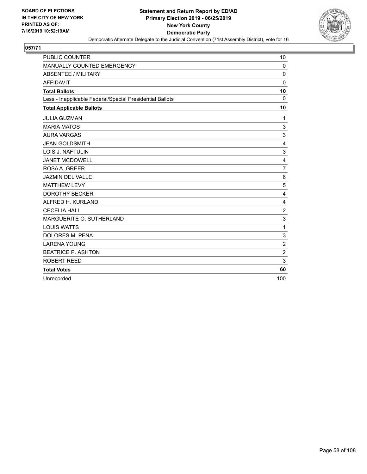

| <b>PUBLIC COUNTER</b>                                    | 10                      |
|----------------------------------------------------------|-------------------------|
| MANUALLY COUNTED EMERGENCY                               | 0                       |
| <b>ABSENTEE / MILITARY</b>                               | $\mathbf 0$             |
| <b>AFFIDAVIT</b>                                         | $\Omega$                |
| <b>Total Ballots</b>                                     | 10                      |
| Less - Inapplicable Federal/Special Presidential Ballots | $\mathbf 0$             |
| <b>Total Applicable Ballots</b>                          | 10                      |
| <b>JULIA GUZMAN</b>                                      | 1                       |
| <b>MARIA MATOS</b>                                       | $\mathsf 3$             |
| <b>AURA VARGAS</b>                                       | 3                       |
| <b>JEAN GOLDSMITH</b>                                    | $\overline{4}$          |
| LOIS J. NAFTULIN                                         | 3                       |
| <b>JANET MCDOWELL</b>                                    | $\overline{\mathbf{4}}$ |
| ROSA A. GREER                                            | $\overline{7}$          |
| <b>JAZMIN DEL VALLE</b>                                  | 6                       |
| <b>MATTHEW LEVY</b>                                      | 5                       |
| <b>DOROTHY BECKER</b>                                    | 4                       |
| ALFRED H. KURLAND                                        | 4                       |
| <b>CECELIA HALL</b>                                      | $\boldsymbol{2}$        |
| MARGUERITE O. SUTHERLAND                                 | 3                       |
| <b>LOUIS WATTS</b>                                       | 1                       |
| <b>DOLORES M. PENA</b>                                   | 3                       |
| <b>LARENA YOUNG</b>                                      | $\overline{2}$          |
| <b>BEATRICE P. ASHTON</b>                                | $\overline{c}$          |
| ROBERT REED                                              | 3                       |
| <b>Total Votes</b>                                       | 60                      |
| Unrecorded                                               | 100                     |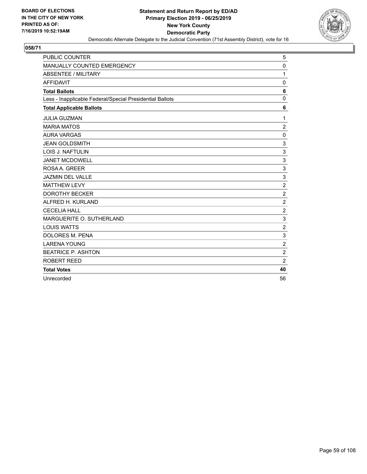

| <b>PUBLIC COUNTER</b>                                    | 5                |
|----------------------------------------------------------|------------------|
| MANUALLY COUNTED EMERGENCY                               | 0                |
| <b>ABSENTEE / MILITARY</b>                               | 1                |
| <b>AFFIDAVIT</b>                                         | $\mathbf 0$      |
| <b>Total Ballots</b>                                     | 6                |
| Less - Inapplicable Federal/Special Presidential Ballots | 0                |
| <b>Total Applicable Ballots</b>                          | 6                |
| <b>JULIA GUZMAN</b>                                      | 1                |
| <b>MARIA MATOS</b>                                       | $\overline{c}$   |
| <b>AURA VARGAS</b>                                       | 0                |
| <b>JEAN GOLDSMITH</b>                                    | 3                |
| LOIS J. NAFTULIN                                         | 3                |
| <b>JANET MCDOWELL</b>                                    | 3                |
| ROSA A. GREER                                            | 3                |
| JAZMIN DEL VALLE                                         | 3                |
| <b>MATTHEW LEVY</b>                                      | $\boldsymbol{2}$ |
| <b>DOROTHY BECKER</b>                                    | $\overline{c}$   |
| ALFRED H. KURLAND                                        | $\overline{c}$   |
| <b>CECELIA HALL</b>                                      | $\boldsymbol{2}$ |
| MARGUERITE O. SUTHERLAND                                 | 3                |
| <b>LOUIS WATTS</b>                                       | $\overline{c}$   |
| <b>DOLORES M. PENA</b>                                   | 3                |
| <b>LARENA YOUNG</b>                                      | $\overline{2}$   |
| <b>BEATRICE P. ASHTON</b>                                | $\overline{c}$   |
| ROBERT REED                                              | $\overline{2}$   |
| <b>Total Votes</b>                                       | 40               |
| Unrecorded                                               | 56               |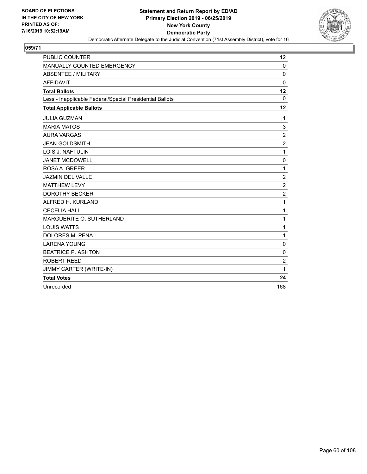

| <b>PUBLIC COUNTER</b>                                    | 12             |
|----------------------------------------------------------|----------------|
| MANUALLY COUNTED EMERGENCY                               | $\mathbf 0$    |
| <b>ABSENTEE / MILITARY</b>                               | $\mathbf 0$    |
| <b>AFFIDAVIT</b>                                         | $\mathbf 0$    |
| <b>Total Ballots</b>                                     | 12             |
| Less - Inapplicable Federal/Special Presidential Ballots | $\Omega$       |
| <b>Total Applicable Ballots</b>                          | 12             |
| <b>JULIA GUZMAN</b>                                      | 1              |
| <b>MARIA MATOS</b>                                       | 3              |
| <b>AURA VARGAS</b>                                       | $\overline{c}$ |
| <b>JEAN GOLDSMITH</b>                                    | $\overline{2}$ |
| <b>LOIS J. NAFTULIN</b>                                  | $\mathbf{1}$   |
| <b>JANET MCDOWELL</b>                                    | 0              |
| ROSA A. GREER                                            | 1              |
| <b>JAZMIN DEL VALLE</b>                                  | $\overline{2}$ |
| <b>MATTHEW LEVY</b>                                      | $\overline{2}$ |
| <b>DOROTHY BECKER</b>                                    | $\overline{2}$ |
| ALFRED H. KURLAND                                        | $\mathbf{1}$   |
| <b>CECELIA HALL</b>                                      | $\mathbf{1}$   |
| MARGUERITE O. SUTHERLAND                                 | 1              |
| <b>LOUIS WATTS</b>                                       | $\mathbf{1}$   |
| DOLORES M. PENA                                          | $\mathbf{1}$   |
| <b>LARENA YOUNG</b>                                      | 0              |
| <b>BEATRICE P. ASHTON</b>                                | 0              |
| <b>ROBERT REED</b>                                       | $\overline{2}$ |
| <b>JIMMY CARTER (WRITE-IN)</b>                           | 1              |
| <b>Total Votes</b>                                       | 24             |
| Unrecorded                                               | 168            |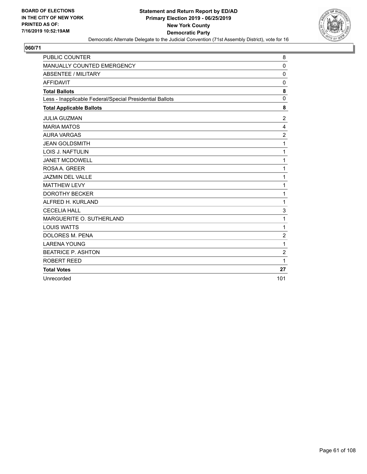

| <b>PUBLIC COUNTER</b>                                    | 8              |
|----------------------------------------------------------|----------------|
| MANUALLY COUNTED EMERGENCY                               | $\mathbf 0$    |
| <b>ABSENTEE / MILITARY</b>                               | $\mathbf 0$    |
| <b>AFFIDAVIT</b>                                         | $\mathbf 0$    |
| <b>Total Ballots</b>                                     | 8              |
| Less - Inapplicable Federal/Special Presidential Ballots | $\mathbf 0$    |
| <b>Total Applicable Ballots</b>                          | 8              |
| <b>JULIA GUZMAN</b>                                      | $\overline{2}$ |
| <b>MARIA MATOS</b>                                       | 4              |
| <b>AURA VARGAS</b>                                       | $\overline{2}$ |
| <b>JEAN GOLDSMITH</b>                                    | 1              |
| <b>LOIS J. NAFTULIN</b>                                  | 1              |
| <b>JANET MCDOWELL</b>                                    | $\mathbf{1}$   |
| ROSAA. GREER                                             | 1              |
| <b>JAZMIN DEL VALLE</b>                                  | 1              |
| <b>MATTHEW LEVY</b>                                      | 1              |
| <b>DOROTHY BECKER</b>                                    | 1              |
| ALFRED H. KURLAND                                        | $\mathbf{1}$   |
| <b>CECELIA HALL</b>                                      | 3              |
| MARGUERITE O. SUTHERLAND                                 | 1              |
| <b>LOUIS WATTS</b>                                       | $\mathbf{1}$   |
| <b>DOLORES M. PENA</b>                                   | $\overline{2}$ |
| <b>LARENA YOUNG</b>                                      | 1              |
| <b>BEATRICE P. ASHTON</b>                                | $\overline{c}$ |
| ROBERT REED                                              | 1              |
| <b>Total Votes</b>                                       | 27             |
| Unrecorded                                               | 101            |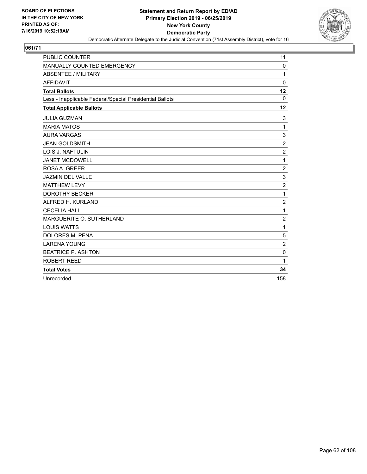

| <b>PUBLIC COUNTER</b>                                    | 11               |
|----------------------------------------------------------|------------------|
| MANUALLY COUNTED EMERGENCY                               | 0                |
| <b>ABSENTEE / MILITARY</b>                               | 1                |
| <b>AFFIDAVIT</b>                                         | $\Omega$         |
| <b>Total Ballots</b>                                     | 12               |
| Less - Inapplicable Federal/Special Presidential Ballots | $\Omega$         |
| <b>Total Applicable Ballots</b>                          | 12               |
| <b>JULIA GUZMAN</b>                                      | 3                |
| <b>MARIA MATOS</b>                                       | $\mathbf{1}$     |
| <b>AURA VARGAS</b>                                       | 3                |
| <b>JEAN GOLDSMITH</b>                                    | $\boldsymbol{2}$ |
| LOIS J. NAFTULIN                                         | $\overline{2}$   |
| <b>JANET MCDOWELL</b>                                    | $\mathbf{1}$     |
| ROSA A. GREER                                            | $\overline{2}$   |
| <b>JAZMIN DEL VALLE</b>                                  | 3                |
| <b>MATTHEW LEVY</b>                                      | $\overline{c}$   |
| <b>DOROTHY BECKER</b>                                    | 1                |
| ALFRED H. KURLAND                                        | $\overline{2}$   |
| <b>CECELIA HALL</b>                                      | 1                |
| MARGUERITE O. SUTHERLAND                                 | $\overline{2}$   |
| <b>LOUIS WATTS</b>                                       | $\mathbf{1}$     |
| <b>DOLORES M. PENA</b>                                   | 5                |
| <b>LARENA YOUNG</b>                                      | $\overline{2}$   |
| <b>BEATRICE P. ASHTON</b>                                | $\mathbf 0$      |
| ROBERT REED                                              | 1                |
| <b>Total Votes</b>                                       | 34               |
| Unrecorded                                               | 158              |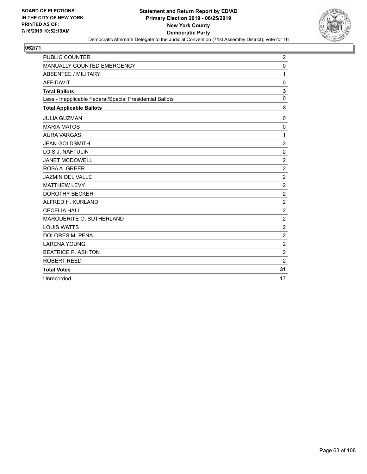

| <b>PUBLIC COUNTER</b>                                    | $\overline{2}$ |
|----------------------------------------------------------|----------------|
| MANUALLY COUNTED EMERGENCY                               | 0              |
| <b>ABSENTEE / MILITARY</b>                               | 1              |
| <b>AFFIDAVIT</b>                                         | $\mathbf 0$    |
| <b>Total Ballots</b>                                     | 3              |
| Less - Inapplicable Federal/Special Presidential Ballots | $\mathbf 0$    |
| <b>Total Applicable Ballots</b>                          | 3              |
| <b>JULIA GUZMAN</b>                                      | 0              |
| <b>MARIA MATOS</b>                                       | 0              |
| <b>AURA VARGAS</b>                                       | $\mathbf{1}$   |
| <b>JEAN GOLDSMITH</b>                                    | $\overline{2}$ |
| <b>LOIS J. NAFTULIN</b>                                  | $\overline{c}$ |
| <b>JANET MCDOWELL</b>                                    | $\overline{c}$ |
| ROSA A. GREER                                            | $\overline{2}$ |
| <b>JAZMIN DEL VALLE</b>                                  | $\overline{c}$ |
| <b>MATTHEW LEVY</b>                                      | $\overline{c}$ |
| <b>DOROTHY BECKER</b>                                    | $\overline{c}$ |
| ALFRED H. KURLAND                                        | $\overline{2}$ |
| <b>CECELIA HALL</b>                                      | $\overline{c}$ |
| MARGUERITE O. SUTHERLAND                                 | $\overline{c}$ |
| <b>LOUIS WATTS</b>                                       | $\overline{2}$ |
| <b>DOLORES M. PENA</b>                                   | $\overline{2}$ |
| <b>LARENA YOUNG</b>                                      | $\overline{c}$ |
| <b>BEATRICE P. ASHTON</b>                                | $\overline{2}$ |
| ROBERT REED                                              | $\overline{2}$ |
| <b>Total Votes</b>                                       | 31             |
| Unrecorded                                               | 17             |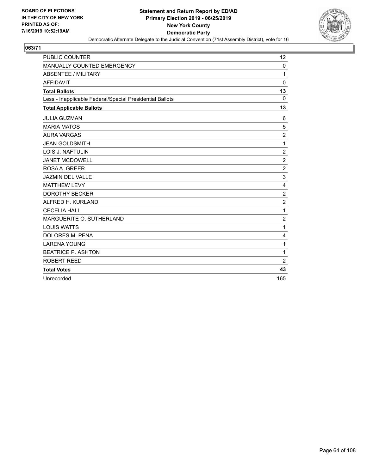

| <b>PUBLIC COUNTER</b>                                    | 12             |
|----------------------------------------------------------|----------------|
| MANUALLY COUNTED EMERGENCY                               | 0              |
| <b>ABSENTEE / MILITARY</b>                               | 1              |
| <b>AFFIDAVIT</b>                                         | $\Omega$       |
| <b>Total Ballots</b>                                     | 13             |
| Less - Inapplicable Federal/Special Presidential Ballots | $\mathbf 0$    |
| <b>Total Applicable Ballots</b>                          | 13             |
| <b>JULIA GUZMAN</b>                                      | 6              |
| <b>MARIA MATOS</b>                                       | 5              |
| <b>AURA VARGAS</b>                                       | $\overline{c}$ |
| <b>JEAN GOLDSMITH</b>                                    | $\mathbf{1}$   |
| LOIS J. NAFTULIN                                         | $\overline{2}$ |
| <b>JANET MCDOWELL</b>                                    | $\overline{c}$ |
| ROSA A. GREER                                            | $\overline{c}$ |
| JAZMIN DEL VALLE                                         | 3              |
| <b>MATTHEW LEVY</b>                                      | 4              |
| <b>DOROTHY BECKER</b>                                    | $\overline{c}$ |
| ALFRED H. KURLAND                                        | $\overline{2}$ |
| <b>CECELIA HALL</b>                                      | $\mathbf{1}$   |
| MARGUERITE O. SUTHERLAND                                 | $\overline{2}$ |
| <b>LOUIS WATTS</b>                                       | $\mathbf{1}$   |
| <b>DOLORES M. PENA</b>                                   | 4              |
| <b>LARENA YOUNG</b>                                      | 1              |
| <b>BEATRICE P. ASHTON</b>                                | $\mathbf{1}$   |
| ROBERT REED                                              | $\overline{2}$ |
| <b>Total Votes</b>                                       | 43             |
| Unrecorded                                               | 165            |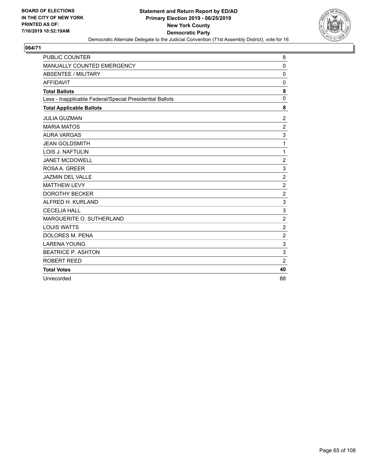

| <b>PUBLIC COUNTER</b>                                    | 8                |
|----------------------------------------------------------|------------------|
| MANUALLY COUNTED EMERGENCY                               | $\mathbf 0$      |
| <b>ABSENTEE / MILITARY</b>                               | $\mathbf 0$      |
| <b>AFFIDAVIT</b>                                         | $\Omega$         |
| <b>Total Ballots</b>                                     | 8                |
| Less - Inapplicable Federal/Special Presidential Ballots | $\mathbf 0$      |
| <b>Total Applicable Ballots</b>                          | 8                |
| <b>JULIA GUZMAN</b>                                      | $\overline{2}$   |
| <b>MARIA MATOS</b>                                       | $\overline{c}$   |
| <b>AURA VARGAS</b>                                       | 3                |
| <b>JEAN GOLDSMITH</b>                                    | 1                |
| <b>LOIS J. NAFTULIN</b>                                  | 1                |
| <b>JANET MCDOWELL</b>                                    | $\overline{c}$   |
| ROSAA. GREER                                             | 3                |
| <b>JAZMIN DEL VALLE</b>                                  | $\overline{2}$   |
| <b>MATTHEW LEVY</b>                                      | $\overline{2}$   |
| <b>DOROTHY BECKER</b>                                    | $\overline{c}$   |
| ALFRED H. KURLAND                                        | 3                |
| <b>CECELIA HALL</b>                                      | 3                |
| MARGUERITE O. SUTHERLAND                                 | $\overline{2}$   |
| <b>LOUIS WATTS</b>                                       | $\boldsymbol{2}$ |
| <b>DOLORES M. PENA</b>                                   | $\overline{2}$   |
| <b>LARENA YOUNG</b>                                      | 3                |
| <b>BEATRICE P. ASHTON</b>                                | 3                |
| ROBERT REED                                              | $\overline{2}$   |
| <b>Total Votes</b>                                       | 40               |
| Unrecorded                                               | 88               |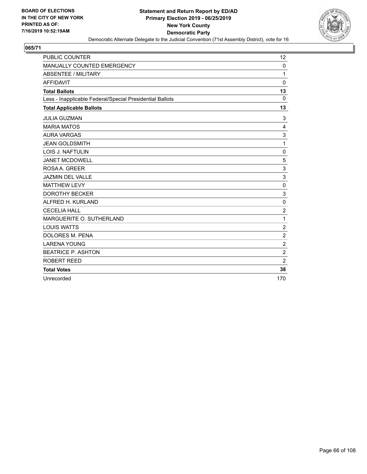

| <b>PUBLIC COUNTER</b>                                    | 12             |
|----------------------------------------------------------|----------------|
| MANUALLY COUNTED EMERGENCY                               | 0              |
| <b>ABSENTEE / MILITARY</b>                               | 1              |
| <b>AFFIDAVIT</b>                                         | $\Omega$       |
| <b>Total Ballots</b>                                     | 13             |
| Less - Inapplicable Federal/Special Presidential Ballots | $\Omega$       |
| <b>Total Applicable Ballots</b>                          | 13             |
| <b>JULIA GUZMAN</b>                                      | 3              |
| <b>MARIA MATOS</b>                                       | 4              |
| <b>AURA VARGAS</b>                                       | 3              |
| <b>JEAN GOLDSMITH</b>                                    | 1              |
| <b>LOIS J. NAFTULIN</b>                                  | $\mathbf 0$    |
| <b>JANET MCDOWELL</b>                                    | 5              |
| ROSA A. GREER                                            | 3              |
| <b>JAZMIN DEL VALLE</b>                                  | 3              |
| <b>MATTHEW LEVY</b>                                      | $\mathbf 0$    |
| <b>DOROTHY BECKER</b>                                    | 3              |
| ALFRED H. KURLAND                                        | $\mathbf 0$    |
| <b>CECELIA HALL</b>                                      | $\overline{c}$ |
| MARGUERITE O. SUTHERLAND                                 | 1              |
| <b>LOUIS WATTS</b>                                       | $\overline{2}$ |
| DOLORES M. PENA                                          | $\overline{c}$ |
| <b>LARENA YOUNG</b>                                      | $\overline{c}$ |
| <b>BEATRICE P. ASHTON</b>                                | $\overline{c}$ |
| ROBERT REED                                              | $\overline{2}$ |
| <b>Total Votes</b>                                       | 38             |
| Unrecorded                                               | 170            |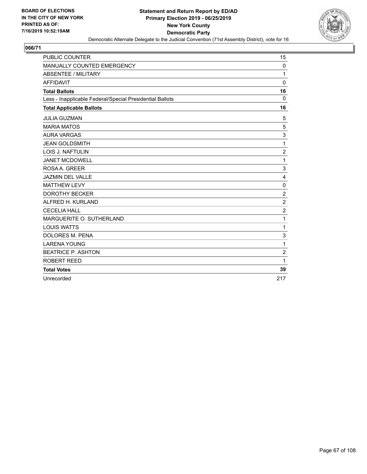

| <b>PUBLIC COUNTER</b>                                    | 15               |
|----------------------------------------------------------|------------------|
| MANUALLY COUNTED EMERGENCY                               | 0                |
| <b>ABSENTEE / MILITARY</b>                               | 1                |
| <b>AFFIDAVIT</b>                                         | $\Omega$         |
| <b>Total Ballots</b>                                     | 16               |
| Less - Inapplicable Federal/Special Presidential Ballots | $\Omega$         |
| <b>Total Applicable Ballots</b>                          | 16               |
| <b>JULIA GUZMAN</b>                                      | 5                |
| <b>MARIA MATOS</b>                                       | 5                |
| <b>AURA VARGAS</b>                                       | 3                |
| <b>JEAN GOLDSMITH</b>                                    | 1                |
| LOIS J. NAFTULIN                                         | $\overline{2}$   |
| <b>JANET MCDOWELL</b>                                    | 1                |
| ROSA A. GREER                                            | 3                |
| JAZMIN DEL VALLE                                         | 4                |
| <b>MATTHEW LEVY</b>                                      | $\mathbf 0$      |
| <b>DOROTHY BECKER</b>                                    | $\overline{c}$   |
| ALFRED H. KURLAND                                        | $\overline{2}$   |
| <b>CECELIA HALL</b>                                      | $\boldsymbol{2}$ |
| MARGUERITE O. SUTHERLAND                                 | 1                |
| <b>LOUIS WATTS</b>                                       | 1                |
| <b>DOLORES M. PENA</b>                                   | 3                |
| <b>LARENA YOUNG</b>                                      | 1                |
| <b>BEATRICE P. ASHTON</b>                                | $\overline{c}$   |
| ROBERT REED                                              | 1                |
| <b>Total Votes</b>                                       | 39               |
| Unrecorded                                               | 217              |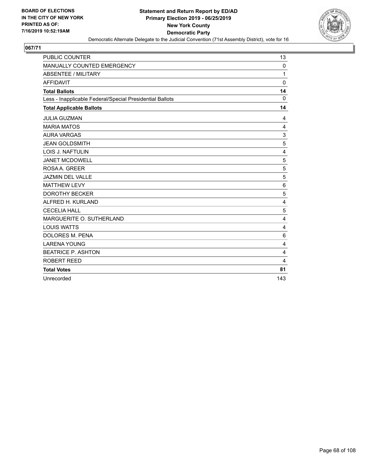

| <b>PUBLIC COUNTER</b>                                    | 13          |
|----------------------------------------------------------|-------------|
| MANUALLY COUNTED EMERGENCY                               | 0           |
| <b>ABSENTEE / MILITARY</b>                               | 1           |
| <b>AFFIDAVIT</b>                                         | $\Omega$    |
| <b>Total Ballots</b>                                     | 14          |
| Less - Inapplicable Federal/Special Presidential Ballots | $\mathbf 0$ |
| <b>Total Applicable Ballots</b>                          | 14          |
| <b>JULIA GUZMAN</b>                                      | 4           |
| <b>MARIA MATOS</b>                                       | 4           |
| <b>AURA VARGAS</b>                                       | 3           |
| <b>JEAN GOLDSMITH</b>                                    | 5           |
| LOIS J. NAFTULIN                                         | 4           |
| <b>JANET MCDOWELL</b>                                    | 5           |
| ROSA A. GREER                                            | 5           |
| JAZMIN DEL VALLE                                         | 5           |
| <b>MATTHEW LEVY</b>                                      | $\,6$       |
| <b>DOROTHY BECKER</b>                                    | 5           |
| ALFRED H. KURLAND                                        | 4           |
| <b>CECELIA HALL</b>                                      | 5           |
| MARGUERITE O. SUTHERLAND                                 | 4           |
| <b>LOUIS WATTS</b>                                       | 4           |
| <b>DOLORES M. PENA</b>                                   | 6           |
| <b>LARENA YOUNG</b>                                      | 4           |
| <b>BEATRICE P. ASHTON</b>                                | 4           |
| ROBERT REED                                              | 4           |
| <b>Total Votes</b>                                       | 81          |
| Unrecorded                                               | 143         |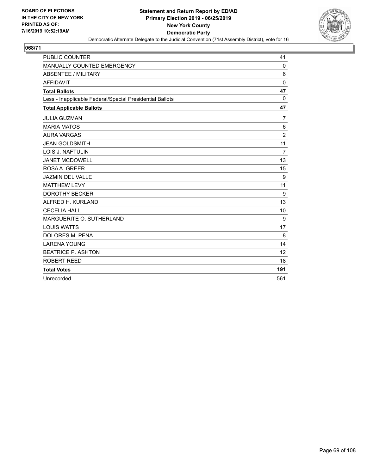

| <b>PUBLIC COUNTER</b>                                    | 41             |
|----------------------------------------------------------|----------------|
| MANUALLY COUNTED EMERGENCY                               | 0              |
| <b>ABSENTEE / MILITARY</b>                               | 6              |
| <b>AFFIDAVIT</b>                                         | $\Omega$       |
| <b>Total Ballots</b>                                     | 47             |
| Less - Inapplicable Federal/Special Presidential Ballots | $\mathbf{0}$   |
| <b>Total Applicable Ballots</b>                          | 47             |
| <b>JULIA GUZMAN</b>                                      | 7              |
| <b>MARIA MATOS</b>                                       | 6              |
| <b>AURA VARGAS</b>                                       | $\overline{2}$ |
| <b>JEAN GOLDSMITH</b>                                    | 11             |
| <b>LOIS J. NAFTULIN</b>                                  | $\overline{7}$ |
| <b>JANET MCDOWELL</b>                                    | 13             |
| ROSA A. GREER                                            | 15             |
| <b>JAZMIN DEL VALLE</b>                                  | 9              |
| <b>MATTHEW LEVY</b>                                      | 11             |
| <b>DOROTHY BECKER</b>                                    | 9              |
| ALFRED H. KURLAND                                        | 13             |
| <b>CECELIA HALL</b>                                      | 10             |
| MARGUERITE O. SUTHERLAND                                 | 9              |
| <b>LOUIS WATTS</b>                                       | 17             |
| <b>DOLORES M. PENA</b>                                   | 8              |
| <b>LARENA YOUNG</b>                                      | 14             |
| <b>BEATRICE P. ASHTON</b>                                | 12             |
| ROBERT REED                                              | 18             |
| <b>Total Votes</b>                                       | 191            |
| Unrecorded                                               | 561            |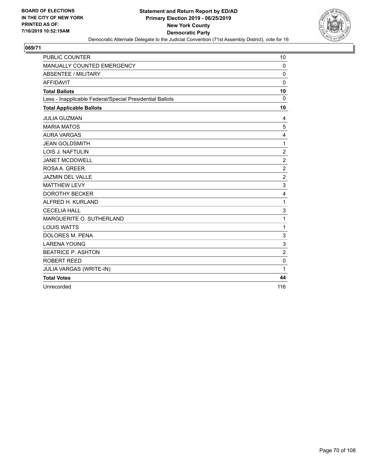

| <b>PUBLIC COUNTER</b>                                    | 10                        |
|----------------------------------------------------------|---------------------------|
| MANUALLY COUNTED EMERGENCY                               | $\mathbf 0$               |
| <b>ABSENTEE / MILITARY</b>                               | $\mathbf 0$               |
| <b>AFFIDAVIT</b>                                         | $\mathbf 0$               |
| <b>Total Ballots</b>                                     | 10                        |
| Less - Inapplicable Federal/Special Presidential Ballots | $\mathbf 0$               |
| <b>Total Applicable Ballots</b>                          | 10                        |
| <b>JULIA GUZMAN</b>                                      | 4                         |
| <b>MARIA MATOS</b>                                       | 5                         |
| <b>AURA VARGAS</b>                                       | 4                         |
| <b>JEAN GOLDSMITH</b>                                    | 1                         |
| <b>LOIS J. NAFTULIN</b>                                  | $\overline{\mathbf{c}}$   |
| <b>JANET MCDOWELL</b>                                    | $\overline{\mathbf{c}}$   |
| ROSA A. GREER                                            | $\overline{c}$            |
| <b>JAZMIN DEL VALLE</b>                                  | $\overline{c}$            |
| <b>MATTHEW LEVY</b>                                      | 3                         |
| <b>DOROTHY BECKER</b>                                    | 4                         |
| ALFRED H. KURLAND                                        | $\mathbf 1$               |
| <b>CECELIA HALL</b>                                      | $\ensuremath{\mathsf{3}}$ |
| MARGUERITE O. SUTHERLAND                                 | 1                         |
| <b>LOUIS WATTS</b>                                       | $\mathbf{1}$              |
| <b>DOLORES M. PENA</b>                                   | 3                         |
| <b>LARENA YOUNG</b>                                      | 3                         |
| <b>BEATRICE P. ASHTON</b>                                | $\overline{c}$            |
| <b>ROBERT REED</b>                                       | $\mathbf 0$               |
| JULIA VARGAS (WRITE-IN)                                  | 1                         |
| <b>Total Votes</b>                                       | 44                        |
| Unrecorded                                               | 116                       |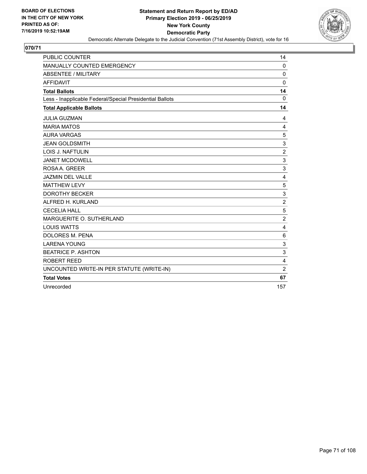

| <b>PUBLIC COUNTER</b>                                    | 14                        |
|----------------------------------------------------------|---------------------------|
| MANUALLY COUNTED EMERGENCY                               | $\mathbf 0$               |
| <b>ABSENTEE / MILITARY</b>                               | $\mathbf 0$               |
| <b>AFFIDAVIT</b>                                         | 0                         |
| <b>Total Ballots</b>                                     | 14                        |
| Less - Inapplicable Federal/Special Presidential Ballots | 0                         |
| <b>Total Applicable Ballots</b>                          | 14                        |
| <b>JULIA GUZMAN</b>                                      | 4                         |
| <b>MARIA MATOS</b>                                       | 4                         |
| <b>AURA VARGAS</b>                                       | 5                         |
| <b>JEAN GOLDSMITH</b>                                    | $\sqrt{3}$                |
| <b>LOIS J. NAFTULIN</b>                                  | $\overline{\mathbf{c}}$   |
| <b>JANET MCDOWELL</b>                                    | $\mathsf 3$               |
| ROSA A. GREER                                            | 3                         |
| <b>JAZMIN DEL VALLE</b>                                  | 4                         |
| <b>MATTHEW LEVY</b>                                      | 5                         |
| <b>DOROTHY BECKER</b>                                    | 3                         |
| ALFRED H. KURLAND                                        | $\overline{2}$            |
| <b>CECELIA HALL</b>                                      | $\sqrt{5}$                |
| MARGUERITE O. SUTHERLAND                                 | $\overline{2}$            |
| <b>LOUIS WATTS</b>                                       | 4                         |
| DOLORES M. PENA                                          | 6                         |
| <b>LARENA YOUNG</b>                                      | $\ensuremath{\mathsf{3}}$ |
| <b>BEATRICE P. ASHTON</b>                                | 3                         |
| <b>ROBERT REED</b>                                       | $\overline{\mathbf{4}}$   |
| UNCOUNTED WRITE-IN PER STATUTE (WRITE-IN)                | $\overline{c}$            |
| <b>Total Votes</b>                                       | 67                        |
| Unrecorded                                               | 157                       |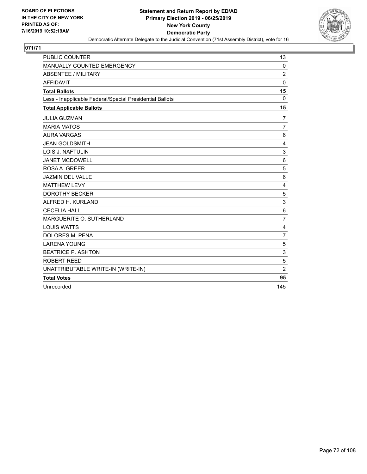

| <b>PUBLIC COUNTER</b>                                    | 13             |
|----------------------------------------------------------|----------------|
| MANUALLY COUNTED EMERGENCY                               | $\mathbf 0$    |
| <b>ABSENTEE / MILITARY</b>                               | $\overline{2}$ |
| <b>AFFIDAVIT</b>                                         | $\mathbf 0$    |
| <b>Total Ballots</b>                                     | 15             |
| Less - Inapplicable Federal/Special Presidential Ballots | $\Omega$       |
| <b>Total Applicable Ballots</b>                          | 15             |
| <b>JULIA GUZMAN</b>                                      | 7              |
| <b>MARIA MATOS</b>                                       | $\overline{7}$ |
| <b>AURA VARGAS</b>                                       | 6              |
| <b>JEAN GOLDSMITH</b>                                    | 4              |
| LOIS J. NAFTULIN                                         | 3              |
| <b>JANET MCDOWELL</b>                                    | 6              |
| ROSA A. GREER                                            | 5              |
| <b>JAZMIN DEL VALLE</b>                                  | 6              |
| <b>MATTHEW LEVY</b>                                      | $\overline{4}$ |
| <b>DOROTHY BECKER</b>                                    | 5              |
| ALFRED H. KURLAND                                        | 3              |
| <b>CECELIA HALL</b>                                      | $\,6$          |
| MARGUERITE O. SUTHERLAND                                 | $\overline{7}$ |
| <b>LOUIS WATTS</b>                                       | 4              |
| DOLORES M. PENA                                          | $\overline{7}$ |
| <b>LARENA YOUNG</b>                                      | 5              |
| <b>BEATRICE P. ASHTON</b>                                | 3              |
| ROBERT REED                                              | 5              |
| UNATTRIBUTABLE WRITE-IN (WRITE-IN)                       | $\overline{2}$ |
| <b>Total Votes</b>                                       | 95             |
| Unrecorded                                               | 145            |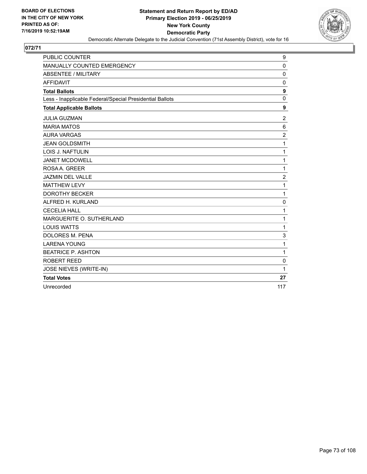

| <b>PUBLIC COUNTER</b>                                    | 9                       |
|----------------------------------------------------------|-------------------------|
| MANUALLY COUNTED EMERGENCY                               | $\pmb{0}$               |
| <b>ABSENTEE / MILITARY</b>                               | $\mathbf 0$             |
| <b>AFFIDAVIT</b>                                         | 0                       |
| <b>Total Ballots</b>                                     | 9                       |
| Less - Inapplicable Federal/Special Presidential Ballots | $\mathbf 0$             |
| <b>Total Applicable Ballots</b>                          | 9                       |
| <b>JULIA GUZMAN</b>                                      | 2                       |
| <b>MARIA MATOS</b>                                       | 6                       |
| <b>AURA VARGAS</b>                                       | $\overline{c}$          |
| <b>JEAN GOLDSMITH</b>                                    | 1                       |
| <b>LOIS J. NAFTULIN</b>                                  | 1                       |
| <b>JANET MCDOWELL</b>                                    | 1                       |
| ROSA A. GREER                                            | 1                       |
| <b>JAZMIN DEL VALLE</b>                                  | $\overline{\mathbf{c}}$ |
| <b>MATTHEW LEVY</b>                                      | 1                       |
| <b>DOROTHY BECKER</b>                                    | 1                       |
| ALFRED H. KURLAND                                        | 0                       |
| <b>CECELIA HALL</b>                                      | 1                       |
| MARGUERITE O. SUTHERLAND                                 | 1                       |
| <b>LOUIS WATTS</b>                                       | 1                       |
| DOLORES M. PENA                                          | 3                       |
| <b>LARENA YOUNG</b>                                      | 1                       |
| <b>BEATRICE P. ASHTON</b>                                | 1                       |
| <b>ROBERT REED</b>                                       | $\mathbf 0$             |
| JOSE NIEVES (WRITE-IN)                                   | 1                       |
| <b>Total Votes</b>                                       | 27                      |
| Unrecorded                                               | 117                     |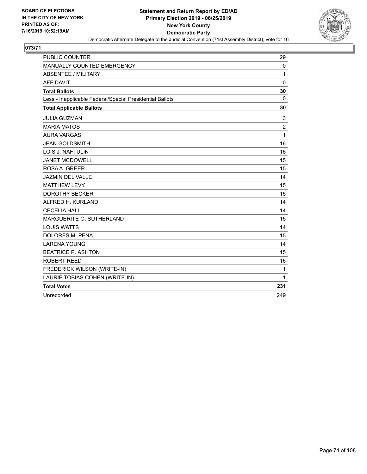

| <b>PUBLIC COUNTER</b>                                    | 29             |
|----------------------------------------------------------|----------------|
| MANUALLY COUNTED EMERGENCY                               | $\mathbf 0$    |
| ABSENTEE / MILITARY                                      | 1              |
| <b>AFFIDAVIT</b>                                         | $\Omega$       |
| <b>Total Ballots</b>                                     | 30             |
| Less - Inapplicable Federal/Special Presidential Ballots | $\Omega$       |
| <b>Total Applicable Ballots</b>                          | 30             |
| <b>JULIA GUZMAN</b>                                      | 3              |
| <b>MARIA MATOS</b>                                       | $\overline{2}$ |
| <b>AURA VARGAS</b>                                       | $\mathbf{1}$   |
| <b>JEAN GOLDSMITH</b>                                    | 16             |
| <b>LOIS J. NAFTULIN</b>                                  | 16             |
| <b>JANET MCDOWELL</b>                                    | 15             |
| ROSA A. GREER                                            | 15             |
| <b>JAZMIN DEL VALLE</b>                                  | 14             |
| <b>MATTHEW LEVY</b>                                      | 15             |
| <b>DOROTHY BECKER</b>                                    | 15             |
| ALFRED H. KURLAND                                        | 14             |
| <b>CECELIA HALL</b>                                      | 14             |
| MARGUERITE O. SUTHERLAND                                 | 15             |
| <b>LOUIS WATTS</b>                                       | 14             |
| <b>DOLORES M. PENA</b>                                   | 15             |
| <b>LARENA YOUNG</b>                                      | 14             |
| <b>BEATRICE P. ASHTON</b>                                | 15             |
| <b>ROBERT REED</b>                                       | 16             |
| FREDERICK WILSON (WRITE-IN)                              | $\mathbf{1}$   |
| LAURIE TOBIAS COHEN (WRITE-IN)                           | $\mathbf{1}$   |
| <b>Total Votes</b>                                       | 231            |
| Unrecorded                                               | 249            |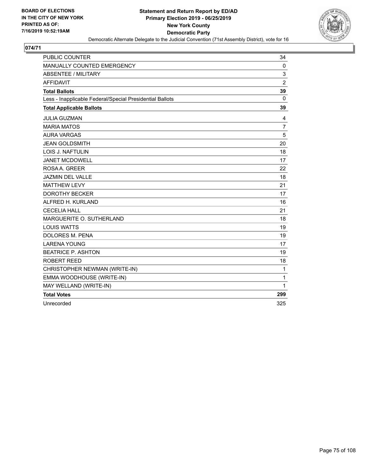

| <b>PUBLIC COUNTER</b>                                    | 34             |
|----------------------------------------------------------|----------------|
| MANUALLY COUNTED EMERGENCY                               | 0              |
| <b>ABSENTEE / MILITARY</b>                               | 3              |
| <b>AFFIDAVIT</b>                                         | $\overline{2}$ |
| <b>Total Ballots</b>                                     | 39             |
| Less - Inapplicable Federal/Special Presidential Ballots | 0              |
| <b>Total Applicable Ballots</b>                          | 39             |
| <b>JULIA GUZMAN</b>                                      | 4              |
| <b>MARIA MATOS</b>                                       | $\overline{7}$ |
| <b>AURA VARGAS</b>                                       | 5              |
| <b>JEAN GOLDSMITH</b>                                    | 20             |
| LOIS J. NAFTULIN                                         | 18             |
| <b>JANET MCDOWELL</b>                                    | 17             |
| ROSA A. GREER                                            | 22             |
| <b>JAZMIN DEL VALLE</b>                                  | 18             |
| <b>MATTHEW LEVY</b>                                      | 21             |
| <b>DOROTHY BECKER</b>                                    | 17             |
| ALFRED H. KURLAND                                        | 16             |
| <b>CECELIA HALL</b>                                      | 21             |
| MARGUERITE O. SUTHERLAND                                 | 18             |
| <b>LOUIS WATTS</b>                                       | 19             |
| <b>DOLORES M. PENA</b>                                   | 19             |
| <b>LARENA YOUNG</b>                                      | 17             |
| <b>BEATRICE P. ASHTON</b>                                | 19             |
| <b>ROBERT REED</b>                                       | 18             |
| CHRISTOPHER NEWMAN (WRITE-IN)                            | 1              |
| EMMA WOODHOUSE (WRITE-IN)                                | 1              |
| MAY WELLAND (WRITE-IN)                                   | $\mathbf{1}$   |
| <b>Total Votes</b>                                       | 299            |
| Unrecorded                                               | 325            |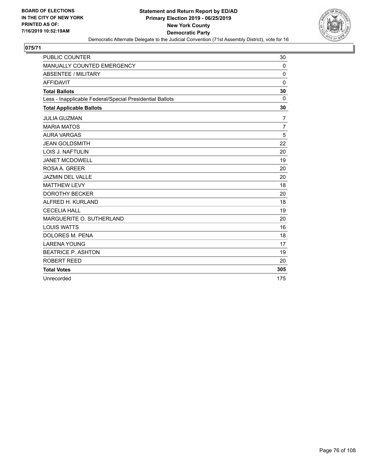

| <b>PUBLIC COUNTER</b>                                    | 30             |
|----------------------------------------------------------|----------------|
| MANUALLY COUNTED EMERGENCY                               | 0              |
| <b>ABSENTEE / MILITARY</b>                               | $\mathbf 0$    |
| <b>AFFIDAVIT</b>                                         | $\Omega$       |
| <b>Total Ballots</b>                                     | 30             |
| Less - Inapplicable Federal/Special Presidential Ballots | $\Omega$       |
| <b>Total Applicable Ballots</b>                          | 30             |
| <b>JULIA GUZMAN</b>                                      | 7              |
| <b>MARIA MATOS</b>                                       | $\overline{7}$ |
| <b>AURA VARGAS</b>                                       | 5              |
| <b>JEAN GOLDSMITH</b>                                    | 22             |
| <b>LOIS J. NAFTULIN</b>                                  | 20             |
| <b>JANET MCDOWELL</b>                                    | 19             |
| ROSAA, GREER                                             | 20             |
| <b>JAZMIN DEL VALLE</b>                                  | 20             |
| <b>MATTHEW LEVY</b>                                      | 18             |
| <b>DOROTHY BECKER</b>                                    | 20             |
| ALFRED H. KURLAND                                        | 18             |
| <b>CECELIA HALL</b>                                      | 19             |
| MARGUERITE O. SUTHERLAND                                 | 20             |
| <b>LOUIS WATTS</b>                                       | 16             |
| DOLORES M. PENA                                          | 18             |
| <b>LARENA YOUNG</b>                                      | 17             |
| <b>BEATRICE P. ASHTON</b>                                | 19             |
| ROBERT REED                                              | 20             |
| <b>Total Votes</b>                                       | 305            |
| Unrecorded                                               | 175            |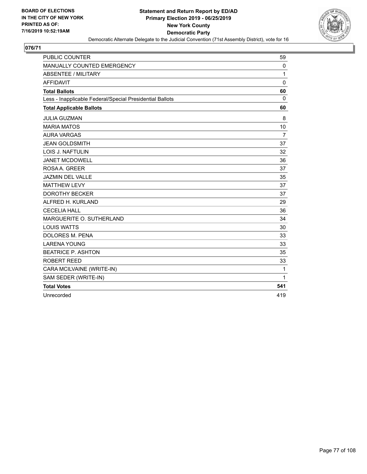

| <b>PUBLIC COUNTER</b>                                    | 59          |
|----------------------------------------------------------|-------------|
| MANUALLY COUNTED EMERGENCY                               | 0           |
| <b>ABSENTEE / MILITARY</b>                               | 1           |
| <b>AFFIDAVIT</b>                                         | $\mathbf 0$ |
| <b>Total Ballots</b>                                     | 60          |
| Less - Inapplicable Federal/Special Presidential Ballots | 0           |
| <b>Total Applicable Ballots</b>                          | 60          |
| <b>JULIA GUZMAN</b>                                      | 8           |
| <b>MARIA MATOS</b>                                       | 10          |
| <b>AURA VARGAS</b>                                       | 7           |
| <b>JEAN GOLDSMITH</b>                                    | 37          |
| <b>LOIS J. NAFTULIN</b>                                  | 32          |
| <b>JANET MCDOWELL</b>                                    | 36          |
| ROSA A. GREER                                            | 37          |
| <b>JAZMIN DEL VALLE</b>                                  | 35          |
| <b>MATTHEW LEVY</b>                                      | 37          |
| <b>DOROTHY BECKER</b>                                    | 37          |
| ALFRED H. KURLAND                                        | 29          |
| <b>CECELIA HALL</b>                                      | 36          |
| MARGUERITE O. SUTHERLAND                                 | 34          |
| <b>LOUIS WATTS</b>                                       | 30          |
| DOLORES M. PENA                                          | 33          |
| <b>LARENA YOUNG</b>                                      | 33          |
| <b>BEATRICE P. ASHTON</b>                                | 35          |
| <b>ROBERT REED</b>                                       | 33          |
| CARA MCILVAINE (WRITE-IN)                                | $\mathbf 1$ |
| SAM SEDER (WRITE-IN)                                     | 1           |
| <b>Total Votes</b>                                       | 541         |
| Unrecorded                                               | 419         |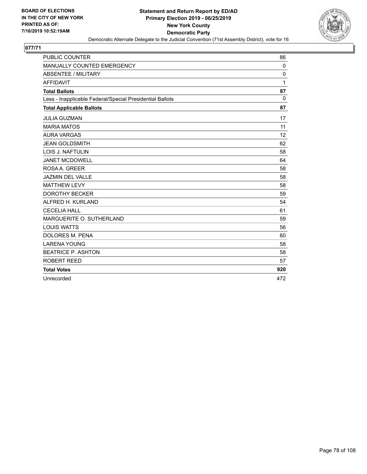

| <b>PUBLIC COUNTER</b>                                    | 86           |
|----------------------------------------------------------|--------------|
| MANUALLY COUNTED EMERGENCY                               | 0            |
| <b>ABSENTEE / MILITARY</b>                               | 0            |
| <b>AFFIDAVIT</b>                                         | $\mathbf{1}$ |
| <b>Total Ballots</b>                                     | 87           |
| Less - Inapplicable Federal/Special Presidential Ballots | $\mathbf{0}$ |
| <b>Total Applicable Ballots</b>                          | 87           |
| <b>JULIA GUZMAN</b>                                      | 17           |
| <b>MARIA MATOS</b>                                       | 11           |
| <b>AURA VARGAS</b>                                       | 12           |
| <b>JEAN GOLDSMITH</b>                                    | 62           |
| <b>LOIS J. NAFTULIN</b>                                  | 58           |
| <b>JANET MCDOWELL</b>                                    | 64           |
| ROSAA, GREER                                             | 58           |
| <b>JAZMIN DEL VALLE</b>                                  | 58           |
| <b>MATTHEW LEVY</b>                                      | 58           |
| <b>DOROTHY BECKER</b>                                    | 59           |
| ALFRED H. KURLAND                                        | 54           |
| <b>CECELIA HALL</b>                                      | 61           |
| MARGUERITE O. SUTHERLAND                                 | 59           |
| <b>LOUIS WATTS</b>                                       | 56           |
| <b>DOLORES M. PENA</b>                                   | 60           |
| <b>LARENA YOUNG</b>                                      | 58           |
| <b>BEATRICE P. ASHTON</b>                                | 58           |
| <b>ROBERT REED</b>                                       | 57           |
| <b>Total Votes</b>                                       | 920          |
| Unrecorded                                               | 472          |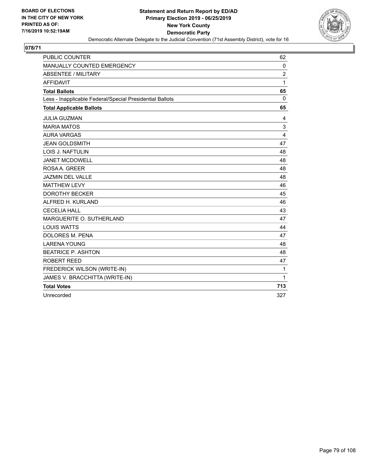

| <b>PUBLIC COUNTER</b>                                    | 62             |
|----------------------------------------------------------|----------------|
| MANUALLY COUNTED EMERGENCY                               | $\mathbf 0$    |
| ABSENTEE / MILITARY                                      | $\overline{2}$ |
| <b>AFFIDAVIT</b>                                         | $\mathbf{1}$   |
| <b>Total Ballots</b>                                     | 65             |
| Less - Inapplicable Federal/Special Presidential Ballots | 0              |
| <b>Total Applicable Ballots</b>                          | 65             |
| <b>JULIA GUZMAN</b>                                      | 4              |
| <b>MARIA MATOS</b>                                       | 3              |
| <b>AURA VARGAS</b>                                       | 4              |
| <b>JEAN GOLDSMITH</b>                                    | 47             |
| LOIS J. NAFTULIN                                         | 48             |
| <b>JANET MCDOWELL</b>                                    | 48             |
| ROSA A. GREER                                            | 48             |
| <b>JAZMIN DEL VALLE</b>                                  | 48             |
| <b>MATTHEW LEVY</b>                                      | 46             |
| <b>DOROTHY BECKER</b>                                    | 45             |
| ALFRED H. KURLAND                                        | 46             |
| <b>CECELIA HALL</b>                                      | 43             |
| MARGUERITE O. SUTHERLAND                                 | 47             |
| <b>LOUIS WATTS</b>                                       | 44             |
| DOLORES M. PENA                                          | 47             |
| <b>LARENA YOUNG</b>                                      | 48             |
| <b>BEATRICE P. ASHTON</b>                                | 48             |
| ROBERT REED                                              | 47             |
| FREDERICK WILSON (WRITE-IN)                              | $\mathbf{1}$   |
| JAMES V. BRACCHITTA (WRITE-IN)                           | $\mathbf{1}$   |
| <b>Total Votes</b>                                       | 713            |
| Unrecorded                                               | 327            |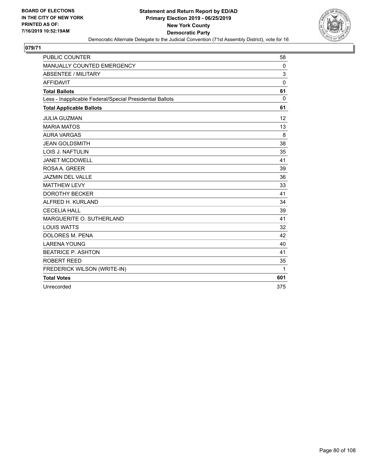

| <b>PUBLIC COUNTER</b>                                    | 58       |
|----------------------------------------------------------|----------|
| MANUALLY COUNTED EMERGENCY                               | 0        |
| <b>ABSENTEE / MILITARY</b>                               | 3        |
| <b>AFFIDAVIT</b>                                         | $\Omega$ |
| <b>Total Ballots</b>                                     | 61       |
| Less - Inapplicable Federal/Special Presidential Ballots | $\Omega$ |
| <b>Total Applicable Ballots</b>                          | 61       |
| <b>JULIA GUZMAN</b>                                      | 12       |
| <b>MARIA MATOS</b>                                       | 13       |
| <b>AURA VARGAS</b>                                       | 8        |
| <b>JEAN GOLDSMITH</b>                                    | 38       |
| <b>LOIS J. NAFTULIN</b>                                  | 35       |
| <b>JANET MCDOWELL</b>                                    | 41       |
| ROSA A. GREER                                            | 39       |
| <b>JAZMIN DEL VALLE</b>                                  | 36       |
| <b>MATTHEW LEVY</b>                                      | 33       |
| <b>DOROTHY BECKER</b>                                    | 41       |
| ALFRED H. KURLAND                                        | 34       |
| <b>CECELIA HALL</b>                                      | 39       |
| MARGUERITE O. SUTHERLAND                                 | 41       |
| <b>LOUIS WATTS</b>                                       | 32       |
| <b>DOLORES M. PENA</b>                                   | 42       |
| <b>LARENA YOUNG</b>                                      | 40       |
| <b>BEATRICE P. ASHTON</b>                                | 41       |
| <b>ROBERT REED</b>                                       | 35       |
| FREDERICK WILSON (WRITE-IN)                              | 1        |
| <b>Total Votes</b>                                       | 601      |
| Unrecorded                                               | 375      |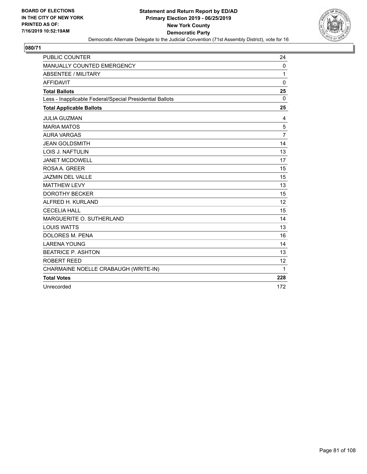

| <b>PUBLIC COUNTER</b>                                    | 24             |
|----------------------------------------------------------|----------------|
| MANUALLY COUNTED EMERGENCY                               | $\mathbf 0$    |
| <b>ABSENTEE / MILITARY</b>                               | 1              |
| <b>AFFIDAVIT</b>                                         | $\mathbf 0$    |
| <b>Total Ballots</b>                                     | 25             |
| Less - Inapplicable Federal/Special Presidential Ballots | $\mathbf 0$    |
| <b>Total Applicable Ballots</b>                          | 25             |
| <b>JULIA GUZMAN</b>                                      | 4              |
| <b>MARIA MATOS</b>                                       | 5              |
| <b>AURA VARGAS</b>                                       | $\overline{7}$ |
| <b>JEAN GOLDSMITH</b>                                    | 14             |
| <b>LOIS J. NAFTULIN</b>                                  | 13             |
| <b>JANET MCDOWELL</b>                                    | 17             |
| ROSA A. GREER                                            | 15             |
| <b>JAZMIN DEL VALLE</b>                                  | 15             |
| <b>MATTHEW LEVY</b>                                      | 13             |
| <b>DOROTHY BECKER</b>                                    | 15             |
| ALFRED H. KURLAND                                        | 12             |
| <b>CECELIA HALL</b>                                      | 15             |
| MARGUERITE O. SUTHERLAND                                 | 14             |
| <b>LOUIS WATTS</b>                                       | 13             |
| <b>DOLORES M. PENA</b>                                   | 16             |
| <b>LARENA YOUNG</b>                                      | 14             |
| <b>BEATRICE P. ASHTON</b>                                | 13             |
| ROBERT REED                                              | 12             |
| CHARMAINE NOELLE CRABAUGH (WRITE-IN)                     | 1              |
| <b>Total Votes</b>                                       | 228            |
| Unrecorded                                               | 172            |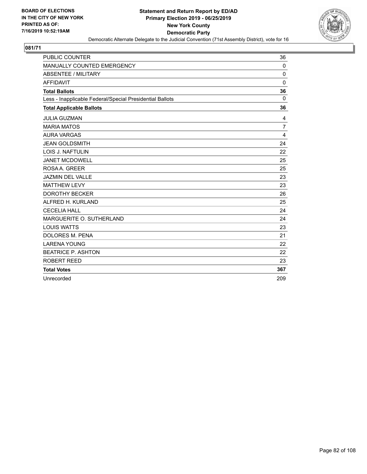

| <b>PUBLIC COUNTER</b>                                    | 36             |
|----------------------------------------------------------|----------------|
| MANUALLY COUNTED EMERGENCY                               | 0              |
| <b>ABSENTEE / MILITARY</b>                               | $\mathbf 0$    |
| <b>AFFIDAVIT</b>                                         | $\Omega$       |
| <b>Total Ballots</b>                                     | 36             |
| Less - Inapplicable Federal/Special Presidential Ballots | $\mathbf{0}$   |
| <b>Total Applicable Ballots</b>                          | 36             |
| <b>JULIA GUZMAN</b>                                      | 4              |
| <b>MARIA MATOS</b>                                       | $\overline{7}$ |
| <b>AURA VARGAS</b>                                       | 4              |
| <b>JEAN GOLDSMITH</b>                                    | 24             |
| <b>LOIS J. NAFTULIN</b>                                  | 22             |
| <b>JANET MCDOWELL</b>                                    | 25             |
| ROSAA, GREER                                             | 25             |
| <b>JAZMIN DEL VALLE</b>                                  | 23             |
| <b>MATTHEW LEVY</b>                                      | 23             |
| <b>DOROTHY BECKER</b>                                    | 26             |
| ALFRED H. KURLAND                                        | 25             |
| <b>CECELIA HALL</b>                                      | 24             |
| MARGUERITE O. SUTHERLAND                                 | 24             |
| <b>LOUIS WATTS</b>                                       | 23             |
| <b>DOLORES M. PENA</b>                                   | 21             |
| <b>LARENA YOUNG</b>                                      | 22             |
| <b>BEATRICE P. ASHTON</b>                                | 22             |
| <b>ROBERT REED</b>                                       | 23             |
| <b>Total Votes</b>                                       | 367            |
| Unrecorded                                               | 209            |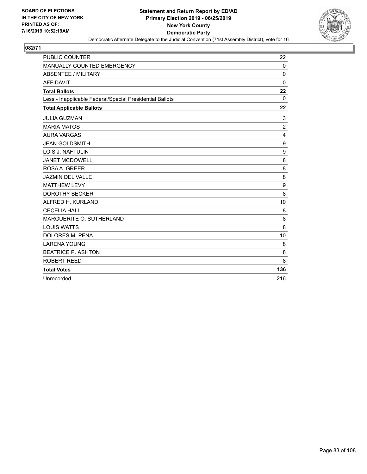

| <b>PUBLIC COUNTER</b>                                    | 22               |
|----------------------------------------------------------|------------------|
| MANUALLY COUNTED EMERGENCY                               | 0                |
| <b>ABSENTEE / MILITARY</b>                               | $\mathbf 0$      |
| <b>AFFIDAVIT</b>                                         | $\Omega$         |
| <b>Total Ballots</b>                                     | 22               |
| Less - Inapplicable Federal/Special Presidential Ballots | $\Omega$         |
| <b>Total Applicable Ballots</b>                          | 22               |
| <b>JULIA GUZMAN</b>                                      | 3                |
| <b>MARIA MATOS</b>                                       | $\overline{2}$   |
| <b>AURA VARGAS</b>                                       | 4                |
| <b>JEAN GOLDSMITH</b>                                    | $\boldsymbol{9}$ |
| <b>LOIS J. NAFTULIN</b>                                  | 9                |
| <b>JANET MCDOWELL</b>                                    | 8                |
| ROSA A. GREER                                            | 8                |
| <b>JAZMIN DEL VALLE</b>                                  | 8                |
| <b>MATTHEW LEVY</b>                                      | 9                |
| <b>DOROTHY BECKER</b>                                    | 8                |
| ALFRED H. KURLAND                                        | 10               |
| <b>CECELIA HALL</b>                                      | 8                |
| MARGUERITE O. SUTHERLAND                                 | 8                |
| <b>LOUIS WATTS</b>                                       | 8                |
| DOLORES M. PENA                                          | 10               |
| <b>LARENA YOUNG</b>                                      | 8                |
| <b>BEATRICE P. ASHTON</b>                                | 8                |
| ROBERT REED                                              | 8                |
| <b>Total Votes</b>                                       | 136              |
| Unrecorded                                               | 216              |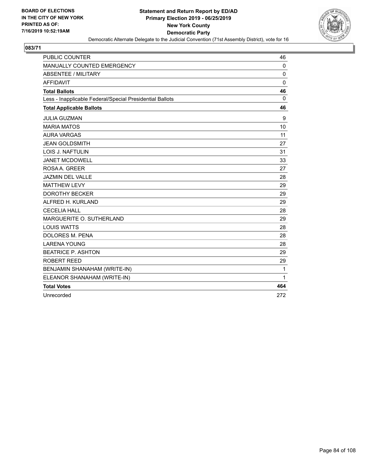

| <b>PUBLIC COUNTER</b>                                    | 46          |
|----------------------------------------------------------|-------------|
| MANUALLY COUNTED EMERGENCY                               | $\mathbf 0$ |
| <b>ABSENTEE / MILITARY</b>                               | $\Omega$    |
| <b>AFFIDAVIT</b>                                         | 0           |
| <b>Total Ballots</b>                                     | 46          |
| Less - Inapplicable Federal/Special Presidential Ballots | 0           |
| <b>Total Applicable Ballots</b>                          | 46          |
| <b>JULIA GUZMAN</b>                                      | 9           |
| <b>MARIA MATOS</b>                                       | 10          |
| <b>AURA VARGAS</b>                                       | 11          |
| <b>JEAN GOLDSMITH</b>                                    | 27          |
| <b>LOIS J. NAFTULIN</b>                                  | 31          |
| <b>JANET MCDOWELL</b>                                    | 33          |
| ROSA A. GREER                                            | 27          |
| <b>JAZMIN DEL VALLE</b>                                  | 28          |
| <b>MATTHEW LEVY</b>                                      | 29          |
| <b>DOROTHY BECKER</b>                                    | 29          |
| ALFRED H. KURLAND                                        | 29          |
| <b>CECELIA HALL</b>                                      | 28          |
| MARGUERITE O. SUTHERLAND                                 | 29          |
| <b>LOUIS WATTS</b>                                       | 28          |
| DOLORES M. PENA                                          | 28          |
| <b>LARENA YOUNG</b>                                      | 28          |
| <b>BEATRICE P. ASHTON</b>                                | 29          |
| ROBERT REED                                              | 29          |
| BENJAMIN SHANAHAM (WRITE-IN)                             | 1           |
| ELEANOR SHANAHAM (WRITE-IN)                              | 1           |
| <b>Total Votes</b>                                       | 464         |
| Unrecorded                                               | 272         |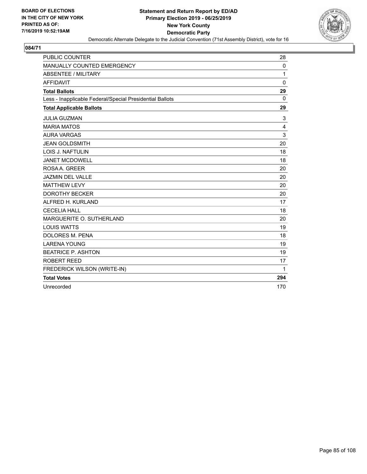

| <b>PUBLIC COUNTER</b>                                    | 28       |
|----------------------------------------------------------|----------|
| MANUALLY COUNTED EMERGENCY                               | 0        |
| <b>ABSENTEE / MILITARY</b>                               | 1        |
| <b>AFFIDAVIT</b>                                         | $\Omega$ |
| <b>Total Ballots</b>                                     | 29       |
| Less - Inapplicable Federal/Special Presidential Ballots | $\Omega$ |
| <b>Total Applicable Ballots</b>                          | 29       |
| <b>JULIA GUZMAN</b>                                      | 3        |
| <b>MARIA MATOS</b>                                       | 4        |
| <b>AURA VARGAS</b>                                       | 3        |
| <b>JEAN GOLDSMITH</b>                                    | 20       |
| <b>LOIS J. NAFTULIN</b>                                  | 18       |
| <b>JANET MCDOWELL</b>                                    | 18       |
| ROSA A. GREER                                            | 20       |
| <b>JAZMIN DEL VALLE</b>                                  | 20       |
| <b>MATTHEW LEVY</b>                                      | 20       |
| <b>DOROTHY BECKER</b>                                    | 20       |
| ALFRED H. KURLAND                                        | 17       |
| <b>CECELIA HALL</b>                                      | 18       |
| MARGUERITE O. SUTHERLAND                                 | 20       |
| <b>LOUIS WATTS</b>                                       | 19       |
| <b>DOLORES M. PENA</b>                                   | 18       |
| <b>LARENA YOUNG</b>                                      | 19       |
| <b>BEATRICE P. ASHTON</b>                                | 19       |
| <b>ROBERT REED</b>                                       | 17       |
| FREDERICK WILSON (WRITE-IN)                              | 1        |
| <b>Total Votes</b>                                       | 294      |
| Unrecorded                                               | 170      |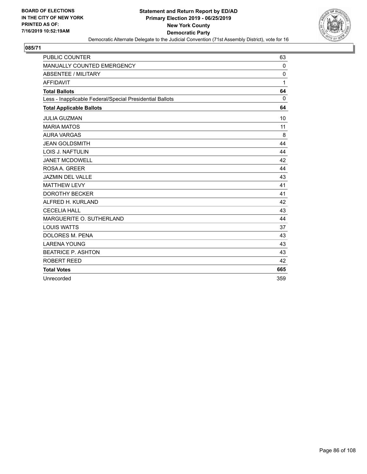

| <b>PUBLIC COUNTER</b>                                    | 63       |
|----------------------------------------------------------|----------|
| MANUALLY COUNTED EMERGENCY                               | 0        |
| <b>ABSENTEE / MILITARY</b>                               | $\Omega$ |
| <b>AFFIDAVIT</b>                                         | 1        |
| <b>Total Ballots</b>                                     | 64       |
| Less - Inapplicable Federal/Special Presidential Ballots | $\Omega$ |
| <b>Total Applicable Ballots</b>                          | 64       |
| <b>JULIA GUZMAN</b>                                      | 10       |
| <b>MARIA MATOS</b>                                       | 11       |
| <b>AURA VARGAS</b>                                       | 8        |
| <b>JEAN GOLDSMITH</b>                                    | 44       |
| LOIS J. NAFTULIN                                         | 44       |
| <b>JANET MCDOWELL</b>                                    | 42       |
| ROSA A. GREER                                            | 44       |
| <b>JAZMIN DEL VALLE</b>                                  | 43       |
| <b>MATTHEW LEVY</b>                                      | 41       |
| <b>DOROTHY BECKER</b>                                    | 41       |
| ALFRED H. KURLAND                                        | 42       |
| <b>CECELIA HALL</b>                                      | 43       |
| MARGUERITE O. SUTHERLAND                                 | 44       |
| <b>LOUIS WATTS</b>                                       | 37       |
| <b>DOLORES M. PENA</b>                                   | 43       |
| <b>LARENA YOUNG</b>                                      | 43       |
| <b>BEATRICE P. ASHTON</b>                                | 43       |
| ROBERT REED                                              | 42       |
| <b>Total Votes</b>                                       | 665      |
| Unrecorded                                               | 359      |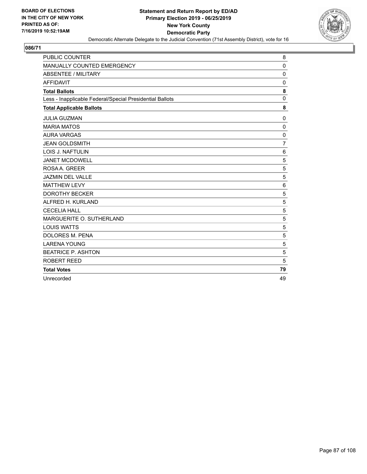

| <b>PUBLIC COUNTER</b>                                    | 8               |
|----------------------------------------------------------|-----------------|
| MANUALLY COUNTED EMERGENCY                               | $\mathbf 0$     |
| ABSENTEE / MILITARY                                      | $\mathbf 0$     |
| <b>AFFIDAVIT</b>                                         | $\Omega$        |
| <b>Total Ballots</b>                                     | 8               |
| Less - Inapplicable Federal/Special Presidential Ballots | $\mathbf 0$     |
| <b>Total Applicable Ballots</b>                          | 8               |
| <b>JULIA GUZMAN</b>                                      | 0               |
| <b>MARIA MATOS</b>                                       | $\mathbf 0$     |
| <b>AURA VARGAS</b>                                       | $\mathbf 0$     |
| <b>JEAN GOLDSMITH</b>                                    | $\overline{7}$  |
| <b>LOIS J. NAFTULIN</b>                                  | $6\phantom{1}6$ |
| <b>JANET MCDOWELL</b>                                    | 5               |
| ROSA A. GREER                                            | 5               |
| <b>JAZMIN DEL VALLE</b>                                  | 5               |
| <b>MATTHEW LEVY</b>                                      | $6\phantom{1}6$ |
| <b>DOROTHY BECKER</b>                                    | 5               |
| ALFRED H. KURLAND                                        | 5               |
| <b>CECELIA HALL</b>                                      | 5               |
| MARGUERITE O. SUTHERLAND                                 | 5               |
| <b>LOUIS WATTS</b>                                       | 5               |
| DOLORES M. PENA                                          | 5               |
| <b>LARENA YOUNG</b>                                      | 5               |
| <b>BEATRICE P. ASHTON</b>                                | 5               |
| <b>ROBERT REED</b>                                       | 5               |
| <b>Total Votes</b>                                       | 79              |
| Unrecorded                                               | 49              |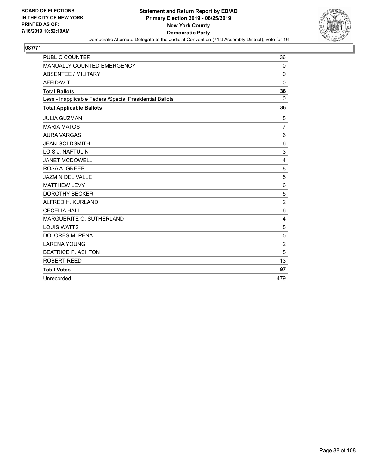

| <b>PUBLIC COUNTER</b>                                    | 36             |
|----------------------------------------------------------|----------------|
| MANUALLY COUNTED EMERGENCY                               | 0              |
| <b>ABSENTEE / MILITARY</b>                               | $\mathbf 0$    |
| <b>AFFIDAVIT</b>                                         | $\Omega$       |
| <b>Total Ballots</b>                                     | 36             |
| Less - Inapplicable Federal/Special Presidential Ballots | $\Omega$       |
| <b>Total Applicable Ballots</b>                          | 36             |
| <b>JULIA GUZMAN</b>                                      | 5              |
| <b>MARIA MATOS</b>                                       | $\overline{7}$ |
| <b>AURA VARGAS</b>                                       | 6              |
| <b>JEAN GOLDSMITH</b>                                    | 6              |
| LOIS J. NAFTULIN                                         | 3              |
| <b>JANET MCDOWELL</b>                                    | 4              |
| ROSA A. GREER                                            | 8              |
| JAZMIN DEL VALLE                                         | 5              |
| <b>MATTHEW LEVY</b>                                      | $6\phantom{1}$ |
| <b>DOROTHY BECKER</b>                                    | 5              |
| ALFRED H. KURLAND                                        | $\overline{2}$ |
| <b>CECELIA HALL</b>                                      | 6              |
| MARGUERITE O. SUTHERLAND                                 | 4              |
| <b>LOUIS WATTS</b>                                       | 5              |
| <b>DOLORES M. PENA</b>                                   | 5              |
| <b>LARENA YOUNG</b>                                      | $\overline{2}$ |
| <b>BEATRICE P. ASHTON</b>                                | 5              |
| ROBERT REED                                              | 13             |
| <b>Total Votes</b>                                       | 97             |
| Unrecorded                                               | 479            |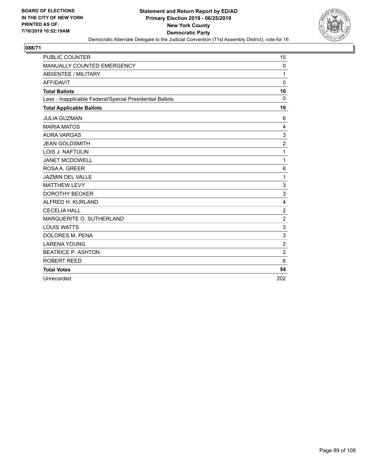

| <b>PUBLIC COUNTER</b>                                    | 15               |
|----------------------------------------------------------|------------------|
| MANUALLY COUNTED EMERGENCY                               | 0                |
| <b>ABSENTEE / MILITARY</b>                               | 1                |
| <b>AFFIDAVIT</b>                                         | $\Omega$         |
| <b>Total Ballots</b>                                     | 16               |
| Less - Inapplicable Federal/Special Presidential Ballots | $\mathbf 0$      |
| <b>Total Applicable Ballots</b>                          | 16               |
| <b>JULIA GUZMAN</b>                                      | 6                |
| <b>MARIA MATOS</b>                                       | 4                |
| <b>AURA VARGAS</b>                                       | 3                |
| <b>JEAN GOLDSMITH</b>                                    | $\boldsymbol{2}$ |
| LOIS J. NAFTULIN                                         | 1                |
| <b>JANET MCDOWELL</b>                                    | 1                |
| ROSA A. GREER                                            | 6                |
| JAZMIN DEL VALLE                                         | 1                |
| <b>MATTHEW LEVY</b>                                      | 3                |
| <b>DOROTHY BECKER</b>                                    | 3                |
| ALFRED H. KURLAND                                        | 4                |
| <b>CECELIA HALL</b>                                      | $\boldsymbol{2}$ |
| MARGUERITE O. SUTHERLAND                                 | $\overline{2}$   |
| <b>LOUIS WATTS</b>                                       | 3                |
| <b>DOLORES M. PENA</b>                                   | 3                |
| <b>LARENA YOUNG</b>                                      | $\overline{2}$   |
| <b>BEATRICE P. ASHTON</b>                                | $\overline{c}$   |
| ROBERT REED                                              | 6                |
| <b>Total Votes</b>                                       | 54               |
| Unrecorded                                               | 202              |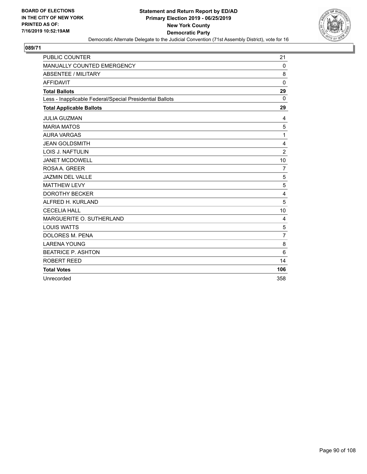

| <b>PUBLIC COUNTER</b>                                    | 21              |
|----------------------------------------------------------|-----------------|
| MANUALLY COUNTED EMERGENCY                               | 0               |
| <b>ABSENTEE / MILITARY</b>                               | 8               |
| <b>AFFIDAVIT</b>                                         | $\Omega$        |
| <b>Total Ballots</b>                                     | 29              |
| Less - Inapplicable Federal/Special Presidential Ballots | $\Omega$        |
| <b>Total Applicable Ballots</b>                          | 29              |
| <b>JULIA GUZMAN</b>                                      | 4               |
| <b>MARIA MATOS</b>                                       | 5               |
| <b>AURA VARGAS</b>                                       | 1               |
| <b>JEAN GOLDSMITH</b>                                    | 4               |
| <b>LOIS J. NAFTULIN</b>                                  | $\overline{2}$  |
| <b>JANET MCDOWELL</b>                                    | 10              |
| ROSAA. GREER                                             | $\overline{7}$  |
| <b>JAZMIN DEL VALLE</b>                                  | 5               |
| <b>MATTHEW LEVY</b>                                      | 5               |
| <b>DOROTHY BECKER</b>                                    | 4               |
| ALFRED H. KURLAND                                        | 5               |
| <b>CECELIA HALL</b>                                      | 10              |
| MARGUERITE O. SUTHERLAND                                 | 4               |
| <b>LOUIS WATTS</b>                                       | 5               |
| <b>DOLORES M. PENA</b>                                   | $\overline{7}$  |
| <b>LARENA YOUNG</b>                                      | 8               |
| <b>BEATRICE P. ASHTON</b>                                | $6\phantom{1}6$ |
| <b>ROBERT REED</b>                                       | 14              |
| <b>Total Votes</b>                                       | 106             |
| Unrecorded                                               | 358             |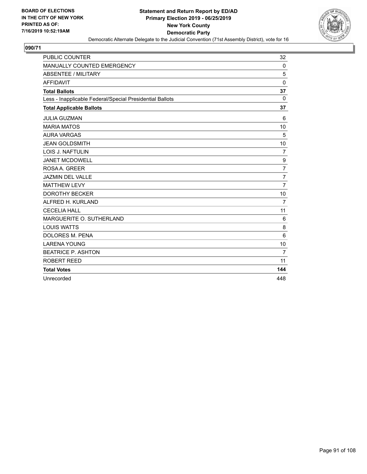

| <b>PUBLIC COUNTER</b>                                    | 32              |
|----------------------------------------------------------|-----------------|
| MANUALLY COUNTED EMERGENCY                               | 0               |
| <b>ABSENTEE / MILITARY</b>                               | 5               |
| <b>AFFIDAVIT</b>                                         | $\Omega$        |
| <b>Total Ballots</b>                                     | 37              |
| Less - Inapplicable Federal/Special Presidential Ballots | $\Omega$        |
| <b>Total Applicable Ballots</b>                          | 37              |
| <b>JULIA GUZMAN</b>                                      | 6               |
| <b>MARIA MATOS</b>                                       | 10              |
| <b>AURA VARGAS</b>                                       | 5               |
| <b>JEAN GOLDSMITH</b>                                    | 10              |
| <b>LOIS J. NAFTULIN</b>                                  | $\overline{7}$  |
| <b>JANET MCDOWELL</b>                                    | 9               |
| ROSA A. GREER                                            | $\overline{7}$  |
| <b>JAZMIN DEL VALLE</b>                                  | $\overline{7}$  |
| <b>MATTHEW LEVY</b>                                      | $\overline{7}$  |
| <b>DOROTHY BECKER</b>                                    | 10              |
| ALFRED H. KURLAND                                        | $\overline{7}$  |
| <b>CECELIA HALL</b>                                      | 11              |
| MARGUERITE O. SUTHERLAND                                 | 6               |
| <b>LOUIS WATTS</b>                                       | 8               |
| <b>DOLORES M. PENA</b>                                   | $6\phantom{1}6$ |
| <b>LARENA YOUNG</b>                                      | 10              |
| <b>BEATRICE P. ASHTON</b>                                | $\overline{7}$  |
| <b>ROBERT REED</b>                                       | 11              |
| <b>Total Votes</b>                                       | 144             |
| Unrecorded                                               | 448             |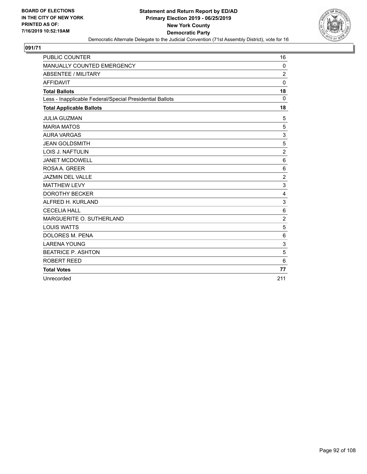

| <b>PUBLIC COUNTER</b>                                    | 16             |
|----------------------------------------------------------|----------------|
| MANUALLY COUNTED EMERGENCY                               | 0              |
| <b>ABSENTEE / MILITARY</b>                               | $\overline{2}$ |
| <b>AFFIDAVIT</b>                                         | $\mathbf 0$    |
| <b>Total Ballots</b>                                     | 18             |
| Less - Inapplicable Federal/Special Presidential Ballots | $\Omega$       |
| <b>Total Applicable Ballots</b>                          | 18             |
| <b>JULIA GUZMAN</b>                                      | 5              |
| <b>MARIA MATOS</b>                                       | 5              |
| <b>AURA VARGAS</b>                                       | 3              |
| <b>JEAN GOLDSMITH</b>                                    | 5              |
| <b>LOIS J. NAFTULIN</b>                                  | $\overline{2}$ |
| <b>JANET MCDOWELL</b>                                    | 6              |
| ROSA A. GREER                                            | 6              |
| <b>JAZMIN DEL VALLE</b>                                  | $\overline{c}$ |
| <b>MATTHEW LEVY</b>                                      | 3              |
| <b>DOROTHY BECKER</b>                                    | 4              |
| ALFRED H. KURLAND                                        | 3              |
| <b>CECELIA HALL</b>                                      | 6              |
| MARGUERITE O. SUTHERLAND                                 | $\overline{2}$ |
| <b>LOUIS WATTS</b>                                       | 5              |
| <b>DOLORES M. PENA</b>                                   | 6              |
| <b>LARENA YOUNG</b>                                      | 3              |
| <b>BEATRICE P. ASHTON</b>                                | 5              |
| <b>ROBERT REED</b>                                       | 6              |
| <b>Total Votes</b>                                       | 77             |
| Unrecorded                                               | 211            |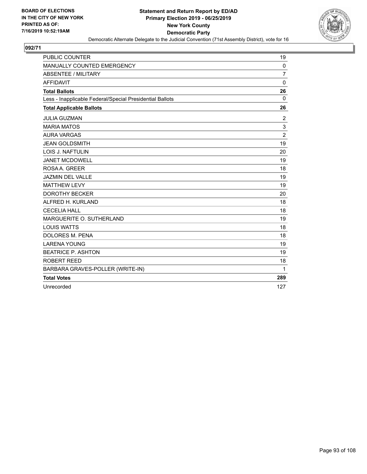

| <b>PUBLIC COUNTER</b>                                    | 19             |
|----------------------------------------------------------|----------------|
| MANUALLY COUNTED EMERGENCY                               | $\mathbf 0$    |
| <b>ABSENTEE / MILITARY</b>                               | $\overline{7}$ |
| <b>AFFIDAVIT</b>                                         | $\mathbf 0$    |
| <b>Total Ballots</b>                                     | 26             |
| Less - Inapplicable Federal/Special Presidential Ballots | $\mathbf 0$    |
| <b>Total Applicable Ballots</b>                          | 26             |
| <b>JULIA GUZMAN</b>                                      | 2              |
| <b>MARIA MATOS</b>                                       | 3              |
| <b>AURA VARGAS</b>                                       | $\overline{2}$ |
| <b>JEAN GOLDSMITH</b>                                    | 19             |
| LOIS J. NAFTULIN                                         | 20             |
| <b>JANET MCDOWELL</b>                                    | 19             |
| ROSA A. GREER                                            | 18             |
| <b>JAZMIN DEL VALLE</b>                                  | 19             |
| <b>MATTHEW LEVY</b>                                      | 19             |
| <b>DOROTHY BECKER</b>                                    | 20             |
| ALFRED H. KURLAND                                        | 18             |
| <b>CECELIA HALL</b>                                      | 18             |
| MARGUERITE O. SUTHERLAND                                 | 19             |
| <b>LOUIS WATTS</b>                                       | 18             |
| <b>DOLORES M. PENA</b>                                   | 18             |
| <b>LARENA YOUNG</b>                                      | 19             |
| <b>BEATRICE P. ASHTON</b>                                | 19             |
| ROBERT REED                                              | 18             |
| BARBARA GRAVES-POLLER (WRITE-IN)                         | 1              |
| <b>Total Votes</b>                                       | 289            |
| Unrecorded                                               | 127            |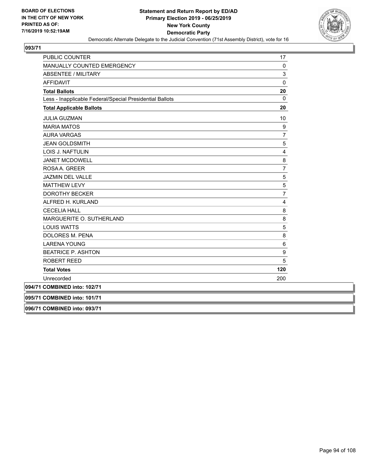

| PUBLIC COUNTER                                           | 17             |
|----------------------------------------------------------|----------------|
| MANUALLY COUNTED EMERGENCY                               | 0              |
| <b>ABSENTEE / MILITARY</b>                               | 3              |
| <b>AFFIDAVIT</b>                                         | $\mathbf 0$    |
| <b>Total Ballots</b>                                     | 20             |
| Less - Inapplicable Federal/Special Presidential Ballots | $\mathbf{0}$   |
| <b>Total Applicable Ballots</b>                          | 20             |
| <b>JULIA GUZMAN</b>                                      | 10             |
| <b>MARIA MATOS</b>                                       | 9              |
| <b>AURA VARGAS</b>                                       | $\overline{7}$ |
| <b>JEAN GOLDSMITH</b>                                    | 5              |
| LOIS J. NAFTULIN                                         | 4              |
| <b>JANET MCDOWELL</b>                                    | 8              |
| ROSAA, GREER                                             | $\overline{7}$ |
| <b>JAZMIN DEL VALLE</b>                                  | 5              |
| <b>MATTHEW LEVY</b>                                      | 5              |
| <b>DOROTHY BECKER</b>                                    | $\overline{7}$ |
| ALFRED H. KURLAND                                        | 4              |
| <b>CECELIA HALL</b>                                      | 8              |
| MARGUERITE O. SUTHERLAND                                 | 8              |
| <b>LOUIS WATTS</b>                                       | 5              |
| DOLORES M. PENA                                          | 8              |
| <b>LARENA YOUNG</b>                                      | $\,6$          |
| <b>BEATRICE P. ASHTON</b>                                | 9              |
| <b>ROBERT REED</b>                                       | 5              |
| <b>Total Votes</b>                                       | 120            |
| Unrecorded                                               | 200            |
| 094/71 COMBINED into: 102/71                             |                |

**095/71 COMBINED into: 101/71**

**096/71 COMBINED into: 093/71**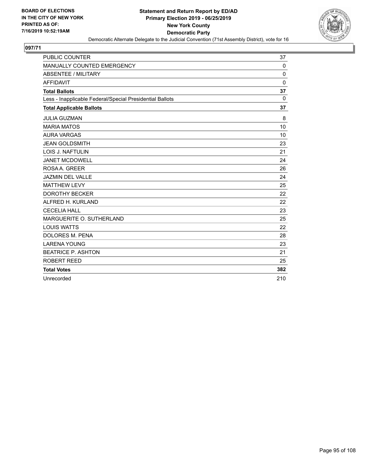

| <b>PUBLIC COUNTER</b>                                    | 37       |
|----------------------------------------------------------|----------|
| MANUALLY COUNTED EMERGENCY                               | 0        |
| <b>ABSENTEE / MILITARY</b>                               | $\Omega$ |
| <b>AFFIDAVIT</b>                                         | $\Omega$ |
| <b>Total Ballots</b>                                     | 37       |
| Less - Inapplicable Federal/Special Presidential Ballots | $\Omega$ |
| <b>Total Applicable Ballots</b>                          | 37       |
| <b>JULIA GUZMAN</b>                                      | 8        |
| <b>MARIA MATOS</b>                                       | 10       |
| <b>AURA VARGAS</b>                                       | 10       |
| <b>JEAN GOLDSMITH</b>                                    | 23       |
| LOIS J. NAFTULIN                                         | 21       |
| <b>JANET MCDOWELL</b>                                    | 24       |
| ROSA A. GREER                                            | 26       |
| <b>JAZMIN DEL VALLE</b>                                  | 24       |
| <b>MATTHEW LEVY</b>                                      | 25       |
| <b>DOROTHY BECKER</b>                                    | 22       |
| ALFRED H. KURLAND                                        | 22       |
| <b>CECELIA HALL</b>                                      | 23       |
| MARGUERITE O. SUTHERLAND                                 | 25       |
| <b>LOUIS WATTS</b>                                       | 22       |
| <b>DOLORES M. PENA</b>                                   | 28       |
| <b>LARENA YOUNG</b>                                      | 23       |
| <b>BEATRICE P. ASHTON</b>                                | 21       |
| ROBERT REED                                              | 25       |
| <b>Total Votes</b>                                       | 382      |
| Unrecorded                                               | 210      |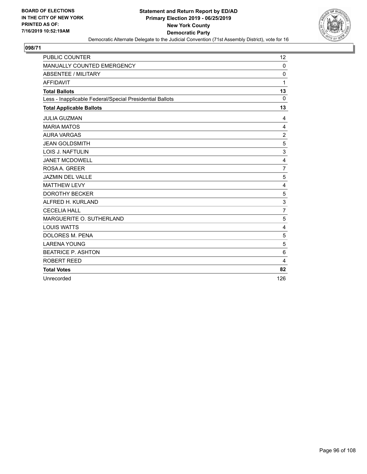

| <b>PUBLIC COUNTER</b>                                    | 12             |
|----------------------------------------------------------|----------------|
| MANUALLY COUNTED EMERGENCY                               | 0              |
| <b>ABSENTEE / MILITARY</b>                               | $\mathbf 0$    |
| <b>AFFIDAVIT</b>                                         | 1              |
| <b>Total Ballots</b>                                     | 13             |
| Less - Inapplicable Federal/Special Presidential Ballots | $\Omega$       |
| <b>Total Applicable Ballots</b>                          | 13             |
| <b>JULIA GUZMAN</b>                                      | 4              |
| <b>MARIA MATOS</b>                                       | 4              |
| <b>AURA VARGAS</b>                                       | $\overline{c}$ |
| <b>JEAN GOLDSMITH</b>                                    | 5              |
| <b>LOIS J. NAFTULIN</b>                                  | 3              |
| <b>JANET MCDOWELL</b>                                    | 4              |
| ROSA A. GREER                                            | $\overline{7}$ |
| <b>JAZMIN DEL VALLE</b>                                  | 5              |
| <b>MATTHEW LEVY</b>                                      | 4              |
| <b>DOROTHY BECKER</b>                                    | 5              |
| ALFRED H. KURLAND                                        | 3              |
| <b>CECELIA HALL</b>                                      | $\overline{7}$ |
| MARGUERITE O. SUTHERLAND                                 | 5              |
| <b>LOUIS WATTS</b>                                       | 4              |
| DOLORES M. PENA                                          | 5              |
| <b>LARENA YOUNG</b>                                      | 5              |
| <b>BEATRICE P. ASHTON</b>                                | 6              |
| ROBERT REED                                              | 4              |
| <b>Total Votes</b>                                       | 82             |
| Unrecorded                                               | 126            |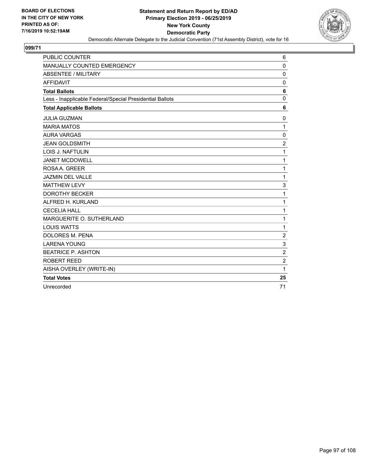

| <b>PUBLIC COUNTER</b>                                    | 6              |
|----------------------------------------------------------|----------------|
| MANUALLY COUNTED EMERGENCY                               | $\mathbf 0$    |
| <b>ABSENTEE / MILITARY</b>                               | $\mathbf 0$    |
| <b>AFFIDAVIT</b>                                         | $\mathbf 0$    |
| <b>Total Ballots</b>                                     | 6              |
| Less - Inapplicable Federal/Special Presidential Ballots | $\mathbf 0$    |
| <b>Total Applicable Ballots</b>                          | 6              |
| <b>JULIA GUZMAN</b>                                      | 0              |
| <b>MARIA MATOS</b>                                       | 1              |
| <b>AURA VARGAS</b>                                       | $\mathbf 0$    |
| <b>JEAN GOLDSMITH</b>                                    | $\overline{2}$ |
| <b>LOIS J. NAFTULIN</b>                                  | 1              |
| <b>JANET MCDOWELL</b>                                    | 1              |
| ROSA A. GREER                                            | 1              |
| <b>JAZMIN DEL VALLE</b>                                  | 1              |
| <b>MATTHEW LEVY</b>                                      | 3              |
| <b>DOROTHY BECKER</b>                                    | 1              |
| ALFRED H. KURLAND                                        | 1              |
| <b>CECELIA HALL</b>                                      | 1              |
| MARGUERITE O. SUTHERLAND                                 | 1              |
| <b>LOUIS WATTS</b>                                       | 1              |
| DOLORES M. PENA                                          | $\overline{c}$ |
| <b>LARENA YOUNG</b>                                      | 3              |
| <b>BEATRICE P. ASHTON</b>                                | $\overline{c}$ |
| <b>ROBERT REED</b>                                       | $\overline{c}$ |
| AISHA OVERLEY (WRITE-IN)                                 | 1              |
| <b>Total Votes</b>                                       | 25             |
| Unrecorded                                               | 71             |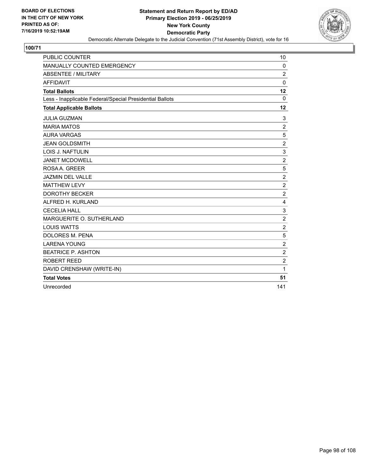

| <b>PUBLIC COUNTER</b>                                    | 10                        |
|----------------------------------------------------------|---------------------------|
| MANUALLY COUNTED EMERGENCY                               | 0                         |
| <b>ABSENTEE / MILITARY</b>                               | $\overline{2}$            |
| <b>AFFIDAVIT</b>                                         | $\Omega$                  |
| <b>Total Ballots</b>                                     | 12                        |
| Less - Inapplicable Federal/Special Presidential Ballots | $\Omega$                  |
| <b>Total Applicable Ballots</b>                          | 12                        |
| <b>JULIA GUZMAN</b>                                      | 3                         |
| <b>MARIA MATOS</b>                                       | $\overline{2}$            |
| <b>AURA VARGAS</b>                                       | $\overline{5}$            |
| <b>JEAN GOLDSMITH</b>                                    | $\overline{c}$            |
| <b>LOIS J. NAFTULIN</b>                                  | 3                         |
| <b>JANET MCDOWELL</b>                                    | $\overline{c}$            |
| ROSA A. GREER                                            | 5                         |
| <b>JAZMIN DEL VALLE</b>                                  | $\overline{c}$            |
| <b>MATTHEW LEVY</b>                                      | $\overline{c}$            |
| <b>DOROTHY BECKER</b>                                    | $\overline{c}$            |
| ALFRED H. KURLAND                                        | 4                         |
| <b>CECELIA HALL</b>                                      | $\ensuremath{\mathsf{3}}$ |
| MARGUERITE O. SUTHERLAND                                 | $\overline{2}$            |
| <b>LOUIS WATTS</b>                                       | $\overline{c}$            |
| <b>DOLORES M. PENA</b>                                   | $\sqrt{5}$                |
| <b>LARENA YOUNG</b>                                      | $\boldsymbol{2}$          |
| <b>BEATRICE P. ASHTON</b>                                | $\overline{2}$            |
| <b>ROBERT REED</b>                                       | $\overline{2}$            |
| DAVID CRENSHAW (WRITE-IN)                                | 1                         |
| <b>Total Votes</b>                                       | 51                        |
| Unrecorded                                               | 141                       |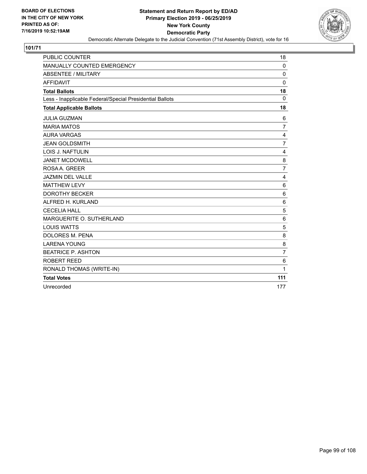

| <b>PUBLIC COUNTER</b>                                    | 18             |
|----------------------------------------------------------|----------------|
| MANUALLY COUNTED EMERGENCY                               | $\mathbf 0$    |
| <b>ABSENTEE / MILITARY</b>                               | $\mathbf 0$    |
| <b>AFFIDAVIT</b>                                         | $\mathbf 0$    |
| <b>Total Ballots</b>                                     | 18             |
| Less - Inapplicable Federal/Special Presidential Ballots | 0              |
| <b>Total Applicable Ballots</b>                          | 18             |
| <b>JULIA GUZMAN</b>                                      | 6              |
| <b>MARIA MATOS</b>                                       | 7              |
| <b>AURA VARGAS</b>                                       | 4              |
| <b>JEAN GOLDSMITH</b>                                    | 7              |
| <b>LOIS J. NAFTULIN</b>                                  | 4              |
| <b>JANET MCDOWELL</b>                                    | 8              |
| ROSA A. GREER                                            | 7              |
| <b>JAZMIN DEL VALLE</b>                                  | 4              |
| <b>MATTHEW LEVY</b>                                      | 6              |
| <b>DOROTHY BECKER</b>                                    | 6              |
| ALFRED H. KURLAND                                        | 6              |
| <b>CECELIA HALL</b>                                      | 5              |
| MARGUERITE O. SUTHERLAND                                 | 6              |
| <b>LOUIS WATTS</b>                                       | 5              |
| <b>DOLORES M. PENA</b>                                   | 8              |
| <b>LARENA YOUNG</b>                                      | 8              |
| <b>BEATRICE P. ASHTON</b>                                | $\overline{7}$ |
| <b>ROBERT REED</b>                                       | 6              |
| RONALD THOMAS (WRITE-IN)                                 | $\mathbf{1}$   |
| <b>Total Votes</b>                                       | 111            |
| Unrecorded                                               | 177            |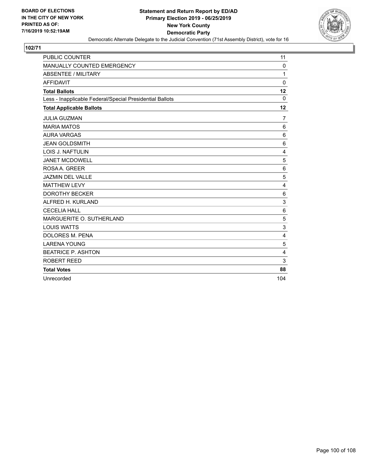

| <b>PUBLIC COUNTER</b>                                    | 11             |
|----------------------------------------------------------|----------------|
| MANUALLY COUNTED EMERGENCY                               | 0              |
| <b>ABSENTEE / MILITARY</b>                               | 1              |
| <b>AFFIDAVIT</b>                                         | $\Omega$       |
| <b>Total Ballots</b>                                     | 12             |
| Less - Inapplicable Federal/Special Presidential Ballots | $\mathbf 0$    |
| <b>Total Applicable Ballots</b>                          | 12             |
| <b>JULIA GUZMAN</b>                                      | 7              |
| <b>MARIA MATOS</b>                                       | 6              |
| <b>AURA VARGAS</b>                                       | 6              |
| <b>JEAN GOLDSMITH</b>                                    | 6              |
| LOIS J. NAFTULIN                                         | 4              |
| <b>JANET MCDOWELL</b>                                    | 5              |
| ROSA A. GREER                                            | 6              |
| <b>JAZMIN DEL VALLE</b>                                  | 5              |
| <b>MATTHEW LEVY</b>                                      | $\overline{4}$ |
| <b>DOROTHY BECKER</b>                                    | 6              |
| ALFRED H. KURLAND                                        | 3              |
| <b>CECELIA HALL</b>                                      | $\,6$          |
| MARGUERITE O. SUTHERLAND                                 | 5              |
| <b>LOUIS WATTS</b>                                       | 3              |
| <b>DOLORES M. PENA</b>                                   | 4              |
| <b>LARENA YOUNG</b>                                      | 5              |
| <b>BEATRICE P. ASHTON</b>                                | $\overline{4}$ |
| ROBERT REED                                              | 3              |
| <b>Total Votes</b>                                       | 88             |
| Unrecorded                                               | 104            |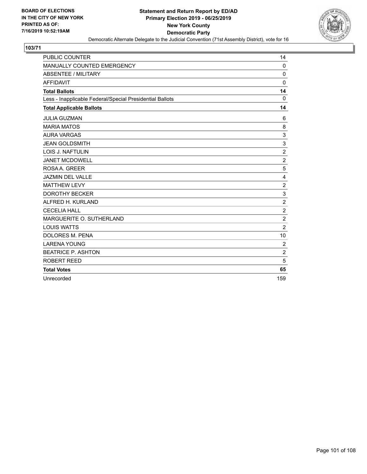

| <b>PUBLIC COUNTER</b>                                    | 14               |
|----------------------------------------------------------|------------------|
| MANUALLY COUNTED EMERGENCY                               | 0                |
| <b>ABSENTEE / MILITARY</b>                               | $\mathbf 0$      |
| <b>AFFIDAVIT</b>                                         | $\Omega$         |
| <b>Total Ballots</b>                                     | 14               |
| Less - Inapplicable Federal/Special Presidential Ballots | $\mathbf 0$      |
| <b>Total Applicable Ballots</b>                          | 14               |
| <b>JULIA GUZMAN</b>                                      | 6                |
| <b>MARIA MATOS</b>                                       | 8                |
| <b>AURA VARGAS</b>                                       | 3                |
| <b>JEAN GOLDSMITH</b>                                    | 3                |
| LOIS J. NAFTULIN                                         | $\overline{2}$   |
| <b>JANET MCDOWELL</b>                                    | $\overline{c}$   |
| ROSA A. GREER                                            | 5                |
| JAZMIN DEL VALLE                                         | $\overline{4}$   |
| <b>MATTHEW LEVY</b>                                      | $\overline{c}$   |
| <b>DOROTHY BECKER</b>                                    | 3                |
| ALFRED H. KURLAND                                        | $\overline{c}$   |
| <b>CECELIA HALL</b>                                      | $\boldsymbol{2}$ |
| MARGUERITE O. SUTHERLAND                                 | $\overline{2}$   |
| <b>LOUIS WATTS</b>                                       | $\overline{c}$   |
| <b>DOLORES M. PENA</b>                                   | 10               |
| <b>LARENA YOUNG</b>                                      | $\overline{2}$   |
| <b>BEATRICE P. ASHTON</b>                                | $\overline{c}$   |
| ROBERT REED                                              | 5                |
| <b>Total Votes</b>                                       | 65               |
| Unrecorded                                               | 159              |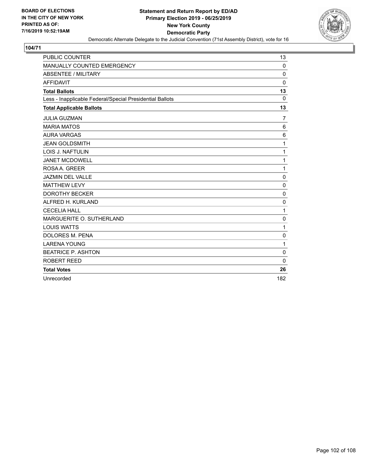

| PUBLIC COUNTER                                           | 13          |
|----------------------------------------------------------|-------------|
| MANUALLY COUNTED EMERGENCY                               | $\Omega$    |
| <b>ABSENTEE / MILITARY</b>                               | 0           |
| <b>AFFIDAVIT</b>                                         | $\Omega$    |
| <b>Total Ballots</b>                                     | 13          |
| Less - Inapplicable Federal/Special Presidential Ballots | $\Omega$    |
| <b>Total Applicable Ballots</b>                          | 13          |
| <b>JULIA GUZMAN</b>                                      | 7           |
| <b>MARIA MATOS</b>                                       | 6           |
| <b>AURA VARGAS</b>                                       | 6           |
| <b>JEAN GOLDSMITH</b>                                    | 1           |
| LOIS J. NAFTULIN                                         | 1           |
| <b>JANET MCDOWELL</b>                                    | 1           |
| ROSAA, GREER                                             | 1           |
| <b>JAZMIN DEL VALLE</b>                                  | $\mathbf 0$ |
| <b>MATTHEW LEVY</b>                                      | $\mathbf 0$ |
| <b>DOROTHY BECKER</b>                                    | 0           |
| ALFRED H. KURLAND                                        | $\mathbf 0$ |
| <b>CECELIA HALL</b>                                      | 1           |
| MARGUERITE O. SUTHERLAND                                 | $\mathbf 0$ |
| <b>LOUIS WATTS</b>                                       | 1           |
| <b>DOLORES M. PENA</b>                                   | 0           |
| <b>LARENA YOUNG</b>                                      | 1           |
| <b>BEATRICE P. ASHTON</b>                                | $\mathbf 0$ |
| <b>ROBERT REED</b>                                       | $\Omega$    |
| <b>Total Votes</b>                                       | 26          |
| Unrecorded                                               | 182         |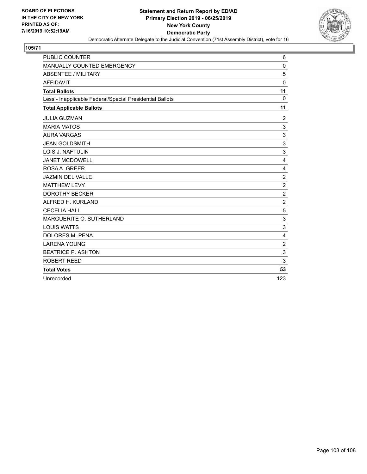

| <b>PUBLIC COUNTER</b>                                    | 6                       |
|----------------------------------------------------------|-------------------------|
| MANUALLY COUNTED EMERGENCY                               | 0                       |
| <b>ABSENTEE / MILITARY</b>                               | 5                       |
| <b>AFFIDAVIT</b>                                         | $\Omega$                |
| <b>Total Ballots</b>                                     | 11                      |
| Less - Inapplicable Federal/Special Presidential Ballots | $\mathbf 0$             |
| <b>Total Applicable Ballots</b>                          | 11                      |
| <b>JULIA GUZMAN</b>                                      | 2                       |
| <b>MARIA MATOS</b>                                       | $\mathsf 3$             |
| <b>AURA VARGAS</b>                                       | 3                       |
| <b>JEAN GOLDSMITH</b>                                    | $\mathsf 3$             |
| <b>LOIS J. NAFTULIN</b>                                  | 3                       |
| <b>JANET MCDOWELL</b>                                    | 4                       |
| ROSAA. GREER                                             | 4                       |
| <b>JAZMIN DEL VALLE</b>                                  | $\sqrt{2}$              |
| <b>MATTHEW LEVY</b>                                      | $\overline{c}$          |
| <b>DOROTHY BECKER</b>                                    | $\overline{\mathbf{c}}$ |
| ALFRED H. KURLAND                                        | $\overline{2}$          |
| <b>CECELIA HALL</b>                                      | $\overline{5}$          |
| MARGUERITE O. SUTHERLAND                                 | $\mathbf{3}$            |
| <b>LOUIS WATTS</b>                                       | $\mathsf 3$             |
| DOLORES M. PENA                                          | $\overline{\mathbf{4}}$ |
| <b>LARENA YOUNG</b>                                      | $\overline{2}$          |
| <b>BEATRICE P. ASHTON</b>                                | $\mathbf{3}$            |
| ROBERT REED                                              | 3                       |
| <b>Total Votes</b>                                       | 53                      |
| Unrecorded                                               | 123                     |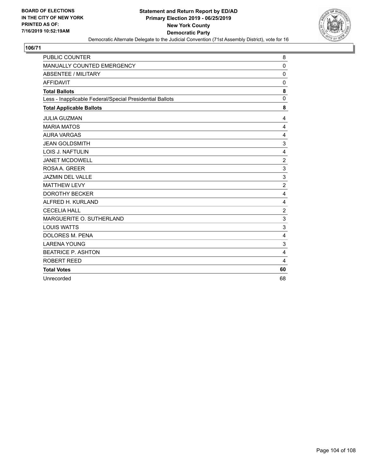

| <b>PUBLIC COUNTER</b>                                    | 8              |
|----------------------------------------------------------|----------------|
| MANUALLY COUNTED EMERGENCY                               | $\mathbf 0$    |
| ABSENTEE / MILITARY                                      | $\mathbf 0$    |
| <b>AFFIDAVIT</b>                                         | $\mathbf 0$    |
| <b>Total Ballots</b>                                     | 8              |
| Less - Inapplicable Federal/Special Presidential Ballots | $\mathbf 0$    |
| <b>Total Applicable Ballots</b>                          | 8              |
| <b>JULIA GUZMAN</b>                                      | 4              |
| <b>MARIA MATOS</b>                                       | 4              |
| <b>AURA VARGAS</b>                                       | 4              |
| <b>JEAN GOLDSMITH</b>                                    | 3              |
| <b>LOIS J. NAFTULIN</b>                                  | 4              |
| <b>JANET MCDOWELL</b>                                    | $\overline{c}$ |
| ROSA A. GREER                                            | 3              |
| <b>JAZMIN DEL VALLE</b>                                  | 3              |
| <b>MATTHEW LEVY</b>                                      | $\overline{c}$ |
| <b>DOROTHY BECKER</b>                                    | 4              |
| ALFRED H. KURLAND                                        | 4              |
| <b>CECELIA HALL</b>                                      | $\overline{c}$ |
| MARGUERITE O. SUTHERLAND                                 | 3              |
| <b>LOUIS WATTS</b>                                       | 3              |
| DOLORES M. PENA                                          | 4              |
| <b>LARENA YOUNG</b>                                      | 3              |
| <b>BEATRICE P. ASHTON</b>                                | 4              |
| ROBERT REED                                              | 4              |
| <b>Total Votes</b>                                       | 60             |
| Unrecorded                                               | 68             |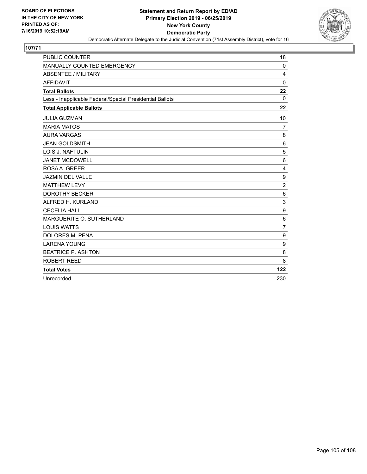

| <b>PUBLIC COUNTER</b>                                    | 18               |
|----------------------------------------------------------|------------------|
| MANUALLY COUNTED EMERGENCY                               | 0                |
| <b>ABSENTEE / MILITARY</b>                               | 4                |
| <b>AFFIDAVIT</b>                                         | $\Omega$         |
| <b>Total Ballots</b>                                     | 22               |
| Less - Inapplicable Federal/Special Presidential Ballots | $\Omega$         |
| <b>Total Applicable Ballots</b>                          | 22               |
| <b>JULIA GUZMAN</b>                                      | 10               |
| <b>MARIA MATOS</b>                                       | 7                |
| <b>AURA VARGAS</b>                                       | 8                |
| <b>JEAN GOLDSMITH</b>                                    | 6                |
| <b>LOIS J. NAFTULIN</b>                                  | 5                |
| <b>JANET MCDOWELL</b>                                    | 6                |
| ROSA A. GREER                                            | 4                |
| <b>JAZMIN DEL VALLE</b>                                  | $\boldsymbol{9}$ |
| <b>MATTHEW LEVY</b>                                      | $\overline{2}$   |
| <b>DOROTHY BECKER</b>                                    | 6                |
| ALFRED H. KURLAND                                        | 3                |
| <b>CECELIA HALL</b>                                      | $\boldsymbol{9}$ |
| MARGUERITE O. SUTHERLAND                                 | 6                |
| <b>LOUIS WATTS</b>                                       | $\overline{7}$   |
| DOLORES M. PENA                                          | $\boldsymbol{9}$ |
| <b>LARENA YOUNG</b>                                      | 9                |
| <b>BEATRICE P. ASHTON</b>                                | 8                |
| ROBERT REED                                              | 8                |
| <b>Total Votes</b>                                       | 122              |
| Unrecorded                                               | 230              |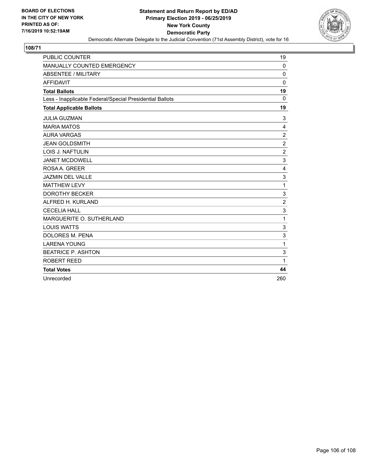

| <b>PUBLIC COUNTER</b>                                    | 19               |
|----------------------------------------------------------|------------------|
| MANUALLY COUNTED EMERGENCY                               | 0                |
| <b>ABSENTEE / MILITARY</b>                               | $\mathbf 0$      |
| <b>AFFIDAVIT</b>                                         | $\Omega$         |
| <b>Total Ballots</b>                                     | 19               |
| Less - Inapplicable Federal/Special Presidential Ballots | $\Omega$         |
| <b>Total Applicable Ballots</b>                          | 19               |
| <b>JULIA GUZMAN</b>                                      | 3                |
| <b>MARIA MATOS</b>                                       | 4                |
| <b>AURA VARGAS</b>                                       | $\overline{c}$   |
| <b>JEAN GOLDSMITH</b>                                    | $\boldsymbol{2}$ |
| LOIS J. NAFTULIN                                         | $\overline{2}$   |
| <b>JANET MCDOWELL</b>                                    | 3                |
| ROSA A. GREER                                            | 4                |
| JAZMIN DEL VALLE                                         | 3                |
| <b>MATTHEW LEVY</b>                                      | 1                |
| <b>DOROTHY BECKER</b>                                    | 3                |
| ALFRED H. KURLAND                                        | $\overline{2}$   |
| <b>CECELIA HALL</b>                                      | 3                |
| MARGUERITE O. SUTHERLAND                                 | 1                |
| <b>LOUIS WATTS</b>                                       | 3                |
| <b>DOLORES M. PENA</b>                                   | 3                |
| <b>LARENA YOUNG</b>                                      | 1                |
| <b>BEATRICE P. ASHTON</b>                                | 3                |
| ROBERT REED                                              | 1                |
| <b>Total Votes</b>                                       | 44               |
| Unrecorded                                               | 260              |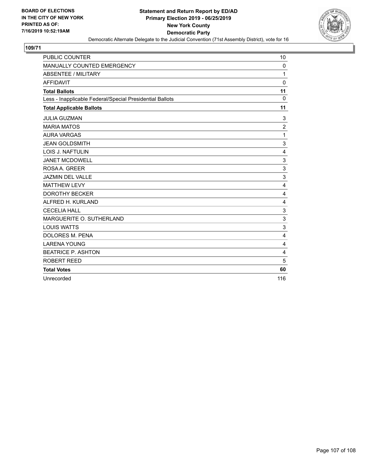

| PUBLIC COUNTER                                           | 10             |
|----------------------------------------------------------|----------------|
| MANUALLY COUNTED EMERGENCY                               | 0              |
| <b>ABSENTEE / MILITARY</b>                               | 1              |
| <b>AFFIDAVIT</b>                                         | $\Omega$       |
| <b>Total Ballots</b>                                     | 11             |
| Less - Inapplicable Federal/Special Presidential Ballots | $\mathbf 0$    |
| <b>Total Applicable Ballots</b>                          | 11             |
| <b>JULIA GUZMAN</b>                                      | 3              |
| <b>MARIA MATOS</b>                                       | $\overline{c}$ |
| <b>AURA VARGAS</b>                                       | 1              |
| <b>JEAN GOLDSMITH</b>                                    | 3              |
| <b>LOIS J. NAFTULIN</b>                                  | 4              |
| <b>JANET MCDOWELL</b>                                    | $\mathsf 3$    |
| ROSAA. GREER                                             | 3              |
| <b>JAZMIN DEL VALLE</b>                                  | 3              |
| <b>MATTHEW LEVY</b>                                      | 4              |
| <b>DOROTHY BECKER</b>                                    | 4              |
| ALFRED H. KURLAND                                        | 4              |
| <b>CECELIA HALL</b>                                      | 3              |
| MARGUERITE O. SUTHERLAND                                 | 3              |
| <b>LOUIS WATTS</b>                                       | 3              |
| DOLORES M. PENA                                          | 4              |
| <b>LARENA YOUNG</b>                                      | $\overline{4}$ |
| <b>BEATRICE P. ASHTON</b>                                | 4              |
| <b>ROBERT REED</b>                                       | 5              |
| <b>Total Votes</b>                                       | 60             |
| Unrecorded                                               | 116            |